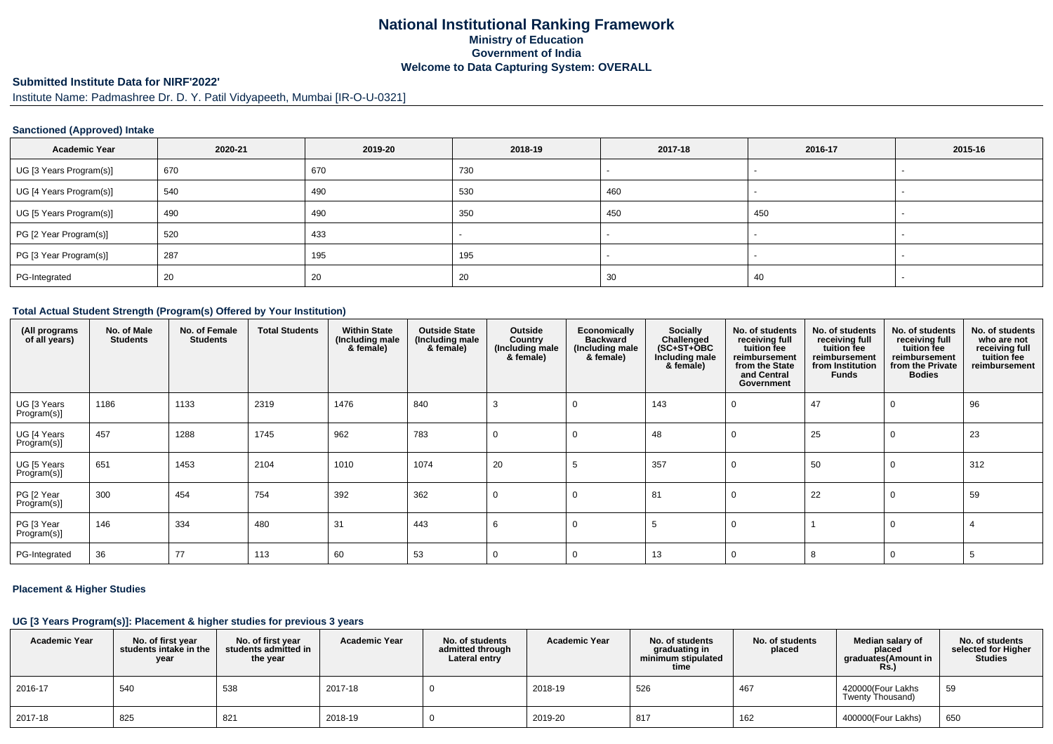# **National Institutional Ranking FrameworkMinistry of Education Government of IndiaWelcome to Data Capturing System: OVERALL**

# **Submitted Institute Data for NIRF'2022'**

Institute Name: Padmashree Dr. D. Y. Patil Vidyapeeth, Mumbai [IR-O-U-0321]

### **Sanctioned (Approved) Intake**

| <b>Academic Year</b>    | 2020-21 | 2019-20 | 2018-19 | 2017-18 | 2016-17                  | 2015-16 |
|-------------------------|---------|---------|---------|---------|--------------------------|---------|
| UG [3 Years Program(s)] | 670     | 670     | 730     |         |                          |         |
| UG [4 Years Program(s)] | 540     | 490     | 530     | 460     | $\overline{\phantom{0}}$ |         |
| UG [5 Years Program(s)] | 490     | 490     | 350     | 450     | 450                      |         |
| PG [2 Year Program(s)]  | 520     | 433     |         |         |                          |         |
| PG [3 Year Program(s)]  | 287     | 195     | 195     |         |                          |         |
| PG-Integrated           | 20      | 20      | 20      | 30      | 40                       |         |

#### **Total Actual Student Strength (Program(s) Offered by Your Institution)**

| (All programs<br>of all years) | No. of Male<br><b>Students</b> | No. of Female<br><b>Students</b> | <b>Total Students</b> | <b>Within State</b><br>(Including male<br>& female) | <b>Outside State</b><br>(Including male<br>& female) | Outside<br>Country<br>(Including male<br>& female) | Economically<br><b>Backward</b><br>(Including male<br>& female) | <b>Socially</b><br>Challenged<br>$(SC+ST+\text{O}BC)$<br>Including male<br>& female) | No. of students<br>receiving full<br>tuition fee<br>reimbursement<br>from the State<br>and Central<br>Government | No. of students<br>receiving full<br>tuition fee<br>reimbursement<br>from Institution<br><b>Funds</b> | No. of students<br>receiving full<br>tuition fee<br>reimbursement<br>from the Private<br><b>Bodies</b> | No. of students<br>who are not<br>receiving full<br>tuition fee<br>reimbursement |
|--------------------------------|--------------------------------|----------------------------------|-----------------------|-----------------------------------------------------|------------------------------------------------------|----------------------------------------------------|-----------------------------------------------------------------|--------------------------------------------------------------------------------------|------------------------------------------------------------------------------------------------------------------|-------------------------------------------------------------------------------------------------------|--------------------------------------------------------------------------------------------------------|----------------------------------------------------------------------------------|
| UG [3 Years<br>Program(s)]     | 1186                           | 1133                             | 2319                  | 1476                                                | 840                                                  | 3                                                  | 0                                                               | 143                                                                                  | 0                                                                                                                | 47                                                                                                    | 0                                                                                                      | 96                                                                               |
| UG [4 Years<br>Program(s)]     | 457                            | 1288                             | 1745                  | 962                                                 | 783                                                  | 0                                                  | - 0                                                             | 48                                                                                   | 0                                                                                                                | 25                                                                                                    | 0                                                                                                      | 23                                                                               |
| UG [5 Years<br>Program(s)]     | 651                            | 1453                             | 2104                  | 1010                                                | 1074                                                 | 20                                                 | 5                                                               | 357                                                                                  | 0                                                                                                                | 50                                                                                                    | $\mathbf 0$                                                                                            | 312                                                                              |
| PG [2 Year<br>Program(s)]      | 300                            | 454                              | 754                   | 392                                                 | 362                                                  | 0                                                  | 0                                                               | 81                                                                                   | 0                                                                                                                | 22                                                                                                    | 0                                                                                                      | 59                                                                               |
| PG [3 Year<br>$Program(s)$ ]   | 146                            | 334                              | 480                   | 31                                                  | 443                                                  | 6                                                  | C                                                               | 5                                                                                    | 0                                                                                                                |                                                                                                       | 0                                                                                                      |                                                                                  |
| PG-Integrated                  | 36                             | 77                               | 113                   | 60                                                  | 53                                                   | 0                                                  | $\Omega$                                                        | 13                                                                                   | 0                                                                                                                | 8                                                                                                     | 0                                                                                                      |                                                                                  |

### **Placement & Higher Studies**

#### **UG [3 Years Program(s)]: Placement & higher studies for previous 3 years**

| <b>Academic Year</b> | No. of first year<br>students intake in the<br>year | No. of first year<br>students admitted in<br>the year | <b>Academic Year</b> | No. of students<br>admitted through<br>Lateral entry | <b>Academic Year</b> | No. of students<br>graduating in<br>minimum stipulated<br>time | No. of students<br>placed | Median salary of<br>placed<br>graduates(Amount in<br><b>Rs.)</b> | No. of students<br>selected for Higher<br><b>Studies</b> |
|----------------------|-----------------------------------------------------|-------------------------------------------------------|----------------------|------------------------------------------------------|----------------------|----------------------------------------------------------------|---------------------------|------------------------------------------------------------------|----------------------------------------------------------|
| 2016-17              | 540                                                 | 538                                                   | 2017-18              |                                                      | 2018-19              | 526                                                            | 467                       | 420000(Four Lakhs<br>Twenty Thousand)                            | 59                                                       |
| 2017-18              | 825                                                 | 821                                                   | 2018-19              |                                                      | 2019-20              | 817                                                            | 162                       | 400000(Four Lakhs)                                               | 650                                                      |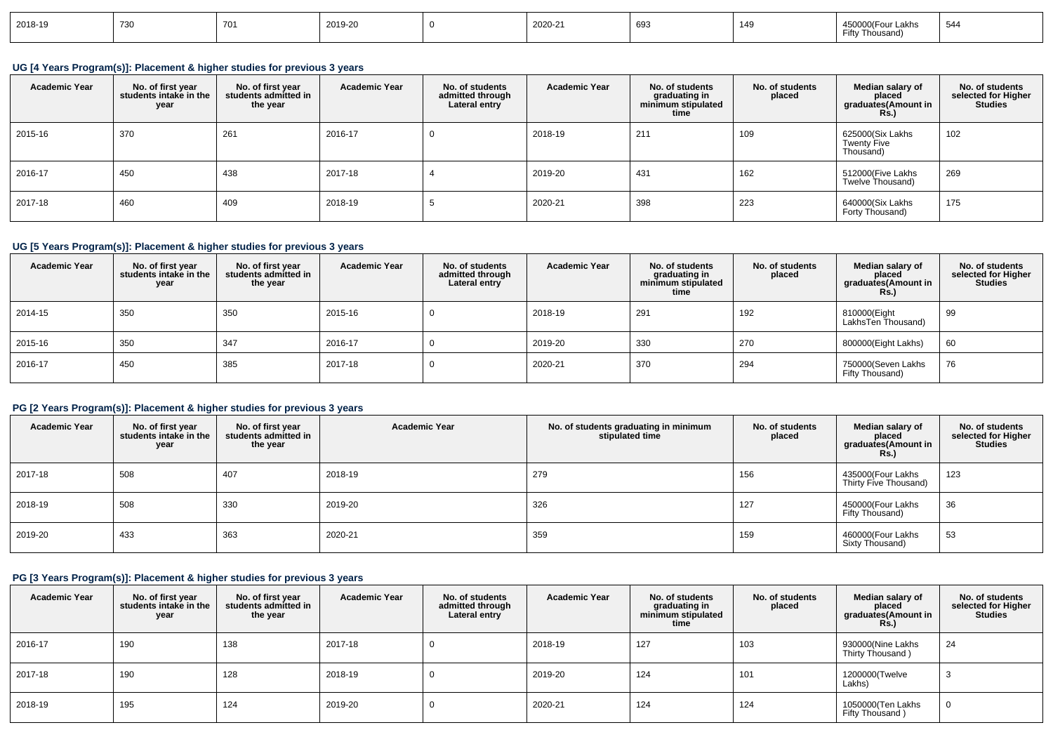| 2018-19 | $\overline{\phantom{a}}$<br>$\sim$ |  | 2019-20 |  | 2020-21 | 693 | $\overline{A}$<br>149 | akns<br>Cift<br>housan | $\cdot$ |
|---------|------------------------------------|--|---------|--|---------|-----|-----------------------|------------------------|---------|
|---------|------------------------------------|--|---------|--|---------|-----|-----------------------|------------------------|---------|

### **UG [4 Years Program(s)]: Placement & higher studies for previous 3 years**

| <b>Academic Year</b> | No. of first year<br>students intake in the<br>year | No. of first vear<br>students admitted in<br>the year | <b>Academic Year</b> | No. of students<br>admitted through<br>Lateral entry | <b>Academic Year</b> | No. of students<br>graduating in<br>minimum stipulated<br>time | No. of students<br>placed | Median salary of<br>placed<br>graduates(Amount in<br><b>Rs.)</b> | No. of students<br>selected for Higher<br><b>Studies</b> |
|----------------------|-----------------------------------------------------|-------------------------------------------------------|----------------------|------------------------------------------------------|----------------------|----------------------------------------------------------------|---------------------------|------------------------------------------------------------------|----------------------------------------------------------|
| 2015-16              | 370                                                 | 261                                                   | 2016-17              |                                                      | 2018-19              | 211                                                            | 109                       | 625000(Six Lakhs<br><b>Twenty Five</b><br>Thousand)              | 102                                                      |
| 2016-17              | 450                                                 | 438                                                   | 2017-18              |                                                      | 2019-20              | 431                                                            | 162                       | 512000(Five Lakhs<br>Twelve Thousand)                            | 269                                                      |
| 2017-18              | 460                                                 | 409                                                   | 2018-19              | $\ddot{\phantom{a}}$                                 | 2020-21              | 398                                                            | 223                       | 640000(Six Lakhs<br>Forty Thousand)                              | 175                                                      |

## **UG [5 Years Program(s)]: Placement & higher studies for previous 3 years**

| <b>Academic Year</b> | No. of first year<br>students intake in the<br>year | No. of first year<br>students admitted in<br>the year | <b>Academic Year</b> | No. of students<br>admitted through<br>Lateral entry | <b>Academic Year</b> | No. of students<br>graduating in<br>minimum stipulated<br>time | No. of students<br>placed | Median salary of<br>placed<br>graduates(Amount in<br>R <sub>s</sub> | No. of students<br>selected for Higher<br><b>Studies</b> |
|----------------------|-----------------------------------------------------|-------------------------------------------------------|----------------------|------------------------------------------------------|----------------------|----------------------------------------------------------------|---------------------------|---------------------------------------------------------------------|----------------------------------------------------------|
| 2014-15              | 350                                                 | 350                                                   | 2015-16              |                                                      | 2018-19              | 291                                                            | 192                       | 810000(Eight<br>LakhsTen Thousand)                                  | 99                                                       |
| 2015-16              | 350                                                 | 347                                                   | 2016-17              |                                                      | 2019-20              | 330                                                            | 270                       | 800000(Eight Lakhs)                                                 | 60                                                       |
| 2016-17              | 450                                                 | 385                                                   | 2017-18              |                                                      | 2020-21              | 370                                                            | 294                       | 750000(Seven Lakhs<br>Fifty Thousand)                               | 76                                                       |

### **PG [2 Years Program(s)]: Placement & higher studies for previous 3 years**

| <b>Academic Year</b> | No. of first year<br>students intake in the<br>year | No. of first year<br>students admitted in<br>the year | <b>Academic Year</b> | No. of students graduating in minimum<br>stipulated time | No. of students<br>placed | Median salary of<br>placed<br>graduates(Amount in<br><b>Rs.)</b> | No. of students<br>selected for Higher<br><b>Studies</b> |
|----------------------|-----------------------------------------------------|-------------------------------------------------------|----------------------|----------------------------------------------------------|---------------------------|------------------------------------------------------------------|----------------------------------------------------------|
| 2017-18              | 508                                                 | 407                                                   | 2018-19              | 279                                                      | 156                       | 435000(Four Lakhs<br>Thirty Five Thousand)                       | 123                                                      |
| 2018-19              | 508                                                 | 330                                                   | 2019-20              | 326                                                      | 127                       | 450000(Four Lakhs<br>Fifty Thousand)                             | 36                                                       |
| 2019-20              | 433                                                 | 363                                                   | 2020-21              | 359                                                      | 159                       | 460000(Four Lakhs<br>Sixty Thousand)                             | 53                                                       |

## **PG [3 Years Program(s)]: Placement & higher studies for previous 3 years**

| <b>Academic Year</b> | No. of first year<br>students intake in the<br>year | No. of first year<br>students admitted in<br>the year | <b>Academic Year</b> | No. of students<br>admitted through<br>Lateral entry | <b>Academic Year</b> | No. of students<br>graduating in<br>minimum stipulated<br>time | No. of students<br>placed | Median salary of<br>placed<br>graduates(Amount in<br><b>Rs.)</b> | No. of students<br>selected for Higher<br><b>Studies</b> |
|----------------------|-----------------------------------------------------|-------------------------------------------------------|----------------------|------------------------------------------------------|----------------------|----------------------------------------------------------------|---------------------------|------------------------------------------------------------------|----------------------------------------------------------|
| 2016-17              | 190                                                 | 138                                                   | 2017-18              |                                                      | 2018-19              | 127                                                            | 103                       | 930000(Nine Lakhs<br>Thirty Thousand)                            | 24                                                       |
| 2017-18              | 190                                                 | 128                                                   | 2018-19              |                                                      | 2019-20              | 124                                                            | 101                       | 1200000(Twelve<br>Lakhs)                                         |                                                          |
| 2018-19              | 195                                                 | 124                                                   | 2019-20              |                                                      | 2020-21              | 124                                                            | 124                       | 1050000(Ten Lakhs<br>Fifty Thousand)                             |                                                          |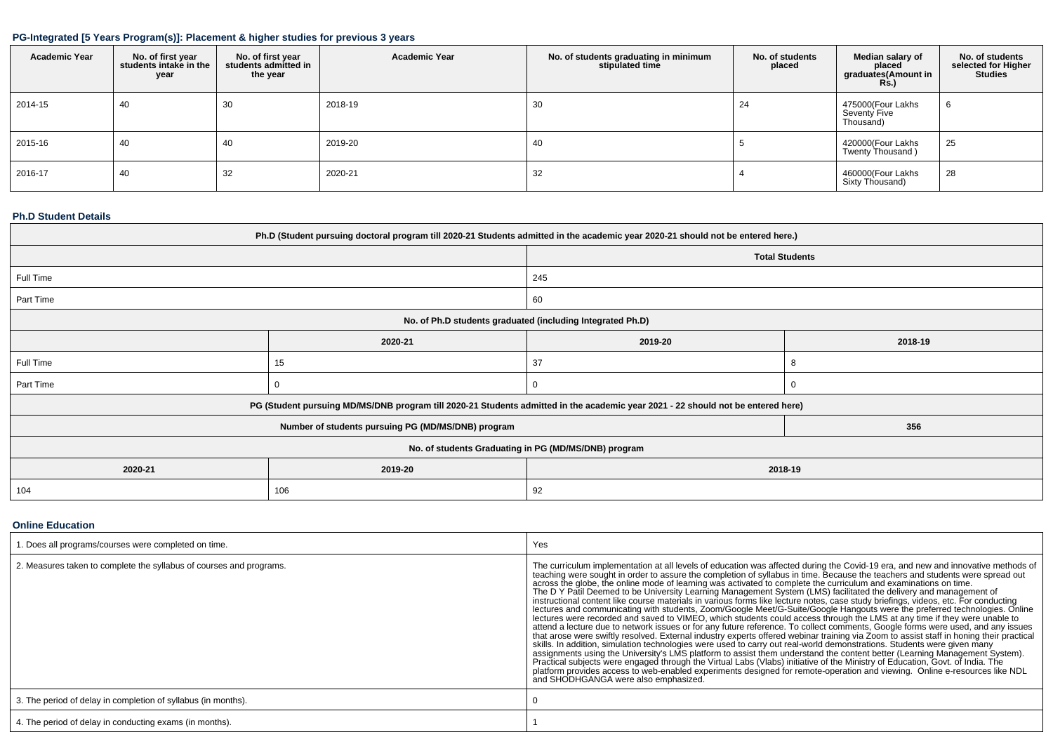### **PG-Integrated [5 Years Program(s)]: Placement & higher studies for previous 3 years**

| <b>Academic Year</b> | No. of first year<br>students intake in the<br>year | No. of first year<br>students admitted in<br>the year | <b>Academic Year</b> | No. of students graduating in minimum<br>stipulated time | No. of students<br>placed | Median salary of<br>placed<br>graduates(Amount in<br><b>Rs.</b> ) | No. of students<br>selected for Higher<br><b>Studies</b> |
|----------------------|-----------------------------------------------------|-------------------------------------------------------|----------------------|----------------------------------------------------------|---------------------------|-------------------------------------------------------------------|----------------------------------------------------------|
| 2014-15              | 40                                                  | 30                                                    | 2018-19              | 30                                                       | 24                        | 475000(Four Lakhs<br>Seventy Five<br>Thousand)                    | $\sim$<br>O                                              |
| 2015-16              | 40                                                  | 40                                                    | 2019-20              | 40                                                       |                           | 420000(Four Lakhs<br>Twenty Thousand)                             | 25                                                       |
| 2016-17              | 40                                                  | 32                                                    | 2020-21              | 32                                                       |                           | 460000(Four Lakhs<br>Sixty Thousand)                              | 28                                                       |

#### **Ph.D Student Details**

| Ph.D (Student pursuing doctoral program till 2020-21 Students admitted in the academic year 2020-21 should not be entered here.) |                                                                                                                                  |         |         |  |  |  |  |  |  |
|----------------------------------------------------------------------------------------------------------------------------------|----------------------------------------------------------------------------------------------------------------------------------|---------|---------|--|--|--|--|--|--|
| <b>Total Students</b>                                                                                                            |                                                                                                                                  |         |         |  |  |  |  |  |  |
| Full Time                                                                                                                        |                                                                                                                                  | 245     |         |  |  |  |  |  |  |
| Part Time                                                                                                                        |                                                                                                                                  | 60      |         |  |  |  |  |  |  |
| No. of Ph.D students graduated (including Integrated Ph.D)                                                                       |                                                                                                                                  |         |         |  |  |  |  |  |  |
|                                                                                                                                  | 2020-21                                                                                                                          | 2019-20 | 2018-19 |  |  |  |  |  |  |
| Full Time                                                                                                                        | 15                                                                                                                               | 37      | 8       |  |  |  |  |  |  |
| Part Time                                                                                                                        |                                                                                                                                  | 0       | 0       |  |  |  |  |  |  |
|                                                                                                                                  | PG (Student pursuing MD/MS/DNB program till 2020-21 Students admitted in the academic year 2021 - 22 should not be entered here) |         |         |  |  |  |  |  |  |
|                                                                                                                                  | Number of students pursuing PG (MD/MS/DNB) program                                                                               |         | 356     |  |  |  |  |  |  |
| No. of students Graduating in PG (MD/MS/DNB) program                                                                             |                                                                                                                                  |         |         |  |  |  |  |  |  |
| 2020-21                                                                                                                          | 2019-20                                                                                                                          |         | 2018-19 |  |  |  |  |  |  |
| 104                                                                                                                              | 106<br>92                                                                                                                        |         |         |  |  |  |  |  |  |

### **Online Education**

| 1. Does all programs/courses were completed on time.                | Yes                                                                                                                                                                                                                                                                                                                                                                                                                                                                                                                                                                                                                                                                                                                                                                                                                                                                                                                                                                                                                                                                                                                                                                                                                                                                                                                                                                                                                                                                                                                                                                                                                                                                                                                                                       |
|---------------------------------------------------------------------|-----------------------------------------------------------------------------------------------------------------------------------------------------------------------------------------------------------------------------------------------------------------------------------------------------------------------------------------------------------------------------------------------------------------------------------------------------------------------------------------------------------------------------------------------------------------------------------------------------------------------------------------------------------------------------------------------------------------------------------------------------------------------------------------------------------------------------------------------------------------------------------------------------------------------------------------------------------------------------------------------------------------------------------------------------------------------------------------------------------------------------------------------------------------------------------------------------------------------------------------------------------------------------------------------------------------------------------------------------------------------------------------------------------------------------------------------------------------------------------------------------------------------------------------------------------------------------------------------------------------------------------------------------------------------------------------------------------------------------------------------------------|
| 2. Measures taken to complete the syllabus of courses and programs. | The curriculum implementation at all levels of education was affected during the Covid-19 era, and new and innovative methods of<br>teaching were sought in order to assure the completion of syllabus in time. Because the teachers and students were spread out<br>across the globe, the online mode of learning was activated to complete the curriculum and examinations on time.<br>The D Y Patil Deemed to be University Learning Management System (LMS) facilitated the delivery and management of<br>instructional content like course materials in various forms like lecture notes, case study briefings, videos, etc. For conducting<br>lectures and communicating with students, Zoom/Google Meet/G-Suite/Google Hangouts were the preferred technologies. Online<br>lectures were recorded and saved to VIMEO, which students could access through the LMS at any time if they were unable to<br>attend a lecture due to network issues or for any future reference. To collect comments, Google forms were used, and any issues<br>that arose were swiftly resolved. External industry experts offered webinar training via Zoom to assist staff in honing their practical<br>skills. In addition, simulation technologies were used to carry out real-world demonstrations. Students were given many<br>assignments using the University's LMS platform to assist them understand the content better (Learning Management System).<br>Practical subjects were engaged through the Virtual Labs (Vlabs) initiative of the Ministry of Education, Govt. of India. The<br>platform provides access to web-enabled experiments designed for remote-operation and viewing. Online e-resources like NDL<br>and SHODHGANGA were also emphasized. |
| 3. The period of delay in completion of syllabus (in months).       |                                                                                                                                                                                                                                                                                                                                                                                                                                                                                                                                                                                                                                                                                                                                                                                                                                                                                                                                                                                                                                                                                                                                                                                                                                                                                                                                                                                                                                                                                                                                                                                                                                                                                                                                                           |
| 4. The period of delay in conducting exams (in months).             |                                                                                                                                                                                                                                                                                                                                                                                                                                                                                                                                                                                                                                                                                                                                                                                                                                                                                                                                                                                                                                                                                                                                                                                                                                                                                                                                                                                                                                                                                                                                                                                                                                                                                                                                                           |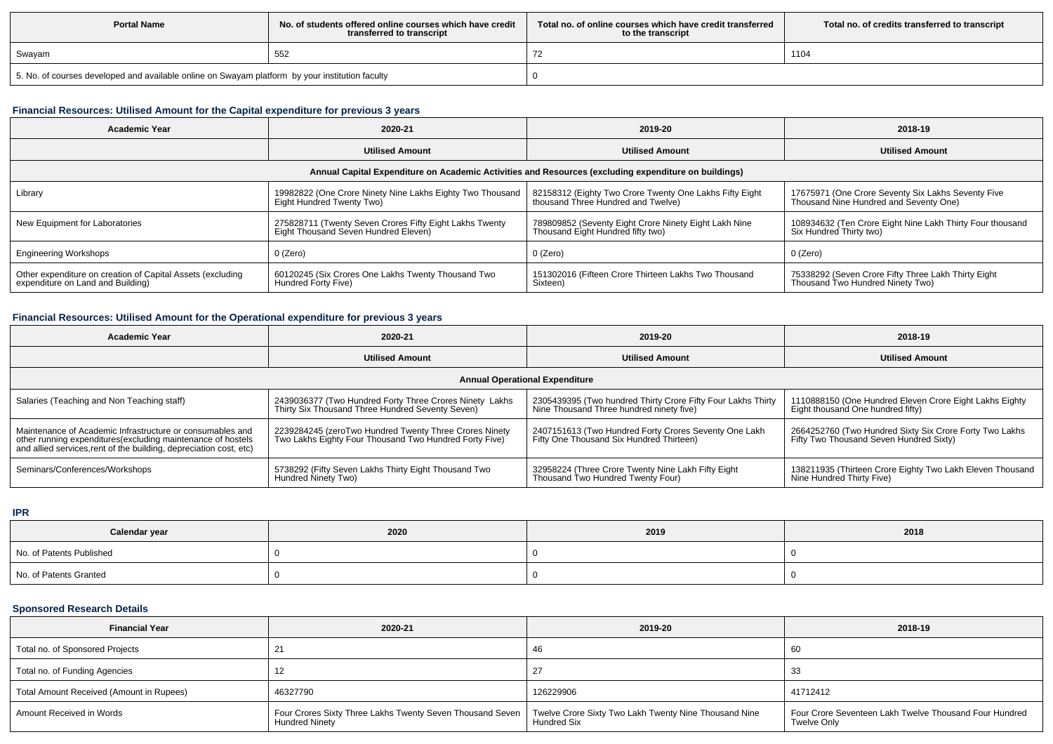| <b>Portal Name</b>                                                                              | No, of students offered online courses which have credit<br>transferred to transcript | Total no. of online courses which have credit transferred<br>to the transcript | Total no. of credits transferred to transcript |
|-------------------------------------------------------------------------------------------------|---------------------------------------------------------------------------------------|--------------------------------------------------------------------------------|------------------------------------------------|
| Swayam                                                                                          | 552                                                                                   |                                                                                | 1104                                           |
| 5. No. of courses developed and available online on Swayam platform by your institution faculty |                                                                                       |                                                                                |                                                |

# **Financial Resources: Utilised Amount for the Capital expenditure for previous 3 years**

| Academic Year                                                                                        | 2020-21                                                                                         | 2019-20                                                                                       | 2018-19                                                                                      |  |  |  |  |  |
|------------------------------------------------------------------------------------------------------|-------------------------------------------------------------------------------------------------|-----------------------------------------------------------------------------------------------|----------------------------------------------------------------------------------------------|--|--|--|--|--|
|                                                                                                      | <b>Utilised Amount</b>                                                                          | <b>Utilised Amount</b>                                                                        | <b>Utilised Amount</b>                                                                       |  |  |  |  |  |
| Annual Capital Expenditure on Academic Activities and Resources (excluding expenditure on buildings) |                                                                                                 |                                                                                               |                                                                                              |  |  |  |  |  |
| Library                                                                                              | 19982822 (One Crore Ninety Nine Lakhs Eighty Two Thousand<br>Eight Hundred Twenty Two)          | 82158312 (Eighty Two Crore Twenty One Lakhs Fifty Eight<br>thousand Three Hundred and Twelve) | 17675971 (One Crore Seventy Six Lakhs Seventy Five<br>Thousand Nine Hundred and Seventy One) |  |  |  |  |  |
| New Equipment for Laboratories                                                                       | 275828711 (Twenty Seven Crores Fifty Eight Lakhs Twenty<br>Eight Thousand Seven Hundred Eleven) | 789809852 (Seventy Eight Crore Ninety Eight Lakh Nine<br>Thousand Eight Hundred fifty two)    | 108934632 (Ten Crore Eight Nine Lakh Thirty Four thousand<br>Six Hundred Thirty two)         |  |  |  |  |  |
| <b>Engineering Workshops</b>                                                                         | $0$ (Zero)                                                                                      | 0 (Zero)                                                                                      | 0 (Zero)                                                                                     |  |  |  |  |  |
| Other expenditure on creation of Capital Assets (excluding<br>expenditure on Land and Building)      | 60120245 (Six Crores One Lakhs Twenty Thousand Two<br>Hundred Forty Five)                       | 151302016 (Fifteen Crore Thirteen Lakhs Two Thousand<br>Sixteen)                              | 75338292 (Seven Crore Fifty Three Lakh Thirty Eight<br>Thousand Two Hundred Ninety Two)      |  |  |  |  |  |

## **Financial Resources: Utilised Amount for the Operational expenditure for previous 3 years**

| <b>Academic Year</b>                                                                                                                                                                            | 2020-21                                                                                                          | 2019-20                                                                                                  | 2018-19                                                                                            |  |  |  |  |  |
|-------------------------------------------------------------------------------------------------------------------------------------------------------------------------------------------------|------------------------------------------------------------------------------------------------------------------|----------------------------------------------------------------------------------------------------------|----------------------------------------------------------------------------------------------------|--|--|--|--|--|
|                                                                                                                                                                                                 | <b>Utilised Amount</b>                                                                                           | <b>Utilised Amount</b>                                                                                   | <b>Utilised Amount</b>                                                                             |  |  |  |  |  |
| <b>Annual Operational Expenditure</b>                                                                                                                                                           |                                                                                                                  |                                                                                                          |                                                                                                    |  |  |  |  |  |
| Salaries (Teaching and Non Teaching staff)                                                                                                                                                      | 2439036377 (Two Hundred Forty Three Crores Ninety Lakhs<br>Thirty Six Thousand Three Hundred Seventy Seven)      | 2305439395 (Two hundred Thirty Crore Fifty Four Lakhs Thirty<br>Nine Thousand Three hundred ninety five) | 1110888150 (One Hundred Eleven Crore Eight Lakhs Eighty<br>Eight thousand One hundred fifty)       |  |  |  |  |  |
| Maintenance of Academic Infrastructure or consumables and<br>other running expenditures (excluding maintenance of hostels<br>and allied services, rent of the building, depreciation cost, etc) | 2239284245 (zeroTwo Hundred Twenty Three Crores Ninety<br>Two Lakhs Eighty Four Thousand Two Hundred Forty Five) | 2407151613 (Two Hundred Forty Crores Seventy One Lakh<br>Fifty One Thousand Six Hundred Thirteen)        | 2664252760 (Two Hundred Sixty Six Crore Forty Two Lakhs<br>Fifty Two Thousand Seven Hundred Sixty) |  |  |  |  |  |
| Seminars/Conferences/Workshops                                                                                                                                                                  | 5738292 (Fifty Seven Lakhs Thirty Eight Thousand Two<br>Hundred Ninety Two)                                      | 32958224 (Three Crore Twenty Nine Lakh Fifty Eight<br>Thousand Two Hundred Twenty Four)                  | 138211935 (Thirteen Crore Eighty Two Lakh Eleven Thousand<br>Nine Hundred Thirty Five)             |  |  |  |  |  |

**IPR**

| Calendar year            | 2020 | 2019 | 2018 |  |
|--------------------------|------|------|------|--|
| No. of Patents Published |      |      |      |  |
| No. of Patents Granted   |      |      |      |  |

## **Sponsored Research Details**

| <b>Financial Year</b>                    | 2020-21                                                                                                                                    | 2019-20     | 2018-19                                                                      |  |
|------------------------------------------|--------------------------------------------------------------------------------------------------------------------------------------------|-------------|------------------------------------------------------------------------------|--|
| Total no. of Sponsored Projects          |                                                                                                                                            | -46         | 60                                                                           |  |
| Total no. of Funding Agencies            |                                                                                                                                            | 27          |                                                                              |  |
| Total Amount Received (Amount in Rupees) | 46327790                                                                                                                                   | 126229906   | 41712412                                                                     |  |
| Amount Received in Words                 | Four Crores Sixty Three Lakhs Twenty Seven Thousand Seven   Twelve Crore Sixty Two Lakh Twenty Nine Thousand Nine<br><b>Hundred Ninety</b> | Hundred Six | Four Crore Seventeen Lakh Twelve Thousand Four Hundred<br><b>Twelve Only</b> |  |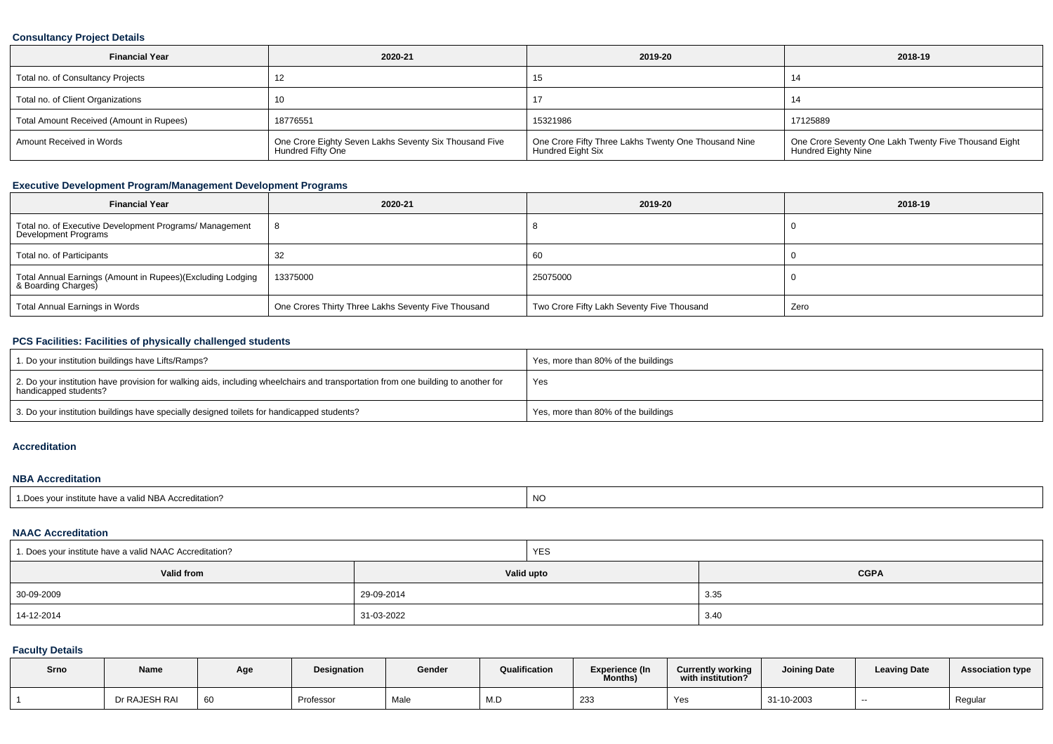### **Consultancy Project Details**

| <b>Financial Year</b><br>2020-21         |                                                                             | 2019-20                                                                   | 2018-19                                                                             |  |
|------------------------------------------|-----------------------------------------------------------------------------|---------------------------------------------------------------------------|-------------------------------------------------------------------------------------|--|
| Total no. of Consultancy Projects        |                                                                             | 15                                                                        |                                                                                     |  |
| Total no. of Client Organizations        |                                                                             |                                                                           |                                                                                     |  |
| Total Amount Received (Amount in Rupees) | 18776551                                                                    | 15321986                                                                  | 17125889                                                                            |  |
| Amount Received in Words                 | One Crore Eighty Seven Lakhs Seventy Six Thousand Five<br>Hundred Fifty One | One Crore Fifty Three Lakhs Twenty One Thousand Nine<br>Hundred Eight Six | One Crore Seventy One Lakh Twenty Five Thousand Eight<br><b>Hundred Eighty Nine</b> |  |

## **Executive Development Program/Management Development Programs**

| <b>Financial Year</b>                                                             | 2020-21                                             | 2019-20                                    | 2018-19 |
|-----------------------------------------------------------------------------------|-----------------------------------------------------|--------------------------------------------|---------|
| Total no. of Executive Development Programs/ Management<br>Development Programs   |                                                     |                                            |         |
| Total no. of Participants                                                         | -32                                                 | 60                                         |         |
| Total Annual Earnings (Amount in Rupees)(Excluding Lodging<br>& Boarding Charges) | 13375000                                            | 25075000                                   |         |
| Total Annual Earnings in Words                                                    | One Crores Thirty Three Lakhs Seventy Five Thousand | Two Crore Fifty Lakh Seventy Five Thousand | Zero    |

## **PCS Facilities: Facilities of physically challenged students**

| 1. Do your institution buildings have Lifts/Ramps?                                                                                                         | Yes, more than 80% of the buildings |
|------------------------------------------------------------------------------------------------------------------------------------------------------------|-------------------------------------|
| 2. Do your institution have provision for walking aids, including wheelchairs and transportation from one building to another for<br>handicapped students? | Yes                                 |
| 3. Do your institution buildings have specially designed toilets for handicapped students?                                                                 | Yes, more than 80% of the buildings |

#### **Accreditation**

### **NBA Accreditation**

| 1. Does your institute have a valid NBA Accreditation? | NC |
|--------------------------------------------------------|----|
|--------------------------------------------------------|----|

#### **NAAC Accreditation**

| 1. Does your institute have a valid NAAC Accreditation? |            | <b>YES</b> |             |  |  |
|---------------------------------------------------------|------------|------------|-------------|--|--|
| Valid from                                              | Valid upto |            | <b>CGPA</b> |  |  |
| 30-09-2009                                              | 29-09-2014 |            | 3.35        |  |  |
| 14-12-2014                                              | 31-03-2022 |            | 3.40        |  |  |

### **Faculty Details**

| Srno | Name          | Age | Designation | Gender | Qualification     | <b>Experience (In</b><br>Months) | <b>Currently working</b><br>with institution? | <b>Joining Date</b> | <b>Leaving Date</b> | <b>Association type</b> |
|------|---------------|-----|-------------|--------|-------------------|----------------------------------|-----------------------------------------------|---------------------|---------------------|-------------------------|
|      | Dr RAJESH RAI | 60  | Professor   | Male   | <b>A</b><br>171.L | 233                              | Yes                                           | 31-10-2003          | --                  | Regular                 |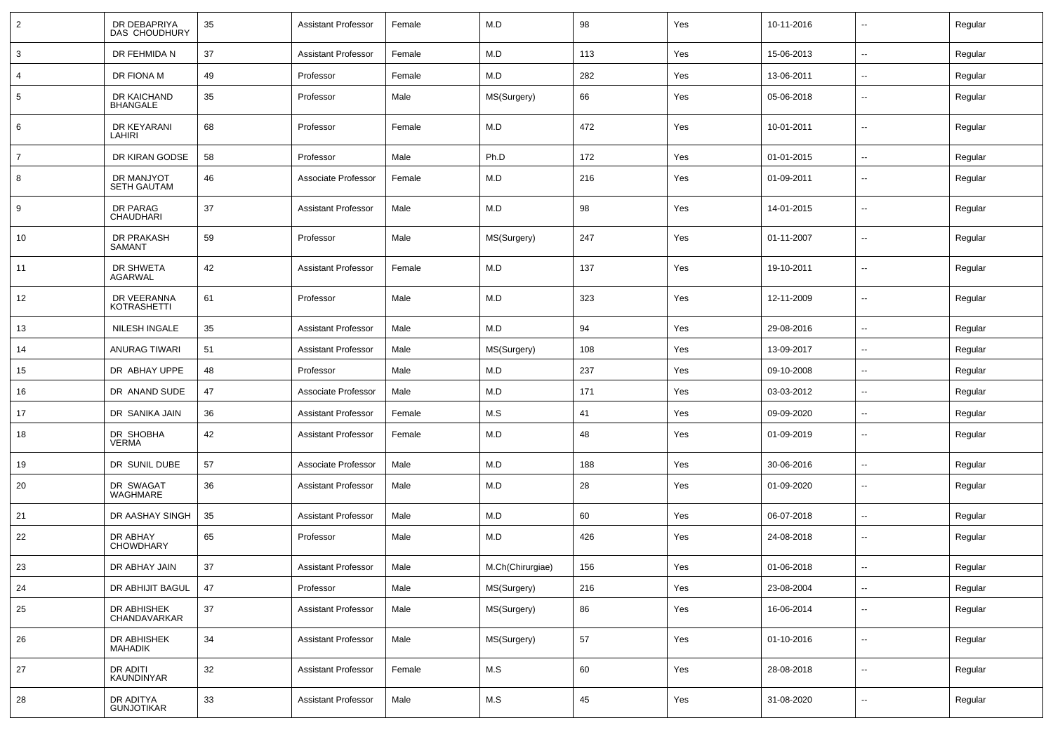| $\overline{2}$ | DR DEBAPRIYA<br>DAS CHOUDHURY    | 35     | <b>Assistant Professor</b> | Female | M.D              | 98  | Yes | 10-11-2016 | $\sim$                   | Regular |
|----------------|----------------------------------|--------|----------------------------|--------|------------------|-----|-----|------------|--------------------------|---------|
| $\mathbf{3}$   | DR FEHMIDA N                     | 37     | <b>Assistant Professor</b> | Female | M.D              | 113 | Yes | 15-06-2013 | $\sim$                   | Regular |
| $\overline{4}$ | DR FIONA M                       | 49     | Professor                  | Female | M.D              | 282 | Yes | 13-06-2011 | $\overline{\phantom{a}}$ | Regular |
| 5              | DR KAICHAND<br><b>BHANGALE</b>   | 35     | Professor                  | Male   | MS(Surgery)      | 66  | Yes | 05-06-2018 | --                       | Regular |
| 6              | DR KEYARANI<br>LAHIRI            | 68     | Professor                  | Female | M.D              | 472 | Yes | 10-01-2011 | $\overline{\phantom{a}}$ | Regular |
| $\overline{7}$ | DR KIRAN GODSE                   | 58     | Professor                  | Male   | Ph.D             | 172 | Yes | 01-01-2015 | $\mathbf{u}$             | Regular |
| 8              | DR MANJYOT<br><b>SETH GAUTAM</b> | 46     | Associate Professor        | Female | M.D              | 216 | Yes | 01-09-2011 | $-$                      | Regular |
| 9              | DR PARAG<br>CHAUDHARI            | 37     | <b>Assistant Professor</b> | Male   | M.D              | 98  | Yes | 14-01-2015 | ۰.                       | Regular |
| 10             | DR PRAKASH<br>SAMANT             | 59     | Professor                  | Male   | MS(Surgery)      | 247 | Yes | 01-11-2007 | $-$                      | Regular |
| 11             | DR SHWETA<br>AGARWAL             | 42     | <b>Assistant Professor</b> | Female | M.D              | 137 | Yes | 19-10-2011 | ۰.                       | Regular |
| 12             | DR VEERANNA<br>KOTRASHETTI       | 61     | Professor                  | Male   | M.D              | 323 | Yes | 12-11-2009 | $-$                      | Regular |
| 13             | NILESH INGALE                    | 35     | <b>Assistant Professor</b> | Male   | M.D              | 94  | Yes | 29-08-2016 | $\overline{\phantom{a}}$ | Regular |
| 14             | <b>ANURAG TIWARI</b>             | 51     | <b>Assistant Professor</b> | Male   | MS(Surgery)      | 108 | Yes | 13-09-2017 | $\mathbf{u}$             | Regular |
| 15             | DR ABHAY UPPE                    | 48     | Professor                  | Male   | M.D              | 237 | Yes | 09-10-2008 | $\overline{\phantom{a}}$ | Regular |
| 16             | DR ANAND SUDE                    | 47     | Associate Professor        | Male   | M.D              | 171 | Yes | 03-03-2012 | $\sim$                   | Regular |
| 17             | DR SANIKA JAIN                   | 36     | <b>Assistant Professor</b> | Female | M.S              | 41  | Yes | 09-09-2020 | $\overline{\phantom{a}}$ | Regular |
| 18             | DR SHOBHA<br><b>VERMA</b>        | 42     | <b>Assistant Professor</b> | Female | M.D              | 48  | Yes | 01-09-2019 | $\overline{\phantom{a}}$ | Regular |
| 19             | DR SUNIL DUBE                    | 57     | Associate Professor        | Male   | M.D              | 188 | Yes | 30-06-2016 | --                       | Regular |
| 20             | DR SWAGAT<br>WAGHMARE            | 36     | <b>Assistant Professor</b> | Male   | M.D              | 28  | Yes | 01-09-2020 | $\overline{\phantom{a}}$ | Regular |
| 21             | DR AASHAY SINGH                  | 35     | <b>Assistant Professor</b> | Male   | M.D              | 60  | Yes | 06-07-2018 | $\overline{\phantom{a}}$ | Regular |
| 22             | DR ABHAY<br><b>CHOWDHARY</b>     | 65     | Professor                  | Male   | M.D              | 426 | Yes | 24-08-2018 | --                       | Regular |
| 23             | DR ABHAY JAIN                    | 37     | <b>Assistant Professor</b> | Male   | M.Ch(Chirurgiae) | 156 | Yes | 01-06-2018 | $\overline{\phantom{a}}$ | Regular |
| 24             | DR ABHIJIT BAGUL                 | 47     | Professor                  | Male   | MS(Surgery)      | 216 | Yes | 23-08-2004 | $\sim$                   | Regular |
| 25             | DR ABHISHEK<br>CHANDAVARKAR      | $37\,$ | <b>Assistant Professor</b> | Male   | MS(Surgery)      | 86  | Yes | 16-06-2014 | $\sim$                   | Regular |
| 26             | DR ABHISHEK<br><b>MAHADIK</b>    | 34     | <b>Assistant Professor</b> | Male   | MS(Surgery)      | 57  | Yes | 01-10-2016 | $\overline{\phantom{a}}$ | Regular |
| 27             | DR ADITI<br>KAUNDINYAR           | 32     | <b>Assistant Professor</b> | Female | M.S              | 60  | Yes | 28-08-2018 | $\sim$                   | Regular |
| 28             | DR ADITYA<br><b>GUNJOTIKAR</b>   | 33     | <b>Assistant Professor</b> | Male   | M.S              | 45  | Yes | 31-08-2020 | $\overline{\phantom{a}}$ | Regular |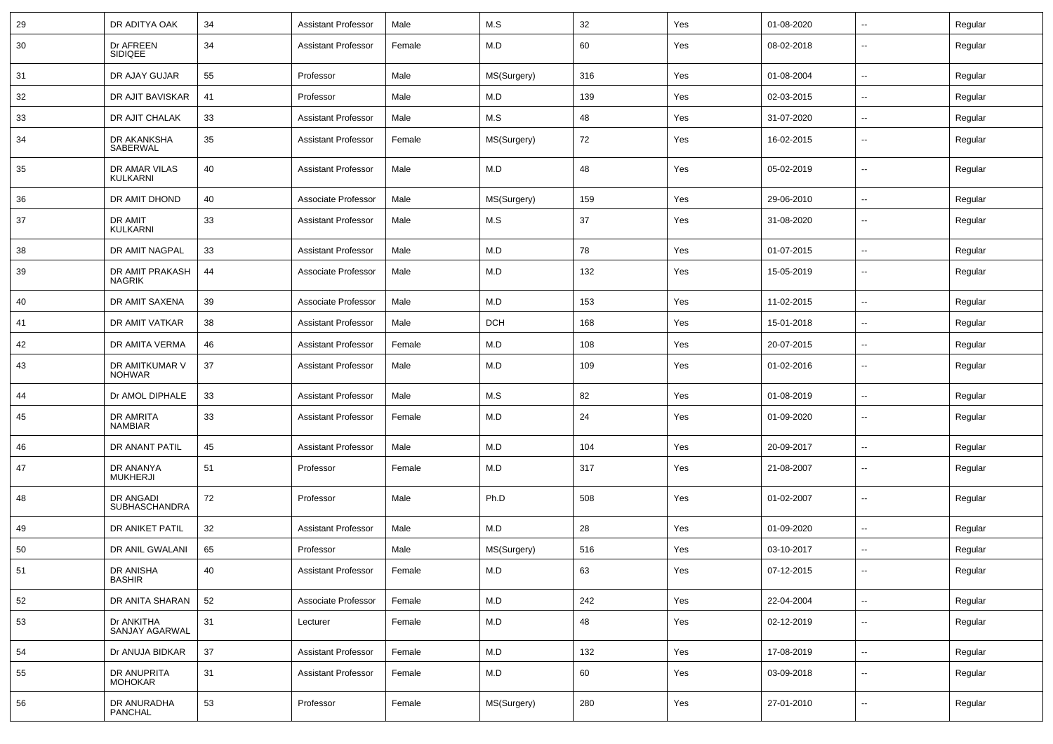| 29 | DR ADITYA OAK                     | 34 | <b>Assistant Professor</b> | Male   | M.S         | 32  | Yes | 01-08-2020 | $\overline{\phantom{a}}$ | Regular |
|----|-----------------------------------|----|----------------------------|--------|-------------|-----|-----|------------|--------------------------|---------|
| 30 | Dr AFREEN<br><b>SIDIQEE</b>       | 34 | <b>Assistant Professor</b> | Female | M.D         | 60  | Yes | 08-02-2018 | --                       | Regular |
| 31 | DR AJAY GUJAR                     | 55 | Professor                  | Male   | MS(Surgery) | 316 | Yes | 01-08-2004 | --                       | Regular |
| 32 | DR AJIT BAVISKAR                  | 41 | Professor                  | Male   | M.D         | 139 | Yes | 02-03-2015 | $\sim$                   | Regular |
| 33 | DR AJIT CHALAK                    | 33 | <b>Assistant Professor</b> | Male   | M.S         | 48  | Yes | 31-07-2020 | $\overline{\phantom{a}}$ | Regular |
| 34 | DR AKANKSHA<br>SABERWAL           | 35 | <b>Assistant Professor</b> | Female | MS(Surgery) | 72  | Yes | 16-02-2015 | --                       | Regular |
| 35 | DR AMAR VILAS<br><b>KULKARNI</b>  | 40 | <b>Assistant Professor</b> | Male   | M.D         | 48  | Yes | 05-02-2019 | --                       | Regular |
| 36 | DR AMIT DHOND                     | 40 | Associate Professor        | Male   | MS(Surgery) | 159 | Yes | 29-06-2010 | Ξ.                       | Regular |
| 37 | DR AMIT<br><b>KULKARNI</b>        | 33 | <b>Assistant Professor</b> | Male   | M.S         | 37  | Yes | 31-08-2020 | $\overline{\phantom{a}}$ | Regular |
| 38 | DR AMIT NAGPAL                    | 33 | <b>Assistant Professor</b> | Male   | M.D         | 78  | Yes | 01-07-2015 | $\sim$                   | Regular |
| 39 | DR AMIT PRAKASH<br><b>NAGRIK</b>  | 44 | Associate Professor        | Male   | M.D         | 132 | Yes | 15-05-2019 | $\overline{\phantom{a}}$ | Regular |
| 40 | DR AMIT SAXENA                    | 39 | Associate Professor        | Male   | M.D         | 153 | Yes | 11-02-2015 | $\overline{\phantom{a}}$ | Regular |
| 41 | DR AMIT VATKAR                    | 38 | <b>Assistant Professor</b> | Male   | <b>DCH</b>  | 168 | Yes | 15-01-2018 | --                       | Regular |
| 42 | DR AMITA VERMA                    | 46 | <b>Assistant Professor</b> | Female | M.D         | 108 | Yes | 20-07-2015 | Ξ.                       | Regular |
| 43 | DR AMITKUMAR V<br><b>NOHWAR</b>   | 37 | <b>Assistant Professor</b> | Male   | M.D         | 109 | Yes | 01-02-2016 | $\overline{\phantom{a}}$ | Regular |
| 44 | Dr AMOL DIPHALE                   | 33 | <b>Assistant Professor</b> | Male   | M.S         | 82  | Yes | 01-08-2019 | $\overline{\phantom{a}}$ | Regular |
| 45 | DR AMRITA<br><b>NAMBIAR</b>       | 33 | <b>Assistant Professor</b> | Female | M.D         | 24  | Yes | 01-09-2020 | --                       | Regular |
| 46 | DR ANANT PATIL                    | 45 | <b>Assistant Professor</b> | Male   | M.D         | 104 | Yes | 20-09-2017 | --                       | Regular |
| 47 | DR ANANYA<br><b>MUKHERJI</b>      | 51 | Professor                  | Female | M.D         | 317 | Yes | 21-08-2007 | $\overline{a}$           | Regular |
| 48 | DR ANGADI<br><b>SUBHASCHANDRA</b> | 72 | Professor                  | Male   | Ph.D        | 508 | Yes | 01-02-2007 | $\sim$                   | Regular |
| 49 | DR ANIKET PATIL                   | 32 | <b>Assistant Professor</b> | Male   | M.D         | 28  | Yes | 01-09-2020 | $\sim$                   | Regular |
| 50 | DR ANIL GWALANI                   | 65 | Professor                  | Male   | MS(Surgery) | 516 | Yes | 03-10-2017 | $\overline{\phantom{a}}$ | Regular |
| 51 | DR ANISHA<br><b>BASHIR</b>        | 40 | <b>Assistant Professor</b> | Female | M.D         | 63  | Yes | 07-12-2015 | $\sim$                   | Regular |
| 52 | DR ANITA SHARAN                   | 52 | Associate Professor        | Female | M.D         | 242 | Yes | 22-04-2004 | --                       | Regular |
| 53 | Dr ANKITHA<br>SANJAY AGARWAL      | 31 | Lecturer                   | Female | M.D         | 48  | Yes | 02-12-2019 | u.                       | Regular |
| 54 | Dr ANUJA BIDKAR                   | 37 | <b>Assistant Professor</b> | Female | M.D         | 132 | Yes | 17-08-2019 | $\overline{\phantom{a}}$ | Regular |
| 55 | DR ANUPRITA<br><b>MOHOKAR</b>     | 31 | <b>Assistant Professor</b> | Female | M.D         | 60  | Yes | 03-09-2018 | $\overline{\phantom{a}}$ | Regular |
| 56 | DR ANURADHA<br><b>PANCHAL</b>     | 53 | Professor                  | Female | MS(Surgery) | 280 | Yes | 27-01-2010 | $\overline{\phantom{a}}$ | Regular |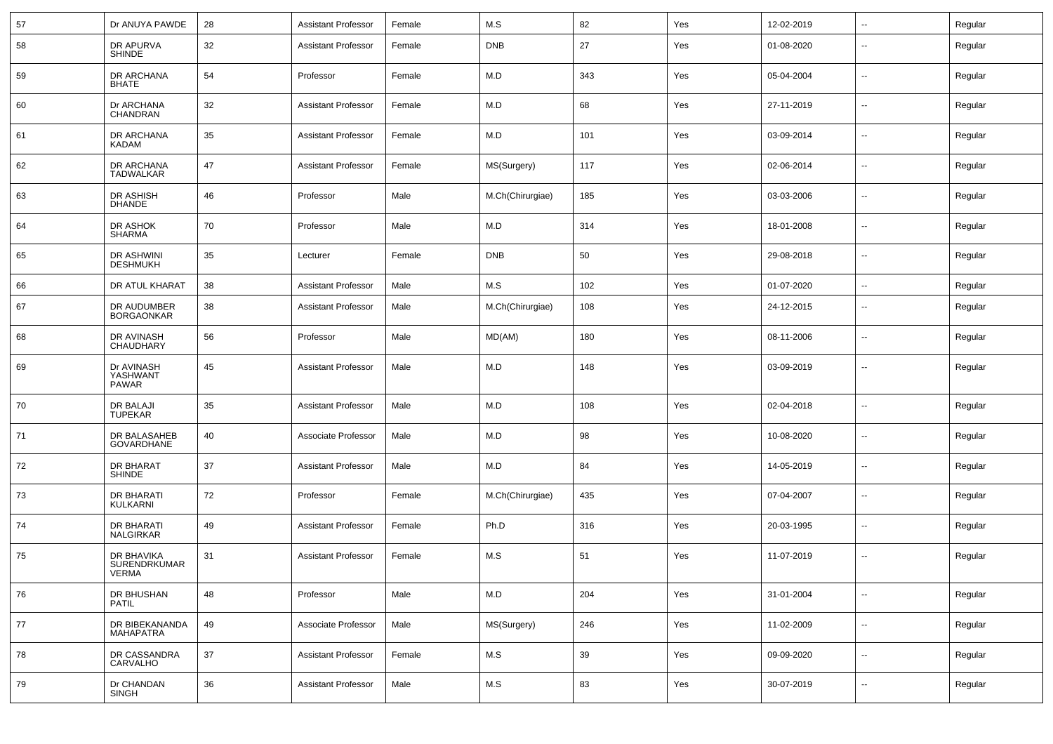| 57 | Dr ANUYA PAWDE                         | 28 | <b>Assistant Professor</b> | Female | M.S              | 82  | Yes | 12-02-2019 | $\overline{\phantom{a}}$ | Regular |
|----|----------------------------------------|----|----------------------------|--------|------------------|-----|-----|------------|--------------------------|---------|
| 58 | DR APURVA<br><b>SHINDE</b>             | 32 | <b>Assistant Professor</b> | Female | <b>DNB</b>       | 27  | Yes | 01-08-2020 | $\overline{\phantom{a}}$ | Regular |
| 59 | DR ARCHANA<br>BHATE                    | 54 | Professor                  | Female | M.D              | 343 | Yes | 05-04-2004 | $\overline{\phantom{a}}$ | Regular |
| 60 | Dr ARCHANA<br>CHANDRAN                 | 32 | <b>Assistant Professor</b> | Female | M.D              | 68  | Yes | 27-11-2019 | $\overline{\phantom{a}}$ | Regular |
| 61 | DR ARCHANA<br><b>KADAM</b>             | 35 | <b>Assistant Professor</b> | Female | M.D              | 101 | Yes | 03-09-2014 | $\overline{\phantom{a}}$ | Regular |
| 62 | DR ARCHANA<br>TADWALKAR                | 47 | <b>Assistant Professor</b> | Female | MS(Surgery)      | 117 | Yes | 02-06-2014 | $\overline{\phantom{a}}$ | Regular |
| 63 | DR ASHISH<br><b>DHANDE</b>             | 46 | Professor                  | Male   | M.Ch(Chirurgiae) | 185 | Yes | 03-03-2006 | $\overline{\phantom{a}}$ | Regular |
| 64 | DR ASHOK<br><b>SHARMA</b>              | 70 | Professor                  | Male   | M.D              | 314 | Yes | 18-01-2008 | $\overline{\phantom{a}}$ | Regular |
| 65 | DR ASHWINI<br><b>DESHMUKH</b>          | 35 | Lecturer                   | Female | <b>DNB</b>       | 50  | Yes | 29-08-2018 | $\overline{\phantom{a}}$ | Regular |
| 66 | DR ATUL KHARAT                         | 38 | <b>Assistant Professor</b> | Male   | M.S              | 102 | Yes | 01-07-2020 | $\overline{\phantom{a}}$ | Regular |
| 67 | DR AUDUMBER<br><b>BORGAONKAR</b>       | 38 | <b>Assistant Professor</b> | Male   | M.Ch(Chirurgiae) | 108 | Yes | 24-12-2015 | $\overline{\phantom{a}}$ | Regular |
| 68 | DR AVINASH<br>CHAUDHARY                | 56 | Professor                  | Male   | MD(AM)           | 180 | Yes | 08-11-2006 | $\overline{\phantom{a}}$ | Regular |
| 69 | Dr AVINASH<br>YASHWANT<br><b>PAWAR</b> | 45 | <b>Assistant Professor</b> | Male   | M.D              | 148 | Yes | 03-09-2019 | $\overline{\phantom{a}}$ | Regular |
| 70 | DR BALAJI<br><b>TUPEKAR</b>            | 35 | <b>Assistant Professor</b> | Male   | M.D              | 108 | Yes | 02-04-2018 | $\overline{\phantom{a}}$ | Regular |
| 71 | DR BALASAHEB<br>GOVARDHANE             | 40 | Associate Professor        | Male   | M.D              | 98  | Yes | 10-08-2020 | $\overline{\phantom{a}}$ | Regular |
| 72 | DR BHARAT<br><b>SHINDE</b>             | 37 | <b>Assistant Professor</b> | Male   | M.D              | 84  | Yes | 14-05-2019 | $\overline{\phantom{a}}$ | Regular |
| 73 | DR BHARATI<br>KULKARNI                 | 72 | Professor                  | Female | M.Ch(Chirurgiae) | 435 | Yes | 07-04-2007 | $\overline{\phantom{a}}$ | Regular |
| 74 | DR BHARATI<br>NALGIRKAR                | 49 | <b>Assistant Professor</b> | Female | Ph.D             | 316 | Yes | 20-03-1995 | $\overline{\phantom{a}}$ | Regular |
| 75 | DR BHAVIKA<br>SURENDRKUMAR<br>VERMA    | 31 | <b>Assistant Professor</b> | Female | M.S              | 51  | Yes | 11-07-2019 | $\overline{\phantom{a}}$ | Regular |
| 76 | DR BHUSHAN<br>PATIL                    | 48 | Professor                  | Male   | M.D              | 204 | Yes | 31-01-2004 | Щ,                       | Regular |
| 77 | DR BIBEKANANDA<br>MAHAPATRA            | 49 | Associate Professor        | Male   | MS(Surgery)      | 246 | Yes | 11-02-2009 | Щ,                       | Regular |
| 78 | DR CASSANDRA<br>CARVALHO               | 37 | <b>Assistant Professor</b> | Female | M.S              | 39  | Yes | 09-09-2020 | Щ,                       | Regular |
| 79 | Dr CHANDAN<br><b>SINGH</b>             | 36 | <b>Assistant Professor</b> | Male   | M.S              | 83  | Yes | 30-07-2019 | $\overline{\phantom{a}}$ | Regular |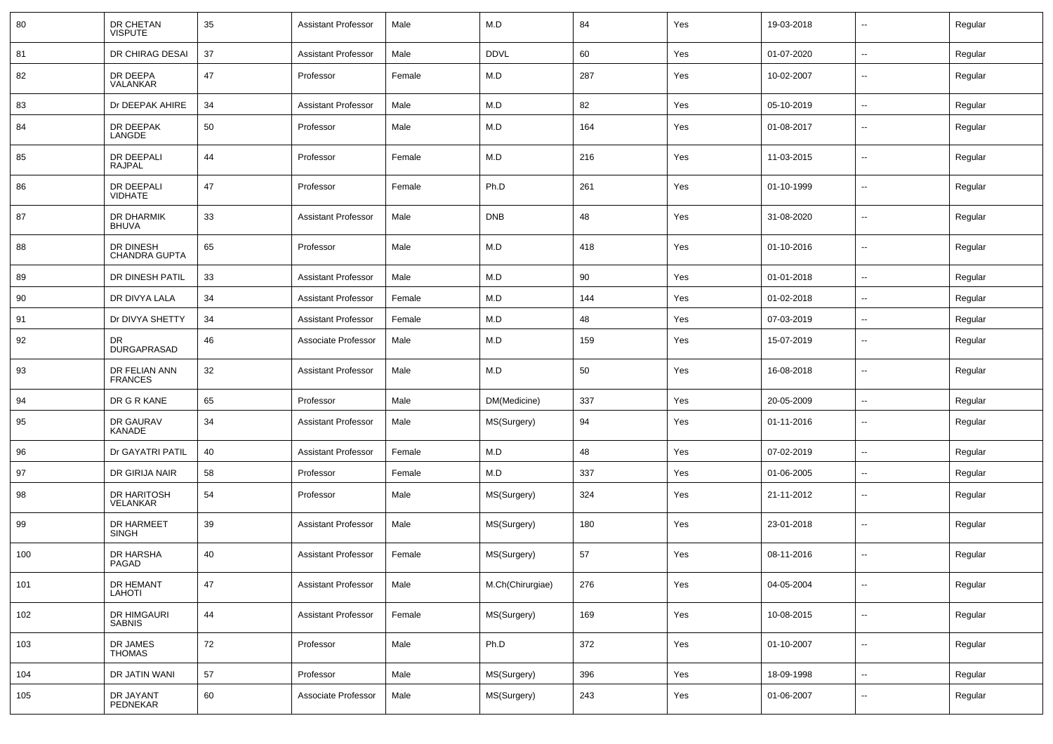| 80  | DR CHETAN<br><b>VISPUTE</b>       | 35     | <b>Assistant Professor</b> | Male   | M.D              | 84  | Yes | 19-03-2018 | $\sim$                   | Regular |
|-----|-----------------------------------|--------|----------------------------|--------|------------------|-----|-----|------------|--------------------------|---------|
| 81  | DR CHIRAG DESAI                   | 37     | <b>Assistant Professor</b> | Male   | <b>DDVL</b>      | 60  | Yes | 01-07-2020 | $\sim$                   | Regular |
| 82  | DR DEEPA<br>VALANKAR              | 47     | Professor                  | Female | M.D              | 287 | Yes | 10-02-2007 | --                       | Regular |
| 83  | Dr DEEPAK AHIRE                   | 34     | <b>Assistant Professor</b> | Male   | M.D              | 82  | Yes | 05-10-2019 | $\overline{\phantom{a}}$ | Regular |
| 84  | DR DEEPAK<br>LANGDE               | 50     | Professor                  | Male   | M.D              | 164 | Yes | 01-08-2017 | $\overline{\phantom{a}}$ | Regular |
| 85  | DR DEEPALI<br><b>RAJPAL</b>       | 44     | Professor                  | Female | M.D              | 216 | Yes | 11-03-2015 | $\overline{\phantom{a}}$ | Regular |
| 86  | DR DEEPALI<br><b>VIDHATE</b>      | 47     | Professor                  | Female | Ph.D             | 261 | Yes | 01-10-1999 | $\sim$                   | Regular |
| 87  | DR DHARMIK<br><b>BHUVA</b>        | 33     | <b>Assistant Professor</b> | Male   | <b>DNB</b>       | 48  | Yes | 31-08-2020 | $\overline{\phantom{a}}$ | Regular |
| 88  | DR DINESH<br><b>CHANDRA GUPTA</b> | 65     | Professor                  | Male   | M.D              | 418 | Yes | 01-10-2016 | $\sim$                   | Regular |
| 89  | DR DINESH PATIL                   | 33     | <b>Assistant Professor</b> | Male   | M.D              | 90  | Yes | 01-01-2018 | $\overline{\phantom{a}}$ | Regular |
| 90  | DR DIVYA LALA                     | 34     | <b>Assistant Professor</b> | Female | M.D              | 144 | Yes | 01-02-2018 | --                       | Regular |
| 91  | Dr DIVYA SHETTY                   | 34     | <b>Assistant Professor</b> | Female | M.D              | 48  | Yes | 07-03-2019 | --                       | Regular |
| 92  | DR.<br><b>DURGAPRASAD</b>         | 46     | Associate Professor        | Male   | M.D              | 159 | Yes | 15-07-2019 | $\sim$                   | Regular |
| 93  | DR FELIAN ANN<br><b>FRANCES</b>   | 32     | <b>Assistant Professor</b> | Male   | M.D              | 50  | Yes | 16-08-2018 | $\sim$                   | Regular |
| 94  | DR G R KANE                       | 65     | Professor                  | Male   | DM(Medicine)     | 337 | Yes | 20-05-2009 | $\overline{\phantom{a}}$ | Regular |
| 95  | <b>DR GAURAV</b><br>KANADE        | 34     | <b>Assistant Professor</b> | Male   | MS(Surgery)      | 94  | Yes | 01-11-2016 | $\overline{\phantom{a}}$ | Regular |
| 96  | Dr GAYATRI PATIL                  | 40     | <b>Assistant Professor</b> | Female | M.D              | 48  | Yes | 07-02-2019 | $\sim$                   | Regular |
| 97  | DR GIRIJA NAIR                    | 58     | Professor                  | Female | M.D              | 337 | Yes | 01-06-2005 | --                       | Regular |
| 98  | DR HARITOSH<br><b>VELANKAR</b>    | 54     | Professor                  | Male   | MS(Surgery)      | 324 | Yes | 21-11-2012 | $\overline{\phantom{a}}$ | Regular |
| 99  | DR HARMEET<br><b>SINGH</b>        | 39     | <b>Assistant Professor</b> | Male   | MS(Surgery)      | 180 | Yes | 23-01-2018 | $\sim$                   | Regular |
| 100 | DR HARSHA<br>PAGAD                | 40     | Assistant Professor        | Female | MS(Surgery)      | 57  | Yes | 08-11-2016 | --                       | Regular |
| 101 | DR HEMANT<br>LAHOTI               | 47     | <b>Assistant Professor</b> | Male   | M.Ch(Chirurgiae) | 276 | Yes | 04-05-2004 | $\sim$                   | Regular |
| 102 | DR HIMGAURI<br>SABNIS             | $44\,$ | <b>Assistant Professor</b> | Female | MS(Surgery)      | 169 | Yes | 10-08-2015 | $\sim$                   | Regular |
| 103 | DR JAMES<br>THOMAS                | 72     | Professor                  | Male   | Ph.D             | 372 | Yes | 01-10-2007 | $\sim$                   | Regular |
| 104 | DR JATIN WANI                     | 57     | Professor                  | Male   | MS(Surgery)      | 396 | Yes | 18-09-1998 | $\overline{\phantom{a}}$ | Regular |
| 105 | DR JAYANT<br>PEDNEKAR             | 60     | Associate Professor        | Male   | MS(Surgery)      | 243 | Yes | 01-06-2007 | --                       | Regular |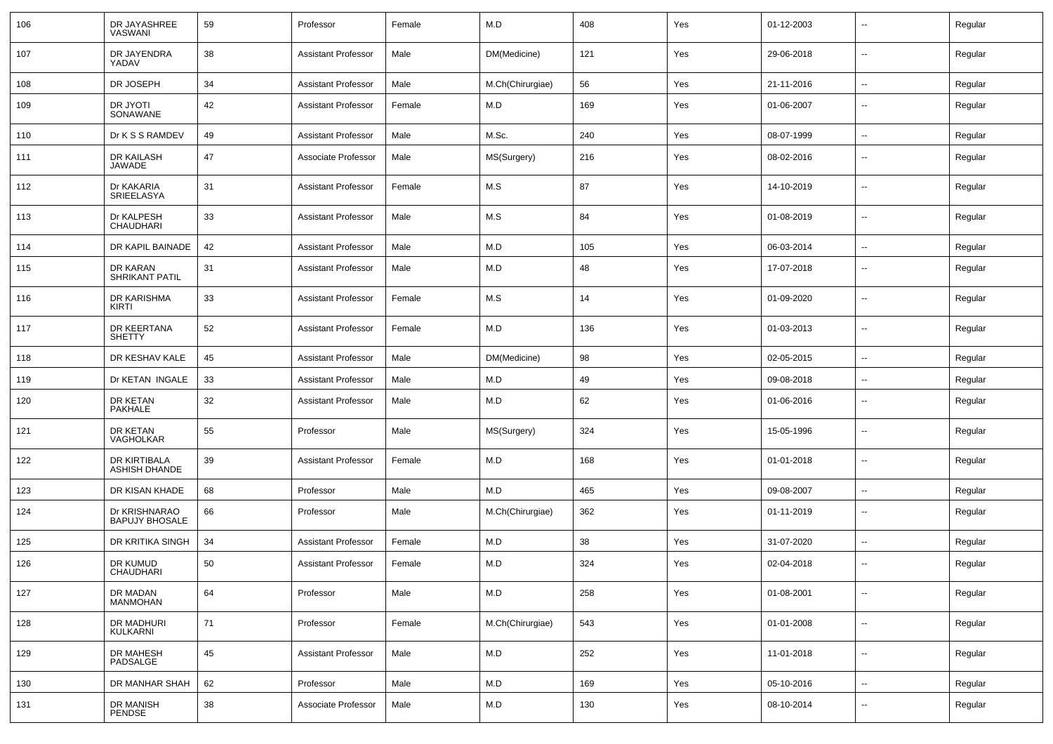| 106 | DR JAYASHREE<br><b>VASWANI</b>         | 59 | Professor                  | Female | M.D              | 408 | Yes | 01-12-2003 | $\sim$                   | Regular |
|-----|----------------------------------------|----|----------------------------|--------|------------------|-----|-----|------------|--------------------------|---------|
| 107 | DR JAYENDRA<br>YADAV                   | 38 | <b>Assistant Professor</b> | Male   | DM(Medicine)     | 121 | Yes | 29-06-2018 | $\overline{\phantom{a}}$ | Regular |
| 108 | DR JOSEPH                              | 34 | <b>Assistant Professor</b> | Male   | M.Ch(Chirurgiae) | 56  | Yes | 21-11-2016 | $\sim$                   | Regular |
| 109 | DR JYOTI<br>SONAWANE                   | 42 | <b>Assistant Professor</b> | Female | M.D              | 169 | Yes | 01-06-2007 | $\overline{\phantom{a}}$ | Regular |
| 110 | Dr K S S RAMDEV                        | 49 | <b>Assistant Professor</b> | Male   | M.Sc.            | 240 | Yes | 08-07-1999 | $\sim$                   | Regular |
| 111 | DR KAILASH<br>JAWADE                   | 47 | Associate Professor        | Male   | MS(Surgery)      | 216 | Yes | 08-02-2016 | $\overline{\phantom{a}}$ | Regular |
| 112 | Dr KAKARIA<br>SRIEELASYA               | 31 | <b>Assistant Professor</b> | Female | M.S              | 87  | Yes | 14-10-2019 | $\overline{\phantom{a}}$ | Regular |
| 113 | Dr KALPESH<br><b>CHAUDHARI</b>         | 33 | <b>Assistant Professor</b> | Male   | M.S              | 84  | Yes | 01-08-2019 | $\overline{\phantom{a}}$ | Regular |
| 114 | DR KAPIL BAINADE                       | 42 | <b>Assistant Professor</b> | Male   | M.D              | 105 | Yes | 06-03-2014 | $\overline{\phantom{a}}$ | Regular |
| 115 | DR KARAN<br><b>SHRIKANT PATIL</b>      | 31 | <b>Assistant Professor</b> | Male   | M.D              | 48  | Yes | 17-07-2018 | $\sim$                   | Regular |
| 116 | DR KARISHMA<br>KIRTI                   | 33 | Assistant Professor        | Female | M.S              | 14  | Yes | 01-09-2020 | $\overline{\phantom{a}}$ | Regular |
| 117 | DR KEERTANA<br><b>SHETTY</b>           | 52 | <b>Assistant Professor</b> | Female | M.D              | 136 | Yes | 01-03-2013 | $\sim$                   | Regular |
| 118 | DR KESHAV KALE                         | 45 | <b>Assistant Professor</b> | Male   | DM(Medicine)     | 98  | Yes | 02-05-2015 | $\sim$                   | Regular |
| 119 | Dr KETAN INGALE                        | 33 | <b>Assistant Professor</b> | Male   | M.D              | 49  | Yes | 09-08-2018 | $\sim$                   | Regular |
| 120 | DR KETAN<br><b>PAKHALE</b>             | 32 | <b>Assistant Professor</b> | Male   | M.D              | 62  | Yes | 01-06-2016 | $\sim$                   | Regular |
| 121 | DR KETAN<br>VAGHOLKAR                  | 55 | Professor                  | Male   | MS(Surgery)      | 324 | Yes | 15-05-1996 | $\sim$                   | Regular |
| 122 | DR KIRTIBALA<br><b>ASHISH DHANDE</b>   | 39 | <b>Assistant Professor</b> | Female | M.D              | 168 | Yes | 01-01-2018 | $\sim$                   | Regular |
| 123 | DR KISAN KHADE                         | 68 | Professor                  | Male   | M.D              | 465 | Yes | 09-08-2007 | $\sim$                   | Regular |
| 124 | Dr KRISHNARAO<br><b>BAPUJY BHOSALE</b> | 66 | Professor                  | Male   | M.Ch(Chirurgiae) | 362 | Yes | 01-11-2019 | $\overline{\phantom{a}}$ | Regular |
| 125 | DR KRITIKA SINGH                       | 34 | <b>Assistant Professor</b> | Female | M.D              | 38  | Yes | 31-07-2020 | $\sim$                   | Regular |
| 126 | DR KUMUD<br>CHAUDHARI                  | 50 | <b>Assistant Professor</b> | Female | M.D              | 324 | Yes | 02-04-2018 | $\overline{\phantom{a}}$ | Regular |
| 127 | DR MADAN<br><b>MANMOHAN</b>            | 64 | Professor                  | Male   | M.D              | 258 | Yes | 01-08-2001 | $\sim$                   | Regular |
| 128 | DR MADHURI<br>KULKARNI                 | 71 | Professor                  | Female | M.Ch(Chirurgiae) | 543 | Yes | 01-01-2008 | $\sim$                   | Regular |
| 129 | DR MAHESH<br>PADSALGE                  | 45 | <b>Assistant Professor</b> | Male   | M.D              | 252 | Yes | 11-01-2018 | $\sim$                   | Regular |
| 130 | DR MANHAR SHAH                         | 62 | Professor                  | Male   | M.D              | 169 | Yes | 05-10-2016 | $\sim$                   | Regular |
| 131 | DR MANISH<br>PENDSE                    | 38 | Associate Professor        | Male   | M.D              | 130 | Yes | 08-10-2014 | $\overline{\phantom{a}}$ | Regular |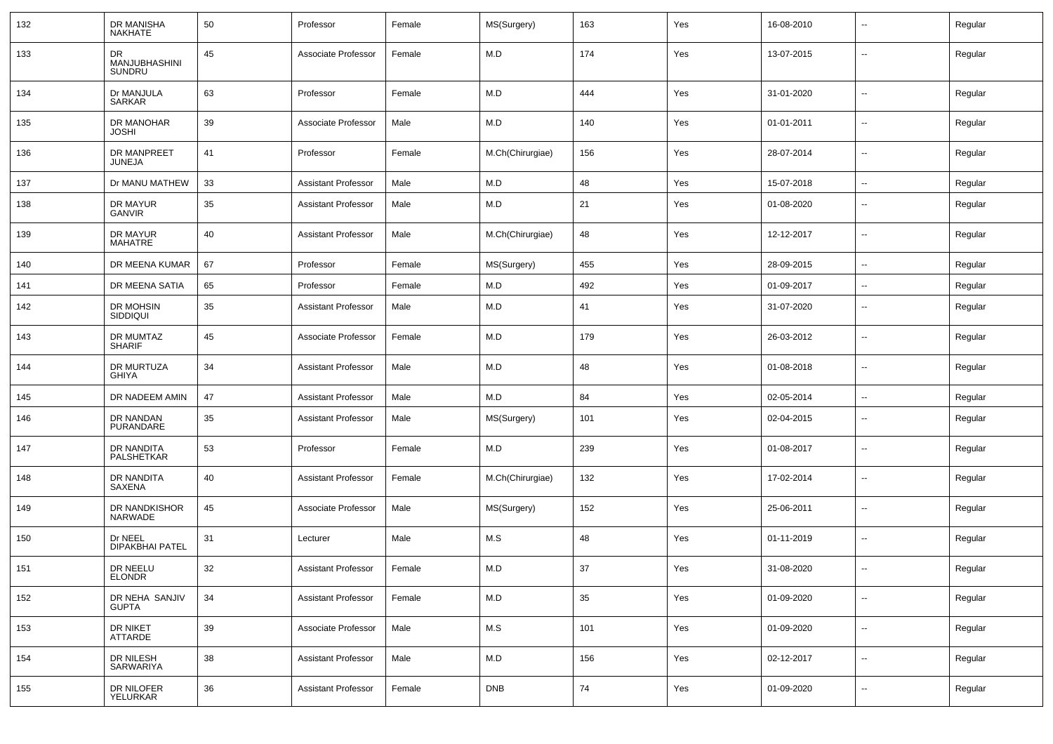| 132 | DR MANISHA<br><b>NAKHATE</b>         | 50 | Professor                  | Female | MS(Surgery)      | 163 | Yes | 16-08-2010 |                          | Regular |
|-----|--------------------------------------|----|----------------------------|--------|------------------|-----|-----|------------|--------------------------|---------|
| 133 | <b>DR</b><br>MANJUBHASHINI<br>SUNDRU | 45 | Associate Professor        | Female | M.D              | 174 | Yes | 13-07-2015 | $\overline{\phantom{a}}$ | Regular |
| 134 | Dr MANJULA<br>SARKAR                 | 63 | Professor                  | Female | M.D              | 444 | Yes | 31-01-2020 | $\mathbf{u}$             | Regular |
| 135 | DR MANOHAR<br><b>JOSHI</b>           | 39 | Associate Professor        | Male   | M.D              | 140 | Yes | 01-01-2011 | $\overline{\phantom{a}}$ | Regular |
| 136 | <b>DR MANPREET</b><br>JUNEJA         | 41 | Professor                  | Female | M.Ch(Chirurgiae) | 156 | Yes | 28-07-2014 | $\mathbf{u}$             | Regular |
| 137 | Dr MANU MATHEW                       | 33 | Assistant Professor        | Male   | M.D              | 48  | Yes | 15-07-2018 | $\sim$                   | Regular |
| 138 | DR MAYUR<br>GANVIR                   | 35 | <b>Assistant Professor</b> | Male   | M.D              | 21  | Yes | 01-08-2020 | $\overline{\phantom{a}}$ | Regular |
| 139 | DR MAYUR<br>MAHATRE                  | 40 | <b>Assistant Professor</b> | Male   | M.Ch(Chirurgiae) | 48  | Yes | 12-12-2017 | $\mathbf{u}$             | Regular |
| 140 | DR MEENA KUMAR                       | 67 | Professor                  | Female | MS(Surgery)      | 455 | Yes | 28-09-2015 | $\sim$                   | Regular |
| 141 | DR MEENA SATIA                       | 65 | Professor                  | Female | M.D              | 492 | Yes | 01-09-2017 | $\mathbf{u}$             | Regular |
| 142 | DR MOHSIN<br>SIDDIQUI                | 35 | <b>Assistant Professor</b> | Male   | M.D              | 41  | Yes | 31-07-2020 | $\overline{\phantom{a}}$ | Regular |
| 143 | DR MUMTAZ<br><b>SHARIF</b>           | 45 | Associate Professor        | Female | M.D              | 179 | Yes | 26-03-2012 | $\overline{\phantom{a}}$ | Regular |
| 144 | DR MURTUZA<br><b>GHIYA</b>           | 34 | <b>Assistant Professor</b> | Male   | M.D              | 48  | Yes | 01-08-2018 | $\overline{\phantom{a}}$ | Regular |
| 145 | DR NADEEM AMIN                       | 47 | <b>Assistant Professor</b> | Male   | M.D              | 84  | Yes | 02-05-2014 | $\overline{\phantom{a}}$ | Regular |
| 146 | DR NANDAN<br>PURANDARE               | 35 | Assistant Professor        | Male   | MS(Surgery)      | 101 | Yes | 02-04-2015 | --                       | Regular |
| 147 | DR NANDITA<br>PALSHETKAR             | 53 | Professor                  | Female | M.D              | 239 | Yes | 01-08-2017 | --                       | Regular |
| 148 | DR NANDITA<br><b>SAXENA</b>          | 40 | <b>Assistant Professor</b> | Female | M.Ch(Chirurgiae) | 132 | Yes | 17-02-2014 | --                       | Regular |
| 149 | DR NANDKISHOR<br><b>NARWADE</b>      | 45 | Associate Professor        | Male   | MS(Surgery)      | 152 | Yes | 25-06-2011 | --                       | Regular |
| 150 | Dr NEEL<br><b>DIPAKBHAI PATEL</b>    | 31 | Lecturer                   | Male   | M.S              | 48  | Yes | 01-11-2019 | --                       | Regular |
| 151 | DR NEELU<br><b>ELONDR</b>            | 32 | <b>Assistant Professor</b> | Female | M.D              | 37  | Yes | 31-08-2020 | --                       | Regular |
| 152 | DR NEHA SANJIV<br><b>GUPTA</b>       | 34 | <b>Assistant Professor</b> | Female | M.D              | 35  | Yes | 01-09-2020 | $\mathbf{u}$             | Regular |
| 153 | DR NIKET<br>ATTARDE                  | 39 | Associate Professor        | Male   | M.S              | 101 | Yes | 01-09-2020 | $\sim$                   | Regular |
| 154 | DR NILESH<br>SARWARIYA               | 38 | <b>Assistant Professor</b> | Male   | M.D              | 156 | Yes | 02-12-2017 | $\sim$                   | Regular |
| 155 | DR NILOFER<br>YELURKAR               | 36 | <b>Assistant Professor</b> | Female | <b>DNB</b>       | 74  | Yes | 01-09-2020 | $\sim$                   | Regular |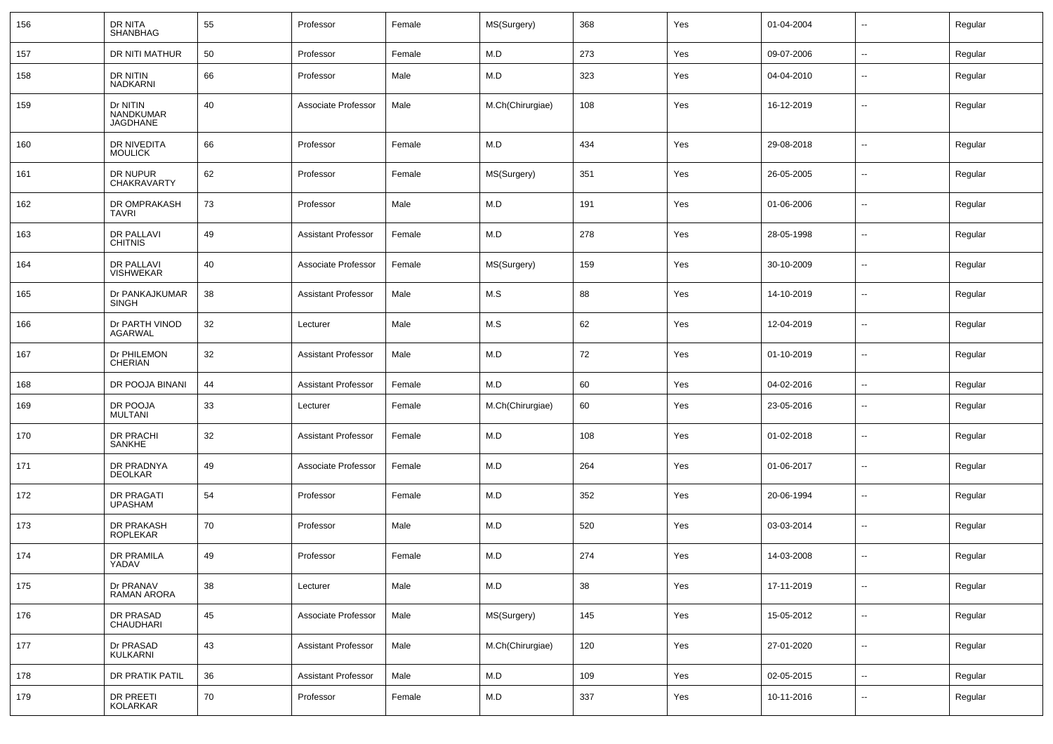| 156 | DR NITA<br><b>SHANBHAG</b>               | 55 | Professor                  | Female | MS(Surgery)      | 368 | Yes | 01-04-2004 | $\overline{\phantom{a}}$ | Regular |
|-----|------------------------------------------|----|----------------------------|--------|------------------|-----|-----|------------|--------------------------|---------|
| 157 | DR NITI MATHUR                           | 50 | Professor                  | Female | M.D              | 273 | Yes | 09-07-2006 | $\sim$                   | Regular |
| 158 | DR NITIN<br><b>NADKARNI</b>              | 66 | Professor                  | Male   | M.D              | 323 | Yes | 04-04-2010 | --                       | Regular |
| 159 | Dr NITIN<br>NANDKUMAR<br><b>JAGDHANE</b> | 40 | Associate Professor        | Male   | M.Ch(Chirurgiae) | 108 | Yes | 16-12-2019 | $\overline{a}$           | Regular |
| 160 | DR NIVEDITA<br><b>MOULICK</b>            | 66 | Professor                  | Female | M.D              | 434 | Yes | 29-08-2018 | $\sim$                   | Regular |
| 161 | DR NUPUR<br>CHAKRAVARTY                  | 62 | Professor                  | Female | MS(Surgery)      | 351 | Yes | 26-05-2005 | $\sim$                   | Regular |
| 162 | DR OMPRAKASH<br><b>TAVRI</b>             | 73 | Professor                  | Male   | M.D              | 191 | Yes | 01-06-2006 | $\sim$                   | Regular |
| 163 | DR PALLAVI<br><b>CHITNIS</b>             | 49 | Assistant Professor        | Female | M.D              | 278 | Yes | 28-05-1998 | $\sim$                   | Regular |
| 164 | DR PALLAVI<br><b>VISHWEKAR</b>           | 40 | Associate Professor        | Female | MS(Surgery)      | 159 | Yes | 30-10-2009 | $\sim$                   | Regular |
| 165 | Dr PANKAJKUMAR<br><b>SINGH</b>           | 38 | Assistant Professor        | Male   | M.S              | 88  | Yes | 14-10-2019 | $\sim$                   | Regular |
| 166 | Dr PARTH VINOD<br><b>AGARWAL</b>         | 32 | Lecturer                   | Male   | M.S              | 62  | Yes | 12-04-2019 | $\sim$                   | Regular |
| 167 | Dr PHILEMON<br><b>CHERIAN</b>            | 32 | <b>Assistant Professor</b> | Male   | M.D              | 72  | Yes | 01-10-2019 | $\sim$                   | Regular |
| 168 | DR POOJA BINANI                          | 44 | <b>Assistant Professor</b> | Female | M.D              | 60  | Yes | 04-02-2016 | $\sim$                   | Regular |
| 169 | DR POOJA<br><b>MULTANI</b>               | 33 | Lecturer                   | Female | M.Ch(Chirurgiae) | 60  | Yes | 23-05-2016 | $\overline{\phantom{a}}$ | Regular |
| 170 | DR PRACHI<br>SANKHE                      | 32 | Assistant Professor        | Female | M.D              | 108 | Yes | 01-02-2018 | $\overline{\phantom{a}}$ | Regular |
| 171 | DR PRADNYA<br><b>DEOLKAR</b>             | 49 | Associate Professor        | Female | M.D              | 264 | Yes | 01-06-2017 | $\mathbf{u}$             | Regular |
| 172 | DR PRAGATI<br><b>UPASHAM</b>             | 54 | Professor                  | Female | M.D              | 352 | Yes | 20-06-1994 | --                       | Regular |
| 173 | DR PRAKASH<br><b>ROPLEKAR</b>            | 70 | Professor                  | Male   | M.D              | 520 | Yes | 03-03-2014 | $\overline{\phantom{a}}$ | Regular |
| 174 | DR PRAMILA<br>YADAV                      | 49 | Professor                  | Female | M.D              | 274 | Yes | 14-03-2008 | --                       | Regular |
| 175 | Dr PRANAV<br>RAMAN ARORA                 | 38 | Lecturer                   | Male   | M.D              | 38  | Yes | 17-11-2019 | $\overline{\phantom{a}}$ | Regular |
| 176 | DR PRASAD<br>CHAUDHARI                   | 45 | Associate Professor        | Male   | MS(Surgery)      | 145 | Yes | 15-05-2012 | $\sim$                   | Regular |
| 177 | Dr PRASAD<br>KULKARNI                    | 43 | <b>Assistant Professor</b> | Male   | M.Ch(Chirurgiae) | 120 | Yes | 27-01-2020 | $\sim$                   | Regular |
| 178 | DR PRATIK PATIL                          | 36 | <b>Assistant Professor</b> | Male   | M.D              | 109 | Yes | 02-05-2015 | $\sim$                   | Regular |
| 179 | DR PREETI<br>KOLARKAR                    | 70 | Professor                  | Female | M.D              | 337 | Yes | 10-11-2016 | $\overline{\phantom{a}}$ | Regular |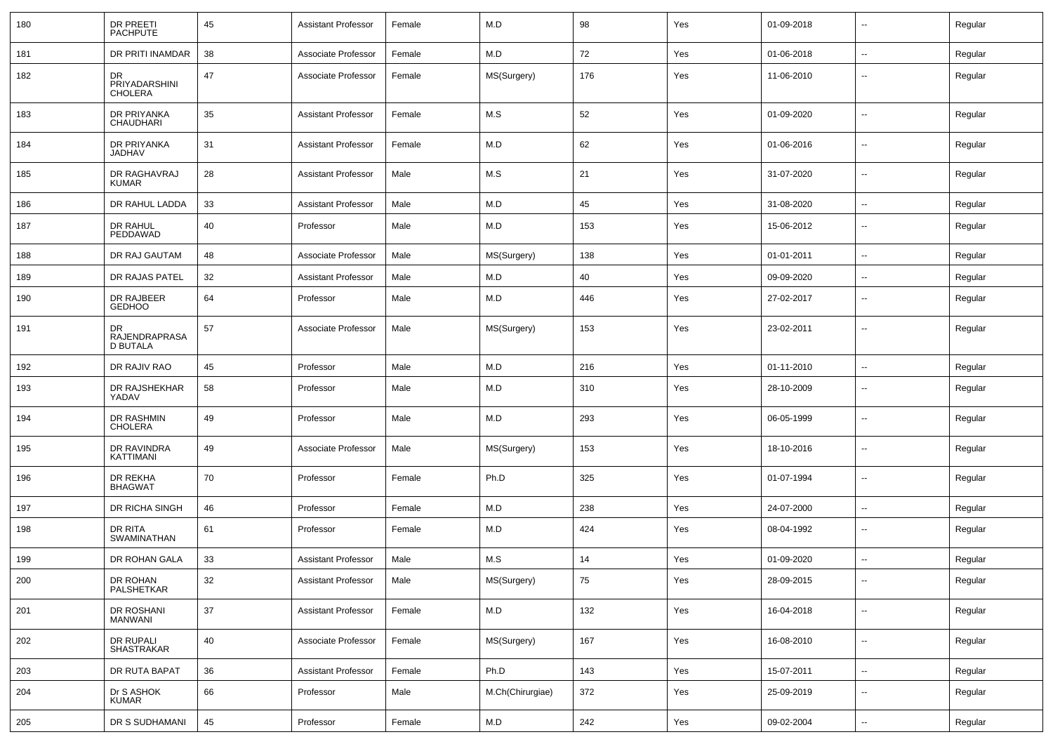| 180 | <b>DR PREETI</b><br><b>PACHPUTE</b>    | 45       | <b>Assistant Professor</b> | Female | M.D              | 98  | Yes | 01-09-2018 | $\sim$                     | Regular |
|-----|----------------------------------------|----------|----------------------------|--------|------------------|-----|-----|------------|----------------------------|---------|
| 181 | DR PRITI INAMDAR                       | 38       | Associate Professor        | Female | M.D              | 72  | Yes | 01-06-2018 | $\sim$                     | Regular |
| 182 | DR<br>PRIYADARSHINI<br><b>CHOLERA</b>  | 47       | Associate Professor        | Female | MS(Surgery)      | 176 | Yes | 11-06-2010 | $\overline{\phantom{a}}$   | Regular |
| 183 | DR PRIYANKA<br><b>CHAUDHARI</b>        | 35       | <b>Assistant Professor</b> | Female | M.S              | 52  | Yes | 01-09-2020 | $\sim$                     | Regular |
| 184 | DR PRIYANKA<br>JADHAV                  | 31       | <b>Assistant Professor</b> | Female | M.D              | 62  | Yes | 01-06-2016 | $\sim$                     | Regular |
| 185 | DR RAGHAVRAJ<br><b>KUMAR</b>           | 28       | <b>Assistant Professor</b> | Male   | M.S              | 21  | Yes | 31-07-2020 | $\sim$                     | Regular |
| 186 | DR RAHUL LADDA                         | 33       | <b>Assistant Professor</b> | Male   | M.D              | 45  | Yes | 31-08-2020 | $\sim$                     | Regular |
| 187 | DR RAHUL<br>PEDDAWAD                   | 40       | Professor                  | Male   | M.D              | 153 | Yes | 15-06-2012 | $\overline{\phantom{a}}$   | Regular |
| 188 | DR RAJ GAUTAM                          | 48       | Associate Professor        | Male   | MS(Surgery)      | 138 | Yes | 01-01-2011 | $\mathbf{u}$               | Regular |
| 189 | DR RAJAS PATEL                         | 32       | <b>Assistant Professor</b> | Male   | M.D              | 40  | Yes | 09-09-2020 | $\overline{\phantom{a}}$   | Regular |
| 190 | DR RAJBEER<br><b>GEDHOO</b>            | 64       | Professor                  | Male   | M.D              | 446 | Yes | 27-02-2017 | $\overline{\phantom{a}}$   | Regular |
| 191 | DR<br>RAJENDRAPRASA<br><b>D BUTALA</b> | 57       | Associate Professor        | Male   | MS(Surgery)      | 153 | Yes | 23-02-2011 | $\overline{\phantom{a}}$   | Regular |
| 192 | DR RAJIV RAO                           | 45       | Professor                  | Male   | M.D              | 216 | Yes | 01-11-2010 | $\mathbf{u}$               | Regular |
| 193 | DR RAJSHEKHAR<br>YADAV                 | 58       | Professor                  | Male   | M.D              | 310 | Yes | 28-10-2009 | $\overline{\phantom{a}}$   | Regular |
| 194 | DR RASHMIN<br><b>CHOLERA</b>           | 49       | Professor                  | Male   | M.D              | 293 | Yes | 06-05-1999 | --                         | Regular |
| 195 | DR RAVINDRA<br>KATTIMANI               | 49       | Associate Professor        | Male   | MS(Surgery)      | 153 | Yes | 18-10-2016 | $\overline{\phantom{a}}$   | Regular |
| 196 | DR REKHA<br><b>BHAGWAT</b>             | 70       | Professor                  | Female | Ph.D             | 325 | Yes | 01-07-1994 | --                         | Regular |
| 197 | DR RICHA SINGH                         | 46       | Professor                  | Female | M.D              | 238 | Yes | 24-07-2000 | $\overline{\phantom{a}}$   | Regular |
| 198 | DR RITA<br>SWAMINATHAN                 | 61       | Professor                  | Female | M.D              | 424 | Yes | 08-04-1992 | --                         | Regular |
| 199 | DR ROHAN GALA                          | 33       | <b>Assistant Professor</b> | Male   | M.S              | 14  | Yes | 01-09-2020 | $\overline{\phantom{a}}$   | Regular |
| 200 | DR ROHAN<br>PALSHETKAR                 | 32       | <b>Assistant Professor</b> | Male   | MS(Surgery)      | 75  | Yes | 28-09-2015 | $\sim$                     | Regular |
| 201 | DR ROSHANI<br>MANWANI                  | 37       | <b>Assistant Professor</b> | Female | M.D              | 132 | Yes | 16-04-2018 | $\mathcal{L}_{\mathbf{r}}$ | Regular |
| 202 | DR RUPALI<br>SHASTRAKAR                | 40       | Associate Professor        | Female | MS(Surgery)      | 167 | Yes | 16-08-2010 | $\sim$                     | Regular |
| 203 | DR RUTA BAPAT                          | 36       | <b>Assistant Professor</b> | Female | Ph.D             | 143 | Yes | 15-07-2011 | $\mathbf{u}$               | Regular |
| 204 | Dr S ASHOK<br><b>KUMAR</b>             | 66       | Professor                  | Male   | M.Ch(Chirurgiae) | 372 | Yes | 25-09-2019 | $\sim$                     | Regular |
| 205 | DR S SUDHAMANI                         | $\bf 45$ | Professor                  | Female | M.D              | 242 | Yes | 09-02-2004 | $\sim$                     | Regular |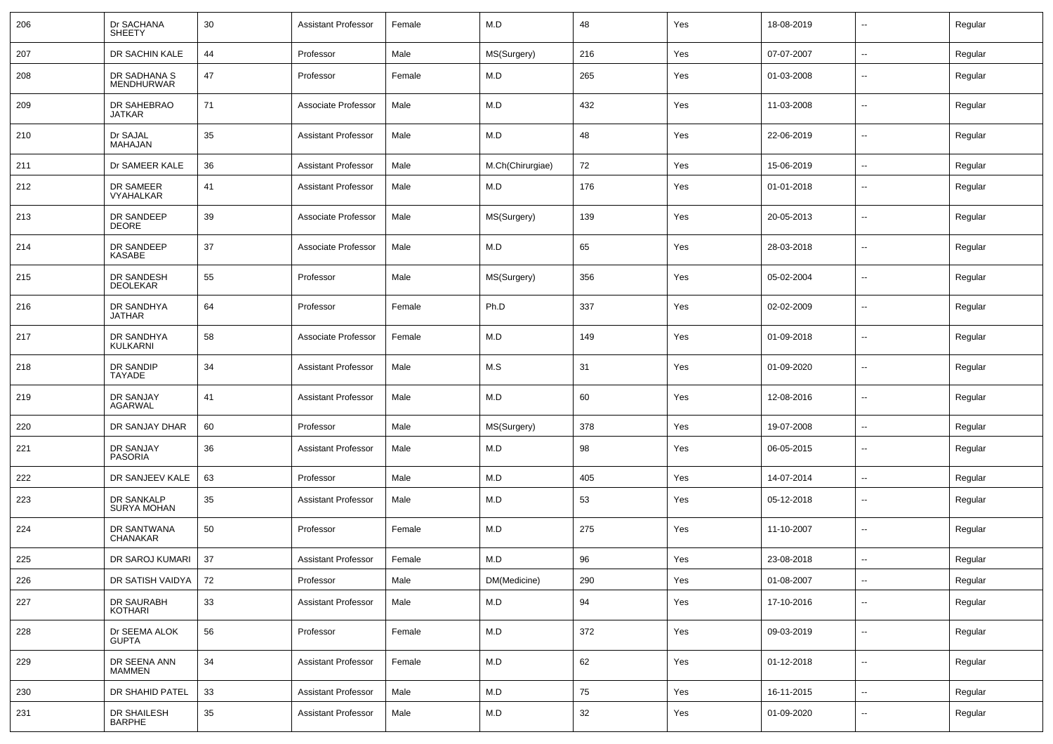| 206 | Dr SACHANA<br><b>SHEETY</b>       | 30 | <b>Assistant Professor</b> | Female | M.D              | 48  | Yes | 18-08-2019 | $\overline{\phantom{a}}$ | Regular |
|-----|-----------------------------------|----|----------------------------|--------|------------------|-----|-----|------------|--------------------------|---------|
| 207 | DR SACHIN KALE                    | 44 | Professor                  | Male   | MS(Surgery)      | 216 | Yes | 07-07-2007 | $\sim$                   | Regular |
| 208 | DR SADHANA S<br><b>MENDHURWAR</b> | 47 | Professor                  | Female | M.D              | 265 | Yes | 01-03-2008 | $\overline{\phantom{a}}$ | Regular |
| 209 | DR SAHEBRAO<br><b>JATKAR</b>      | 71 | Associate Professor        | Male   | M.D              | 432 | Yes | 11-03-2008 | $\overline{\phantom{a}}$ | Regular |
| 210 | Dr SAJAL<br>MAHAJAN               | 35 | <b>Assistant Professor</b> | Male   | M.D              | 48  | Yes | 22-06-2019 | $\overline{\phantom{a}}$ | Regular |
| 211 | Dr SAMEER KALE                    | 36 | <b>Assistant Professor</b> | Male   | M.Ch(Chirurgiae) | 72  | Yes | 15-06-2019 | ⊶.                       | Regular |
| 212 | DR SAMEER<br>VYAHALKAR            | 41 | <b>Assistant Professor</b> | Male   | M.D              | 176 | Yes | 01-01-2018 | $\overline{\phantom{a}}$ | Regular |
| 213 | DR SANDEEP<br><b>DEORE</b>        | 39 | Associate Professor        | Male   | MS(Surgery)      | 139 | Yes | 20-05-2013 | $\sim$                   | Regular |
| 214 | DR SANDEEP<br>KASABE              | 37 | Associate Professor        | Male   | M.D              | 65  | Yes | 28-03-2018 | $\overline{\phantom{a}}$ | Regular |
| 215 | DR SANDESH<br>DEOLEKAR            | 55 | Professor                  | Male   | MS(Surgery)      | 356 | Yes | 05-02-2004 | $\overline{\phantom{a}}$ | Regular |
| 216 | DR SANDHYA<br><b>JATHAR</b>       | 64 | Professor                  | Female | Ph.D             | 337 | Yes | 02-02-2009 | $\overline{\phantom{a}}$ | Regular |
| 217 | DR SANDHYA<br>KULKARNI            | 58 | Associate Professor        | Female | M.D              | 149 | Yes | 01-09-2018 | $\overline{\phantom{a}}$ | Regular |
| 218 | DR SANDIP<br>TAYADE               | 34 | <b>Assistant Professor</b> | Male   | M.S              | 31  | Yes | 01-09-2020 | $\overline{\phantom{a}}$ | Regular |
| 219 | DR SANJAY<br><b>AGARWAL</b>       | 41 | <b>Assistant Professor</b> | Male   | M.D              | 60  | Yes | 12-08-2016 | $\sim$                   | Regular |
| 220 | DR SANJAY DHAR                    | 60 | Professor                  | Male   | MS(Surgery)      | 378 | Yes | 19-07-2008 | $\overline{\phantom{a}}$ | Regular |
| 221 | DR SANJAY<br>PASORIA              | 36 | <b>Assistant Professor</b> | Male   | M.D              | 98  | Yes | 06-05-2015 | --                       | Regular |
| 222 | DR SANJEEV KALE                   | 63 | Professor                  | Male   | M.D              | 405 | Yes | 14-07-2014 | $\overline{\phantom{a}}$ | Regular |
| 223 | DR SANKALP<br><b>SURYA MOHAN</b>  | 35 | <b>Assistant Professor</b> | Male   | M.D              | 53  | Yes | 05-12-2018 | −−                       | Regular |
| 224 | DR SANTWANA<br>CHANAKAR           | 50 | Professor                  | Female | M.D              | 275 | Yes | 11-10-2007 | $\overline{\phantom{a}}$ | Regular |
| 225 | DR SAROJ KUMARI                   | 37 | <b>Assistant Professor</b> | Female | M.D              | 96  | Yes | 23-08-2018 | $\overline{\phantom{a}}$ | Regular |
| 226 | DR SATISH VAIDYA                  | 72 | Professor                  | Male   | DM(Medicine)     | 290 | Yes | 01-08-2007 | $\overline{\phantom{a}}$ | Regular |
| 227 | DR SAURABH<br>KOTHARI             | 33 | <b>Assistant Professor</b> | Male   | M.D              | 94  | Yes | 17-10-2016 | $\sim$                   | Regular |
| 228 | Dr SEEMA ALOK<br><b>GUPTA</b>     | 56 | Professor                  | Female | M.D              | 372 | Yes | 09-03-2019 | $\sim$                   | Regular |
| 229 | DR SEENA ANN<br><b>MAMMEN</b>     | 34 | <b>Assistant Professor</b> | Female | M.D              | 62  | Yes | 01-12-2018 | $\sim$                   | Regular |
| 230 | DR SHAHID PATEL                   | 33 | <b>Assistant Professor</b> | Male   | M.D              | 75  | Yes | 16-11-2015 | $\sim$                   | Regular |
| 231 | DR SHAILESH<br>BARPHE             | 35 | <b>Assistant Professor</b> | Male   | M.D              | 32  | Yes | 01-09-2020 | $\sim$                   | Regular |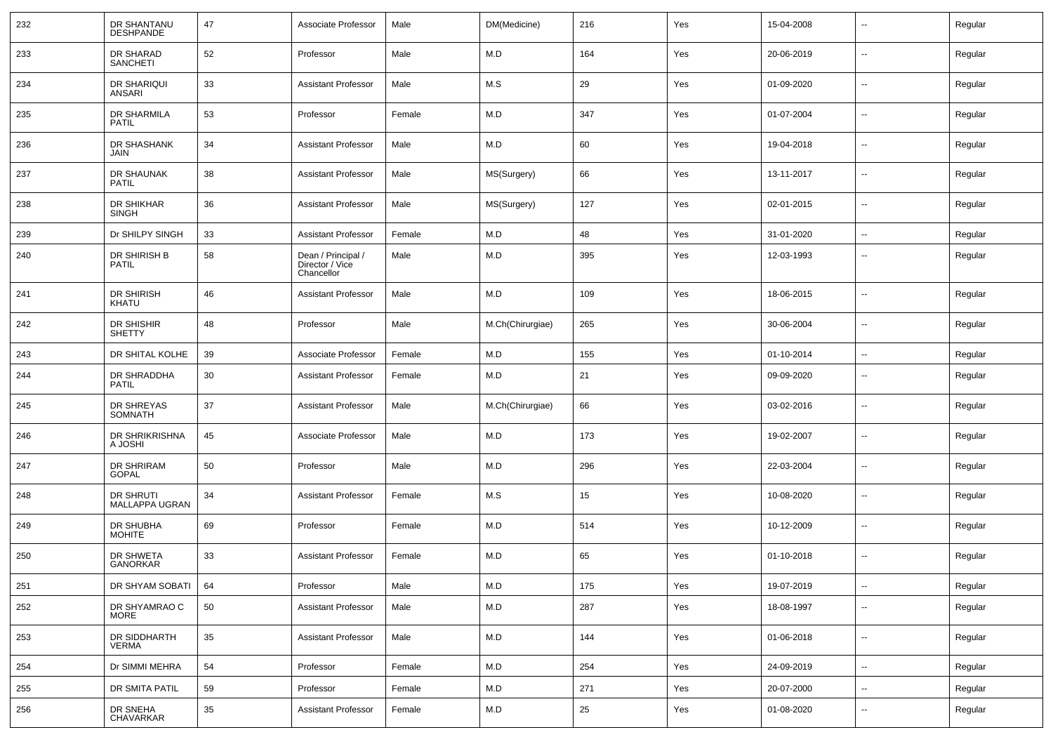| 232 | DR SHANTANU<br><b>DESHPANDE</b>   | 47 | Associate Professor                                 | Male   | DM(Medicine)     | 216 | Yes | 15-04-2008 | $\overline{\phantom{a}}$ | Regular |
|-----|-----------------------------------|----|-----------------------------------------------------|--------|------------------|-----|-----|------------|--------------------------|---------|
| 233 | DR SHARAD<br><b>SANCHETI</b>      | 52 | Professor                                           | Male   | M.D              | 164 | Yes | 20-06-2019 | $\overline{\phantom{a}}$ | Regular |
| 234 | DR SHARIQUI<br>ANSARI             | 33 | Assistant Professor                                 | Male   | M.S              | 29  | Yes | 01-09-2020 | $\overline{\phantom{a}}$ | Regular |
| 235 | DR SHARMILA<br><b>PATIL</b>       | 53 | Professor                                           | Female | M.D              | 347 | Yes | 01-07-2004 | $\overline{\phantom{a}}$ | Regular |
| 236 | DR SHASHANK<br><b>JAIN</b>        | 34 | Assistant Professor                                 | Male   | M.D              | 60  | Yes | 19-04-2018 | $\overline{\phantom{a}}$ | Regular |
| 237 | DR SHAUNAK<br><b>PATIL</b>        | 38 | <b>Assistant Professor</b>                          | Male   | MS(Surgery)      | 66  | Yes | 13-11-2017 | $\overline{\phantom{a}}$ | Regular |
| 238 | DR SHIKHAR<br><b>SINGH</b>        | 36 | Assistant Professor                                 | Male   | MS(Surgery)      | 127 | Yes | 02-01-2015 | $\overline{\phantom{a}}$ | Regular |
| 239 | Dr SHILPY SINGH                   | 33 | Assistant Professor                                 | Female | M.D              | 48  | Yes | 31-01-2020 | $\sim$                   | Regular |
| 240 | DR SHIRISH B<br><b>PATIL</b>      | 58 | Dean / Principal /<br>Director / Vice<br>Chancellor | Male   | M.D              | 395 | Yes | 12-03-1993 | $\overline{\phantom{a}}$ | Regular |
| 241 | DR SHIRISH<br><b>KHATU</b>        | 46 | Assistant Professor                                 | Male   | M.D              | 109 | Yes | 18-06-2015 | $\overline{\phantom{a}}$ | Regular |
| 242 | DR SHISHIR<br><b>SHETTY</b>       | 48 | Professor                                           | Male   | M.Ch(Chirurgiae) | 265 | Yes | 30-06-2004 | $\overline{\phantom{a}}$ | Regular |
| 243 | DR SHITAL KOLHE                   | 39 | Associate Professor                                 | Female | M.D              | 155 | Yes | 01-10-2014 | $\sim$                   | Regular |
| 244 | DR SHRADDHA<br><b>PATIL</b>       | 30 | Assistant Professor                                 | Female | M.D              | 21  | Yes | 09-09-2020 | $\overline{\phantom{a}}$ | Regular |
| 245 | DR SHREYAS<br>SOMNATH             | 37 | <b>Assistant Professor</b>                          | Male   | M.Ch(Chirurgiae) | 66  | Yes | 03-02-2016 | $\overline{\phantom{a}}$ | Regular |
| 246 | DR SHRIKRISHNA<br>A JOSHI         | 45 | Associate Professor                                 | Male   | M.D              | 173 | Yes | 19-02-2007 | $\overline{\phantom{a}}$ | Regular |
| 247 | DR SHRIRAM<br><b>GOPAL</b>        | 50 | Professor                                           | Male   | M.D              | 296 | Yes | 22-03-2004 | $\overline{\phantom{a}}$ | Regular |
| 248 | DR SHRUTI<br>MALLAPPA UGRAN       | 34 | Assistant Professor                                 | Female | M.S              | 15  | Yes | 10-08-2020 | $\sim$                   | Regular |
| 249 | <b>DR SHUBHA</b><br><b>MOHITE</b> | 69 | Professor                                           | Female | M.D              | 514 | Yes | 10-12-2009 | $\overline{\phantom{a}}$ | Regular |
| 250 | DR SHWETA<br>GANORKAR             | 33 | Assistant Professor                                 | Female | M.D              | 65  | Yes | 01-10-2018 | $\overline{\phantom{a}}$ | Regular |
| 251 | DR SHYAM SOBATI                   | 64 | Professor                                           | Male   | M.D              | 175 | Yes | 19-07-2019 | $\overline{\phantom{a}}$ | Regular |
| 252 | DR SHYAMRAO C<br><b>MORE</b>      | 50 | <b>Assistant Professor</b>                          | Male   | M.D              | 287 | Yes | 18-08-1997 | $\overline{\phantom{a}}$ | Regular |
| 253 | DR SIDDHARTH<br><b>VERMA</b>      | 35 | <b>Assistant Professor</b>                          | Male   | M.D              | 144 | Yes | 01-06-2018 | $\overline{\phantom{a}}$ | Regular |
| 254 | Dr SIMMI MEHRA                    | 54 | Professor                                           | Female | M.D              | 254 | Yes | 24-09-2019 | $\overline{\phantom{a}}$ | Regular |
| 255 | DR SMITA PATIL                    | 59 | Professor                                           | Female | M.D              | 271 | Yes | 20-07-2000 | $\overline{\phantom{a}}$ | Regular |
| 256 | DR SNEHA<br>CHAVARKAR             | 35 | <b>Assistant Professor</b>                          | Female | M.D              | 25  | Yes | 01-08-2020 | $\overline{\phantom{a}}$ | Regular |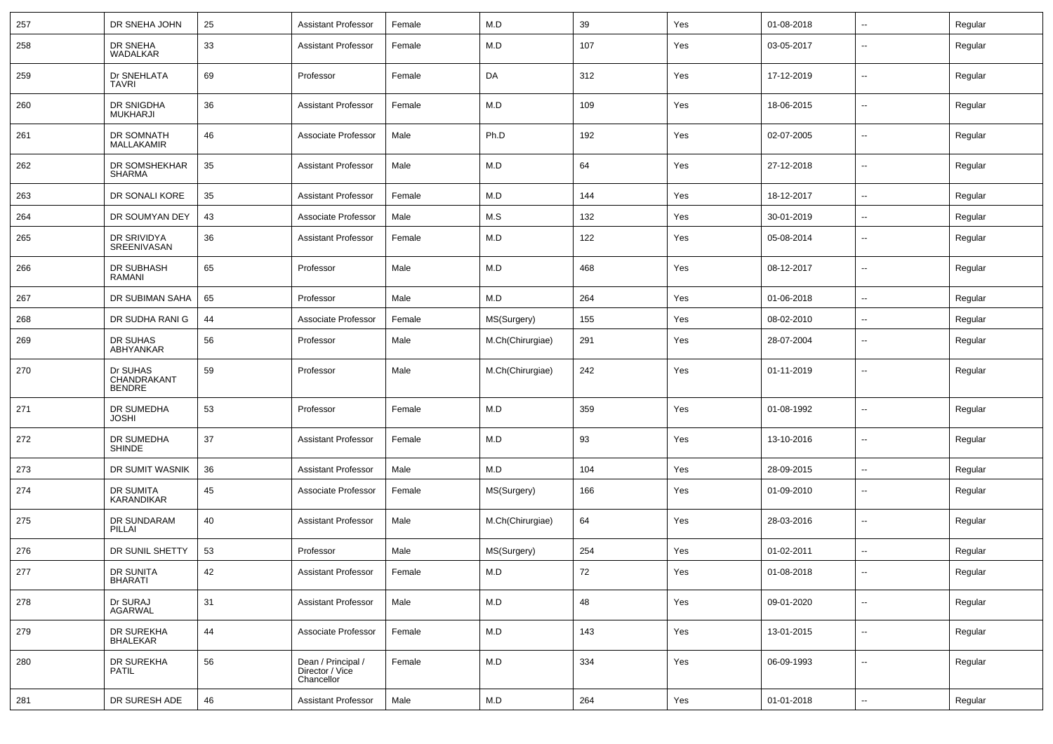| 257 | DR SNEHA JOHN                            | 25 | <b>Assistant Professor</b>                          | Female | M.D              | 39  | Yes | 01-08-2018 | Ξ.                       | Regular |
|-----|------------------------------------------|----|-----------------------------------------------------|--------|------------------|-----|-----|------------|--------------------------|---------|
| 258 | DR SNEHA<br>WADALKAR                     | 33 | <b>Assistant Professor</b>                          | Female | M.D              | 107 | Yes | 03-05-2017 | --                       | Regular |
| 259 | Dr SNEHLATA<br><b>TAVRI</b>              | 69 | Professor                                           | Female | DA               | 312 | Yes | 17-12-2019 | $\overline{a}$           | Regular |
| 260 | DR SNIGDHA<br><b>MUKHARJI</b>            | 36 | Assistant Professor                                 | Female | M.D              | 109 | Yes | 18-06-2015 | $\overline{a}$           | Regular |
| 261 | DR SOMNATH<br>MALLAKAMIR                 | 46 | Associate Professor                                 | Male   | Ph.D             | 192 | Yes | 02-07-2005 | Ξ.                       | Regular |
| 262 | DR SOMSHEKHAR<br><b>SHARMA</b>           | 35 | <b>Assistant Professor</b>                          | Male   | M.D              | 64  | Yes | 27-12-2018 | $\overline{a}$           | Regular |
| 263 | DR SONALI KORE                           | 35 | <b>Assistant Professor</b>                          | Female | M.D              | 144 | Yes | 18-12-2017 | $\overline{a}$           | Regular |
| 264 | DR SOUMYAN DEY                           | 43 | Associate Professor                                 | Male   | M.S              | 132 | Yes | 30-01-2019 | ۰.                       | Regular |
| 265 | DR SRIVIDYA<br>SREENIVASAN               | 36 | <b>Assistant Professor</b>                          | Female | M.D              | 122 | Yes | 05-08-2014 | ۰.                       | Regular |
| 266 | DR SUBHASH<br>RAMANI                     | 65 | Professor                                           | Male   | M.D              | 468 | Yes | 08-12-2017 | --                       | Regular |
| 267 | DR SUBIMAN SAHA                          | 65 | Professor                                           | Male   | M.D              | 264 | Yes | 01-06-2018 | --                       | Regular |
| 268 | DR SUDHA RANI G                          | 44 | Associate Professor                                 | Female | MS(Surgery)      | 155 | Yes | 08-02-2010 | $\overline{a}$           | Regular |
| 269 | DR SUHAS<br>ABHYANKAR                    | 56 | Professor                                           | Male   | M.Ch(Chirurgiae) | 291 | Yes | 28-07-2004 | ⊷.                       | Regular |
| 270 | Dr SUHAS<br>CHANDRAKANT<br><b>BENDRE</b> | 59 | Professor                                           | Male   | M.Ch(Chirurgiae) | 242 | Yes | 01-11-2019 | ۰.                       | Regular |
| 271 | DR SUMEDHA<br><b>JOSHI</b>               | 53 | Professor                                           | Female | M.D              | 359 | Yes | 01-08-1992 | $\overline{\phantom{a}}$ | Regular |
| 272 | DR SUMEDHA<br><b>SHINDE</b>              | 37 | <b>Assistant Professor</b>                          | Female | M.D              | 93  | Yes | 13-10-2016 | $\overline{\phantom{a}}$ | Regular |
| 273 | DR SUMIT WASNIK                          | 36 | <b>Assistant Professor</b>                          | Male   | M.D              | 104 | Yes | 28-09-2015 | $\overline{\phantom{a}}$ | Regular |
| 274 | <b>DR SUMITA</b><br><b>KARANDIKAR</b>    | 45 | Associate Professor                                 | Female | MS(Surgery)      | 166 | Yes | 01-09-2010 | ۰.                       | Regular |
| 275 | DR SUNDARAM<br>PILLAI                    | 40 | <b>Assistant Professor</b>                          | Male   | M.Ch(Chirurgiae) | 64  | Yes | 28-03-2016 | $\sim$                   | Regular |
| 276 | DR SUNIL SHETTY                          | 53 | Professor                                           | Male   | MS(Surgery)      | 254 | Yes | 01-02-2011 | ۰.                       | Regular |
| 277 | DR SUNITA<br><b>BHARATI</b>              | 42 | Assistant Professor                                 | Female | M.D              | 72  | Yes | 01-08-2018 | $\overline{\phantom{a}}$ | Regular |
| 278 | Dr SURAJ<br><b>AGARWAL</b>               | 31 | <b>Assistant Professor</b>                          | Male   | M.D              | 48  | Yes | 09-01-2020 | щ.                       | Regular |
| 279 | DR SUREKHA<br><b>BHALEKAR</b>            | 44 | Associate Professor                                 | Female | M.D              | 143 | Yes | 13-01-2015 | ⊷.                       | Regular |
| 280 | DR SUREKHA<br><b>PATIL</b>               | 56 | Dean / Principal /<br>Director / Vice<br>Chancellor | Female | M.D              | 334 | Yes | 06-09-1993 | ⊷.                       | Regular |
| 281 | DR SURESH ADE                            | 46 | <b>Assistant Professor</b>                          | Male   | M.D              | 264 | Yes | 01-01-2018 | щ.                       | Regular |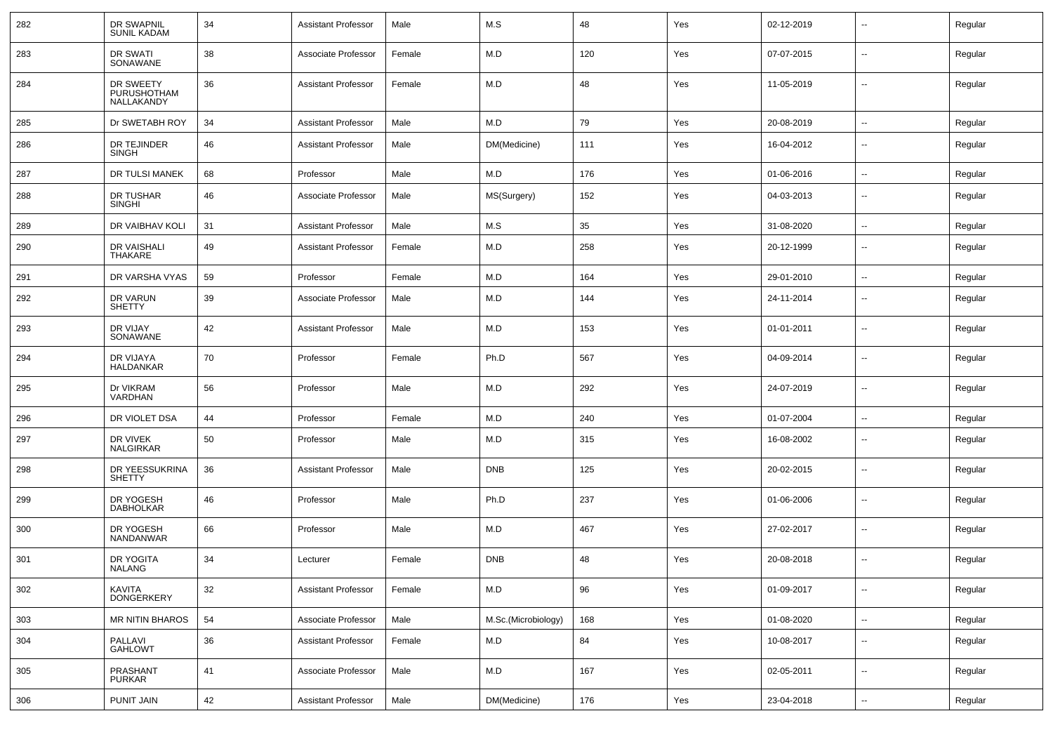| 282 | DR SWAPNIL<br><b>SUNIL KADAM</b>       | 34 | <b>Assistant Professor</b> | Male   | M.S                 | 48  | Yes | 02-12-2019 | --                       | Regular |
|-----|----------------------------------------|----|----------------------------|--------|---------------------|-----|-----|------------|--------------------------|---------|
| 283 | DR SWATI<br>SONAWANE                   | 38 | Associate Professor        | Female | M.D                 | 120 | Yes | 07-07-2015 | $\overline{\phantom{a}}$ | Regular |
| 284 | DR SWEETY<br>PURUSHOTHAM<br>NALLAKANDY | 36 | <b>Assistant Professor</b> | Female | M.D                 | 48  | Yes | 11-05-2019 | --                       | Regular |
| 285 | Dr SWETABH ROY                         | 34 | <b>Assistant Professor</b> | Male   | M.D                 | 79  | Yes | 20-08-2019 | ⊷.                       | Regular |
| 286 | DR TEJINDER<br>SINGH                   | 46 | <b>Assistant Professor</b> | Male   | DM(Medicine)        | 111 | Yes | 16-04-2012 | --                       | Regular |
| 287 | <b>DR TULSI MANEK</b>                  | 68 | Professor                  | Male   | M.D                 | 176 | Yes | 01-06-2016 | --                       | Regular |
| 288 | DR TUSHAR<br><b>SINGHI</b>             | 46 | Associate Professor        | Male   | MS(Surgery)         | 152 | Yes | 04-03-2013 | $\overline{\phantom{a}}$ | Regular |
| 289 | DR VAIBHAV KOLI                        | 31 | <b>Assistant Professor</b> | Male   | M.S                 | 35  | Yes | 31-08-2020 | $\overline{a}$           | Regular |
| 290 | DR VAISHALI<br><b>THAKARE</b>          | 49 | <b>Assistant Professor</b> | Female | M.D                 | 258 | Yes | 20-12-1999 | --                       | Regular |
| 291 | DR VARSHA VYAS                         | 59 | Professor                  | Female | M.D                 | 164 | Yes | 29-01-2010 | --                       | Regular |
| 292 | DR VARUN<br><b>SHETTY</b>              | 39 | Associate Professor        | Male   | M.D                 | 144 | Yes | 24-11-2014 | --                       | Regular |
| 293 | DR VIJAY<br>SONAWANE                   | 42 | <b>Assistant Professor</b> | Male   | M.D                 | 153 | Yes | 01-01-2011 | --                       | Regular |
| 294 | DR VIJAYA<br><b>HALDANKAR</b>          | 70 | Professor                  | Female | Ph.D                | 567 | Yes | 04-09-2014 |                          | Regular |
| 295 | Dr VIKRAM<br>VARDHAN                   | 56 | Professor                  | Male   | M.D                 | 292 | Yes | 24-07-2019 | --                       | Regular |
| 296 | DR VIOLET DSA                          | 44 | Professor                  | Female | M.D                 | 240 | Yes | 01-07-2004 | --                       | Regular |
| 297 | DR VIVEK<br>NALGIRKAR                  | 50 | Professor                  | Male   | M.D                 | 315 | Yes | 16-08-2002 | $\overline{\phantom{a}}$ | Regular |
| 298 | DR YEESSUKRINA<br><b>SHETTY</b>        | 36 | <b>Assistant Professor</b> | Male   | <b>DNB</b>          | 125 | Yes | 20-02-2015 | $\overline{\phantom{a}}$ | Regular |
| 299 | DR YOGESH<br><b>DABHOLKAR</b>          | 46 | Professor                  | Male   | Ph.D                | 237 | Yes | 01-06-2006 | $\overline{\phantom{a}}$ | Regular |
| 300 | DR YOGESH<br>NANDANWAR                 | 66 | Professor                  | Male   | M.D                 | 467 | Yes | 27-02-2017 | $\overline{\phantom{a}}$ | Regular |
| 301 | DR YOGITA<br>NALANG                    | 34 | Lecturer                   | Female | <b>DNB</b>          | 48  | Yes | 20-08-2018 | $\overline{\phantom{a}}$ | Regular |
| 302 | KAVITA<br><b>DONGERKERY</b>            | 32 | <b>Assistant Professor</b> | Female | M.D                 | 96  | Yes | 01-09-2017 | $\sim$                   | Regular |
| 303 | MR NITIN BHAROS                        | 54 | Associate Professor        | Male   | M.Sc.(Microbiology) | 168 | Yes | 01-08-2020 | Ξ.                       | Regular |
| 304 | PALLAVI<br>GAHLOWT                     | 36 | <b>Assistant Professor</b> | Female | M.D                 | 84  | Yes | 10-08-2017 | Щ,                       | Regular |
| 305 | PRASHANT<br>PURKAR                     | 41 | Associate Professor        | Male   | M.D                 | 167 | Yes | 02-05-2011 | $\sim$                   | Regular |
| 306 | PUNIT JAIN                             | 42 | <b>Assistant Professor</b> | Male   | DM(Medicine)        | 176 | Yes | 23-04-2018 | Щ,                       | Regular |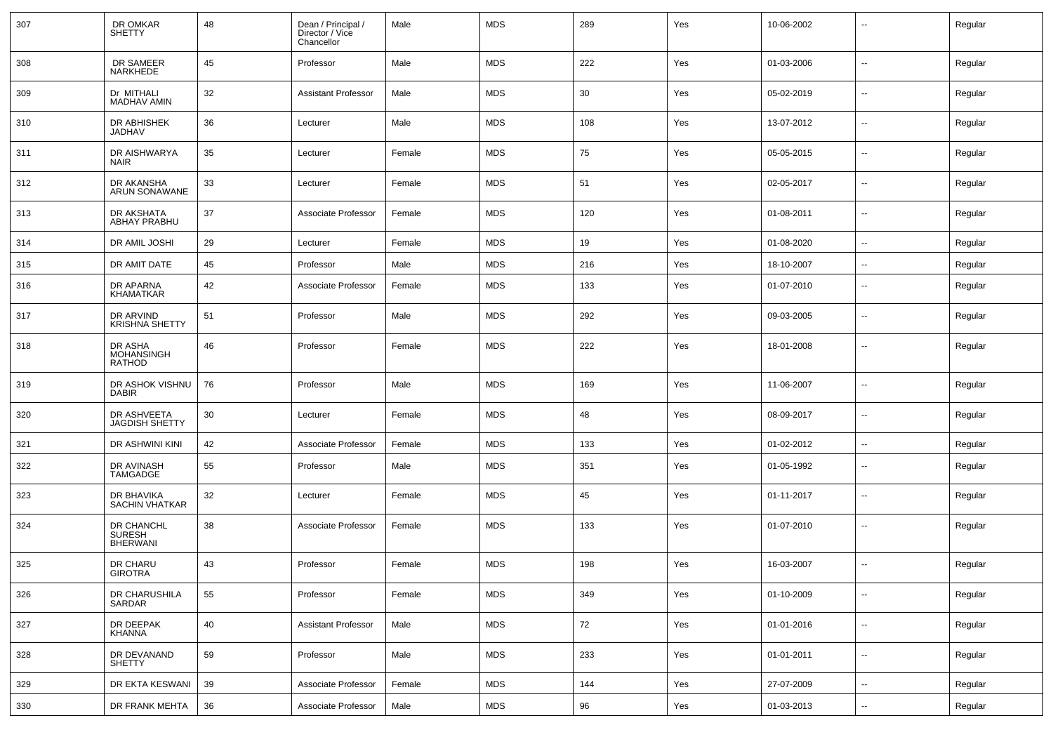| 307 | DR OMKAR<br><b>SHETTY</b>                      | 48 | Dean / Principal /<br>Director / Vice<br>Chancellor | Male   | <b>MDS</b> | 289 | Yes | 10-06-2002 | --                       | Regular |
|-----|------------------------------------------------|----|-----------------------------------------------------|--------|------------|-----|-----|------------|--------------------------|---------|
| 308 | DR SAMEER<br>NARKHEDE                          | 45 | Professor                                           | Male   | <b>MDS</b> | 222 | Yes | 01-03-2006 | $\overline{\phantom{a}}$ | Regular |
| 309 | Dr MITHALI<br><b>MADHAV AMIN</b>               | 32 | <b>Assistant Professor</b>                          | Male   | <b>MDS</b> | 30  | Yes | 05-02-2019 | $\overline{\phantom{a}}$ | Regular |
| 310 | DR ABHISHEK<br>JADHAV                          | 36 | Lecturer                                            | Male   | <b>MDS</b> | 108 | Yes | 13-07-2012 | ⊷.                       | Regular |
| 311 | DR AISHWARYA<br>NAIR                           | 35 | Lecturer                                            | Female | <b>MDS</b> | 75  | Yes | 05-05-2015 | $\overline{\phantom{a}}$ | Regular |
| 312 | DR AKANSHA<br>ARUN SONAWANE                    | 33 | Lecturer                                            | Female | <b>MDS</b> | 51  | Yes | 02-05-2017 | $\overline{\phantom{a}}$ | Regular |
| 313 | DR AKSHATA<br>ABHAY PRABHU                     | 37 | Associate Professor                                 | Female | <b>MDS</b> | 120 | Yes | 01-08-2011 | ⊷.                       | Regular |
| 314 | DR AMIL JOSHI                                  | 29 | Lecturer                                            | Female | <b>MDS</b> | 19  | Yes | 01-08-2020 | $\overline{\phantom{a}}$ | Regular |
| 315 | DR AMIT DATE                                   | 45 | Professor                                           | Male   | <b>MDS</b> | 216 | Yes | 18-10-2007 | --                       | Regular |
| 316 | DR APARNA<br>KHAMATKAR                         | 42 | Associate Professor                                 | Female | <b>MDS</b> | 133 | Yes | 01-07-2010 | $\overline{\phantom{a}}$ | Regular |
| 317 | DR ARVIND<br><b>KRISHNA SHETTY</b>             | 51 | Professor                                           | Male   | <b>MDS</b> | 292 | Yes | 09-03-2005 | $\overline{\phantom{a}}$ | Regular |
| 318 | DR ASHA<br><b>MOHANSINGH</b><br>RATHOD         | 46 | Professor                                           | Female | <b>MDS</b> | 222 | Yes | 18-01-2008 | $\overline{\phantom{a}}$ | Regular |
| 319 | DR ASHOK VISHNU<br><b>DABIR</b>                | 76 | Professor                                           | Male   | <b>MDS</b> | 169 | Yes | 11-06-2007 | --                       | Regular |
| 320 | DR ASHVEETA<br><b>JAGDISH SHETTY</b>           | 30 | Lecturer                                            | Female | <b>MDS</b> | 48  | Yes | 08-09-2017 | $\overline{\phantom{a}}$ | Regular |
| 321 | DR ASHWINI KINI                                | 42 | Associate Professor                                 | Female | <b>MDS</b> | 133 | Yes | 01-02-2012 | $\overline{\phantom{a}}$ | Regular |
| 322 | DR AVINASH<br>TAMGADGE                         | 55 | Professor                                           | Male   | <b>MDS</b> | 351 | Yes | 01-05-1992 | $\overline{\phantom{a}}$ | Regular |
| 323 | DR BHAVIKA<br><b>SACHIN VHATKAR</b>            | 32 | Lecturer                                            | Female | <b>MDS</b> | 45  | Yes | 01-11-2017 | $\overline{\phantom{a}}$ | Regular |
| 324 | DR CHANCHL<br><b>SURESH</b><br><b>BHERWANI</b> | 38 | Associate Professor                                 | Female | <b>MDS</b> | 133 | Yes | 01-07-2010 | $\overline{\phantom{a}}$ | Regular |
| 325 | DR CHARU<br><b>GIROTRA</b>                     | 43 | Professor                                           | Female | <b>MDS</b> | 198 | Yes | 16-03-2007 |                          | Regular |
| 326 | DR CHARUSHILA<br>SARDAR                        | 55 | Professor                                           | Female | <b>MDS</b> | 349 | Yes | 01-10-2009 | $\sim$                   | Regular |
| 327 | DR DEEPAK<br>KHANNA                            | 40 | <b>Assistant Professor</b>                          | Male   | <b>MDS</b> | 72  | Yes | 01-01-2016 | $\sim$                   | Regular |
| 328 | DR DEVANAND<br><b>SHETTY</b>                   | 59 | Professor                                           | Male   | <b>MDS</b> | 233 | Yes | 01-01-2011 | $\sim$                   | Regular |
| 329 | DR EKTA KESWANI                                | 39 | Associate Professor                                 | Female | <b>MDS</b> | 144 | Yes | 27-07-2009 | $\sim$                   | Regular |
| 330 | DR FRANK MEHTA                                 | 36 | Associate Professor                                 | Male   | <b>MDS</b> | 96  | Yes | 01-03-2013 | $\sim$                   | Regular |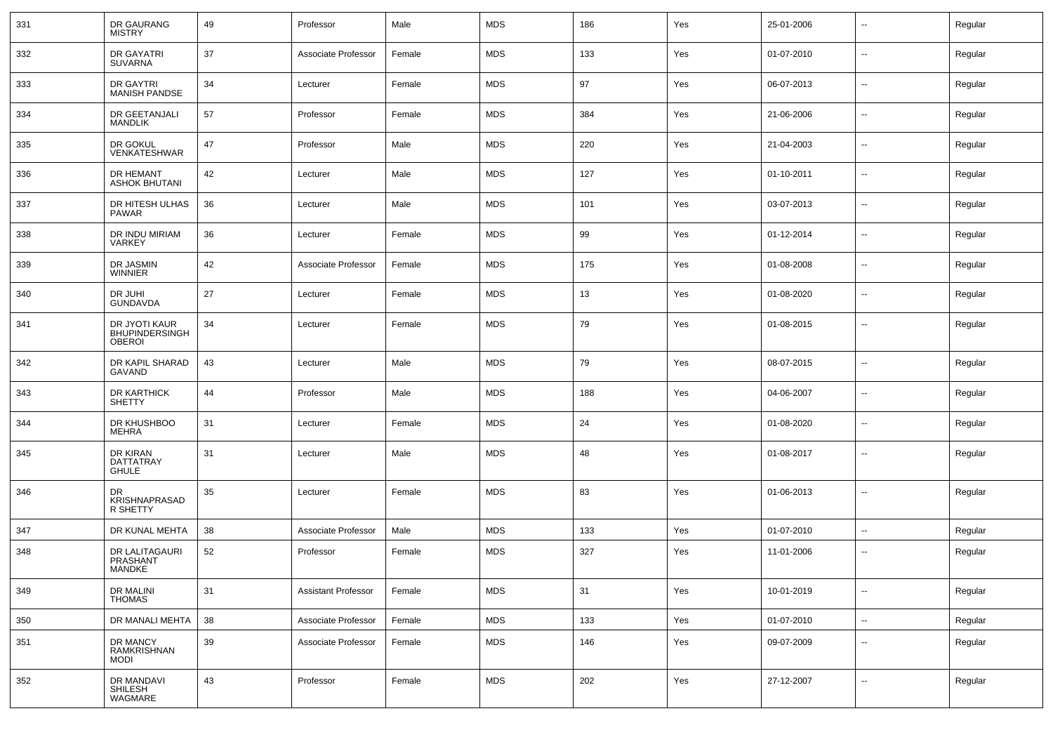| 331 | DR GAURANG<br><b>MISTRY</b>                      | 49 | Professor                  | Male   | <b>MDS</b> | 186 | Yes | 25-01-2006 | $\overline{\phantom{a}}$ | Regular |
|-----|--------------------------------------------------|----|----------------------------|--------|------------|-----|-----|------------|--------------------------|---------|
| 332 | DR GAYATRI<br><b>SUVARNA</b>                     | 37 | Associate Professor        | Female | <b>MDS</b> | 133 | Yes | 01-07-2010 | $\sim$                   | Regular |
| 333 | DR GAYTRI<br><b>MANISH PANDSE</b>                | 34 | Lecturer                   | Female | <b>MDS</b> | 97  | Yes | 06-07-2013 | $\sim$                   | Regular |
| 334 | DR GEETANJALI<br><b>MANDLIK</b>                  | 57 | Professor                  | Female | <b>MDS</b> | 384 | Yes | 21-06-2006 | $\sim$                   | Regular |
| 335 | DR GOKUL<br><b>VENKATESHWAR</b>                  | 47 | Professor                  | Male   | <b>MDS</b> | 220 | Yes | 21-04-2003 | $\sim$                   | Regular |
| 336 | DR HEMANT<br><b>ASHOK BHUTANI</b>                | 42 | Lecturer                   | Male   | <b>MDS</b> | 127 | Yes | 01-10-2011 | $\sim$                   | Regular |
| 337 | DR HITESH ULHAS<br><b>PAWAR</b>                  | 36 | Lecturer                   | Male   | <b>MDS</b> | 101 | Yes | 03-07-2013 | $\sim$                   | Regular |
| 338 | DR INDU MIRIAM<br><b>VARKEY</b>                  | 36 | Lecturer                   | Female | <b>MDS</b> | 99  | Yes | 01-12-2014 | $\sim$                   | Regular |
| 339 | DR JASMIN<br><b>WINNIER</b>                      | 42 | Associate Professor        | Female | <b>MDS</b> | 175 | Yes | 01-08-2008 | $\sim$                   | Regular |
| 340 | DR JUHI<br><b>GUNDAVDA</b>                       | 27 | Lecturer                   | Female | <b>MDS</b> | 13  | Yes | 01-08-2020 | $\sim$                   | Regular |
| 341 | DR JYOTI KAUR<br>BHUPINDERSINGH<br><b>OBEROI</b> | 34 | Lecturer                   | Female | <b>MDS</b> | 79  | Yes | 01-08-2015 | $\sim$                   | Regular |
| 342 | DR KAPIL SHARAD<br>GAVAND                        | 43 | Lecturer                   | Male   | <b>MDS</b> | 79  | Yes | 08-07-2015 | $\overline{\phantom{a}}$ | Regular |
| 343 | DR KARTHICK<br><b>SHETTY</b>                     | 44 | Professor                  | Male   | <b>MDS</b> | 188 | Yes | 04-06-2007 | $\mathbf{u}$             | Regular |
| 344 | DR KHUSHBOO<br>MEHRA                             | 31 | Lecturer                   | Female | <b>MDS</b> | 24  | Yes | 01-08-2020 | $\mathbf{u}$             | Regular |
| 345 | DR KIRAN<br>DATTATRAY<br>GHULE                   | 31 | Lecturer                   | Male   | <b>MDS</b> | 48  | Yes | 01-08-2017 | $\sim$                   | Regular |
| 346 | DR<br>KRISHNAPRASAD<br>R SHETTY                  | 35 | Lecturer                   | Female | <b>MDS</b> | 83  | Yes | 01-06-2013 | $\mathbf{u}$             | Regular |
| 347 | DR KUNAL MEHTA                                   | 38 | Associate Professor        | Male   | <b>MDS</b> | 133 | Yes | 01-07-2010 | $\sim$                   | Regular |
| 348 | DR LALITAGAURI<br>PRASHANT<br>MANDKE             | 52 | Professor                  | Female | <b>MDS</b> | 327 | Yes | 11-01-2006 | $\mathbf{u}$             | Regular |
| 349 | DR MALINI<br><b>THOMAS</b>                       | 31 | <b>Assistant Professor</b> | Female | <b>MDS</b> | 31  | Yes | 10-01-2019 | $\sim$                   | Regular |
| 350 | DR MANALI MEHTA                                  | 38 | Associate Professor        | Female | <b>MDS</b> | 133 | Yes | 01-07-2010 | $\sim$                   | Regular |
| 351 | DR MANCY<br>RAMKRISHNAN<br><b>MODI</b>           | 39 | Associate Professor        | Female | <b>MDS</b> | 146 | Yes | 09-07-2009 | $\overline{\phantom{a}}$ | Regular |
| 352 | DR MANDAVI<br>SHILESH<br>WAGMARE                 | 43 | Professor                  | Female | <b>MDS</b> | 202 | Yes | 27-12-2007 | $\overline{\phantom{a}}$ | Regular |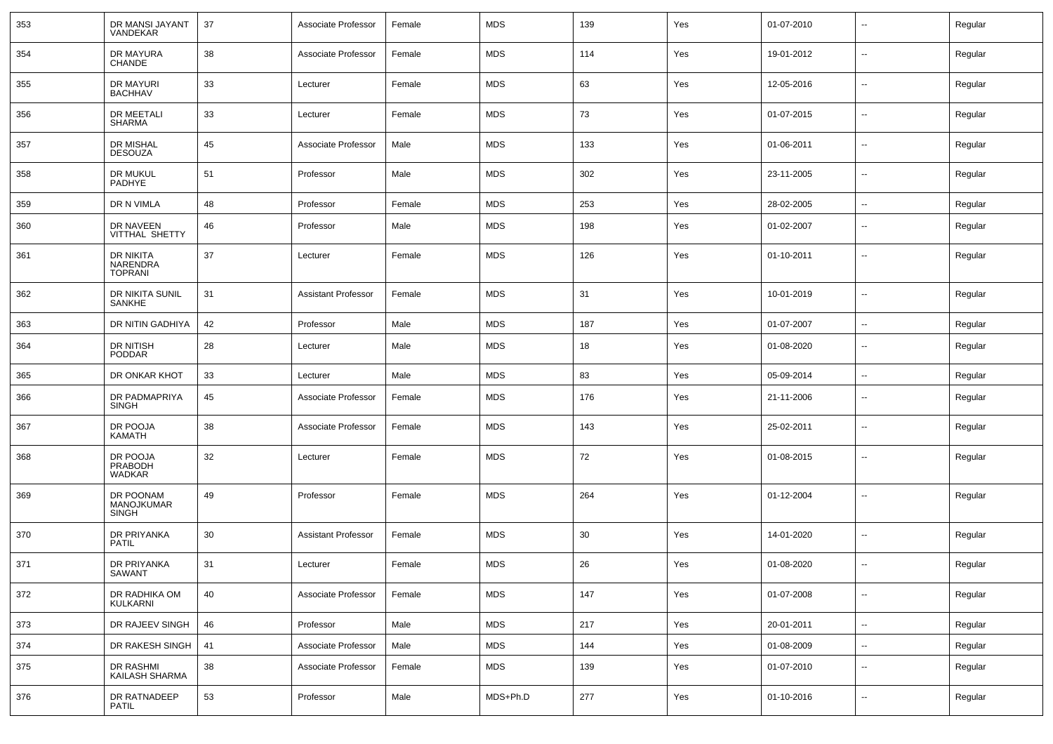| 353 | DR MANSI JAYANT<br>VANDEKAR                    | 37 | Associate Professor        | Female | <b>MDS</b> | 139 | Yes | 01-07-2010 | $\overline{\phantom{a}}$ | Regular |
|-----|------------------------------------------------|----|----------------------------|--------|------------|-----|-----|------------|--------------------------|---------|
| 354 | DR MAYURA<br><b>CHANDE</b>                     | 38 | Associate Professor        | Female | MDS        | 114 | Yes | 19-01-2012 | $\sim$                   | Regular |
| 355 | DR MAYURI<br><b>BACHHAV</b>                    | 33 | Lecturer                   | Female | <b>MDS</b> | 63  | Yes | 12-05-2016 | $\sim$                   | Regular |
| 356 | <b>DR MEETALI</b><br><b>SHARMA</b>             | 33 | Lecturer                   | Female | <b>MDS</b> | 73  | Yes | 01-07-2015 | $\sim$                   | Regular |
| 357 | DR MISHAL<br><b>DESOUZA</b>                    | 45 | Associate Professor        | Male   | <b>MDS</b> | 133 | Yes | 01-06-2011 | $\sim$                   | Regular |
| 358 | DR MUKUL<br>PADHYE                             | 51 | Professor                  | Male   | <b>MDS</b> | 302 | Yes | 23-11-2005 | $\sim$                   | Regular |
| 359 | DR N VIMLA                                     | 48 | Professor                  | Female | MDS        | 253 | Yes | 28-02-2005 | ⊷.                       | Regular |
| 360 | DR NAVEEN<br>VITTHAL SHETTY                    | 46 | Professor                  | Male   | <b>MDS</b> | 198 | Yes | 01-02-2007 | --                       | Regular |
| 361 | DR NIKITA<br><b>NARENDRA</b><br><b>TOPRANI</b> | 37 | Lecturer                   | Female | MDS        | 126 | Yes | 01-10-2011 | --                       | Regular |
| 362 | DR NIKITA SUNIL<br><b>SANKHE</b>               | 31 | <b>Assistant Professor</b> | Female | <b>MDS</b> | 31  | Yes | 10-01-2019 | $\overline{\phantom{a}}$ | Regular |
| 363 | DR NITIN GADHIYA                               | 42 | Professor                  | Male   | <b>MDS</b> | 187 | Yes | 01-07-2007 | $\sim$                   | Regular |
| 364 | DR NITISH<br><b>PODDAR</b>                     | 28 | Lecturer                   | Male   | MDS        | 18  | Yes | 01-08-2020 | $\overline{\phantom{a}}$ | Regular |
| 365 | DR ONKAR KHOT                                  | 33 | Lecturer                   | Male   | <b>MDS</b> | 83  | Yes | 05-09-2014 | $\sim$                   | Regular |
| 366 | DR PADMAPRIYA<br>SINGH                         | 45 | Associate Professor        | Female | <b>MDS</b> | 176 | Yes | 21-11-2006 | $\overline{\phantom{a}}$ | Regular |
| 367 | DR POOJA<br>KAMATH                             | 38 | Associate Professor        | Female | <b>MDS</b> | 143 | Yes | 25-02-2011 | $\overline{\phantom{a}}$ | Regular |
| 368 | DR POOJA<br>PRABODH<br><b>WADKAR</b>           | 32 | Lecturer                   | Female | <b>MDS</b> | 72  | Yes | 01-08-2015 | $\overline{\phantom{a}}$ | Regular |
| 369 | DR POONAM<br>MANOJKUMAR<br><b>SINGH</b>        | 49 | Professor                  | Female | MDS        | 264 | Yes | 01-12-2004 | --                       | Regular |
| 370 | DR PRIYANKA<br><b>PATIL</b>                    | 30 | <b>Assistant Professor</b> | Female | <b>MDS</b> | 30  | Yes | 14-01-2020 | $\overline{\phantom{a}}$ | Regular |
| 371 | DR PRIYANKA<br>SAWANT                          | 31 | Lecturer                   | Female | <b>MDS</b> | 26  | Yes | 01-08-2020 | -−                       | Regular |
| 372 | DR RADHIKA OM<br>KULKARNI                      | 40 | Associate Professor        | Female | <b>MDS</b> | 147 | Yes | 01-07-2008 | $\sim$                   | Regular |
| 373 | DR RAJEEV SINGH                                | 46 | Professor                  | Male   | <b>MDS</b> | 217 | Yes | 20-01-2011 | $\sim$                   | Regular |
| 374 | DR RAKESH SINGH                                | 41 | Associate Professor        | Male   | MDS        | 144 | Yes | 01-08-2009 | $\sim$                   | Regular |
| 375 | DR RASHMI<br>KAILASH SHARMA                    | 38 | Associate Professor        | Female | <b>MDS</b> | 139 | Yes | 01-07-2010 | Ξ.                       | Regular |
| 376 | DR RATNADEEP<br><b>PATIL</b>                   | 53 | Professor                  | Male   | MDS+Ph.D   | 277 | Yes | 01-10-2016 | $\overline{\phantom{a}}$ | Regular |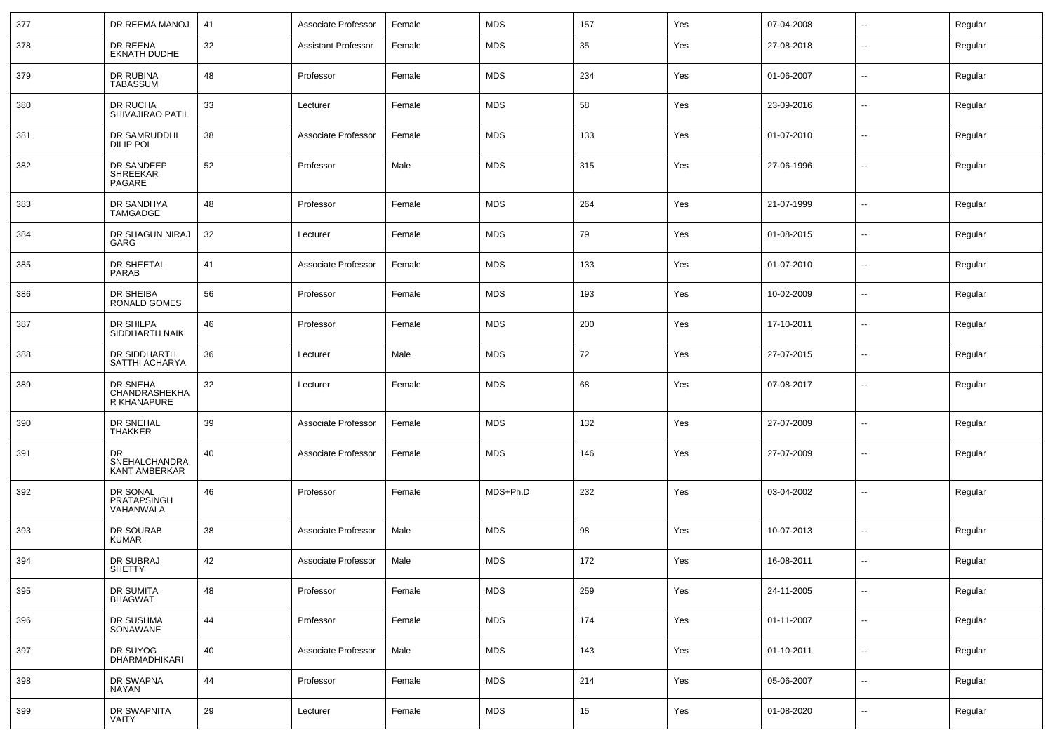| 377 | DR REEMA MANOJ                              | 41 | Associate Professor | Female | <b>MDS</b> | 157 | Yes | 07-04-2008 | $\sim$                   | Regular |
|-----|---------------------------------------------|----|---------------------|--------|------------|-----|-----|------------|--------------------------|---------|
| 378 | DR REENA<br><b>EKNATH DUDHE</b>             | 32 | Assistant Professor | Female | <b>MDS</b> | 35  | Yes | 27-08-2018 | $\overline{a}$           | Regular |
| 379 | DR RUBINA<br><b>TABASSUM</b>                | 48 | Professor           | Female | <b>MDS</b> | 234 | Yes | 01-06-2007 | --                       | Regular |
| 380 | DR RUCHA<br>SHIVAJIRAO PATIL                | 33 | Lecturer            | Female | <b>MDS</b> | 58  | Yes | 23-09-2016 | $\overline{a}$           | Regular |
| 381 | DR SAMRUDDHI<br><b>DILIP POL</b>            | 38 | Associate Professor | Female | <b>MDS</b> | 133 | Yes | 01-07-2010 | --                       | Regular |
| 382 | DR SANDEEP<br>SHREEKAR<br>PAGARE            | 52 | Professor           | Male   | <b>MDS</b> | 315 | Yes | 27-06-1996 | $\overline{a}$           | Regular |
| 383 | DR SANDHYA<br>TAMGADGE                      | 48 | Professor           | Female | <b>MDS</b> | 264 | Yes | 21-07-1999 | $\sim$                   | Regular |
| 384 | DR SHAGUN NIRAJ<br>GARG                     | 32 | Lecturer            | Female | <b>MDS</b> | 79  | Yes | 01-08-2015 | $\sim$                   | Regular |
| 385 | DR SHEETAL<br>PARAB                         | 41 | Associate Professor | Female | <b>MDS</b> | 133 | Yes | 01-07-2010 | $\sim$                   | Regular |
| 386 | DR SHEIBA<br><b>RONALD GOMES</b>            | 56 | Professor           | Female | <b>MDS</b> | 193 | Yes | 10-02-2009 | $\sim$                   | Regular |
| 387 | DR SHILPA<br>SIDDHARTH NAIK                 | 46 | Professor           | Female | <b>MDS</b> | 200 | Yes | 17-10-2011 | $\sim$                   | Regular |
| 388 | DR SIDDHARTH<br>SATTHI ACHARYA              | 36 | Lecturer            | Male   | <b>MDS</b> | 72  | Yes | 27-07-2015 | $\sim$                   | Regular |
| 389 | DR SNEHA<br>CHANDRASHEKHA<br>R KHANAPURE    | 32 | Lecturer            | Female | <b>MDS</b> | 68  | Yes | 07-08-2017 | $\mathbf{u}$             | Regular |
| 390 | DR SNEHAL<br><b>THAKKER</b>                 | 39 | Associate Professor | Female | <b>MDS</b> | 132 | Yes | 27-07-2009 | $\mathbf{u}$             | Regular |
| 391 | <b>DR</b><br>SNEHALCHANDRA<br>KANT AMBERKAR | 40 | Associate Professor | Female | <b>MDS</b> | 146 | Yes | 27-07-2009 | $\mathbf{u}$             | Regular |
| 392 | DR SONAL<br>PRATAPSINGH<br>VAHANWALA        | 46 | Professor           | Female | MDS+Ph.D   | 232 | Yes | 03-04-2002 | $\overline{\phantom{a}}$ | Regular |
| 393 | DR SOURAB<br><b>KUMAR</b>                   | 38 | Associate Professor | Male   | <b>MDS</b> | 98  | Yes | 10-07-2013 | $\overline{\phantom{a}}$ | Regular |
| 394 | DR SUBRAJ<br><b>SHETTY</b>                  | 42 | Associate Professor | Male   | <b>MDS</b> | 172 | Yes | 16-08-2011 | --                       | Regular |
| 395 | DR SUMITA<br><b>BHAGWAT</b>                 | 48 | Professor           | Female | <b>MDS</b> | 259 | Yes | 24-11-2005 | $\mathbf{u}$             | Regular |
| 396 | DR SUSHMA<br>SONAWANE                       | 44 | Professor           | Female | <b>MDS</b> | 174 | Yes | 01-11-2007 | $\sim$                   | Regular |
| 397 | DR SUYOG<br>DHARMADHIKARI                   | 40 | Associate Professor | Male   | <b>MDS</b> | 143 | Yes | 01-10-2011 | $\sim$                   | Regular |
| 398 | DR SWAPNA<br>NAYAN                          | 44 | Professor           | Female | <b>MDS</b> | 214 | Yes | 05-06-2007 | $\sim$                   | Regular |
| 399 | DR SWAPNITA<br>VAITY                        | 29 | Lecturer            | Female | <b>MDS</b> | 15  | Yes | 01-08-2020 | $\mathbf{u}$             | Regular |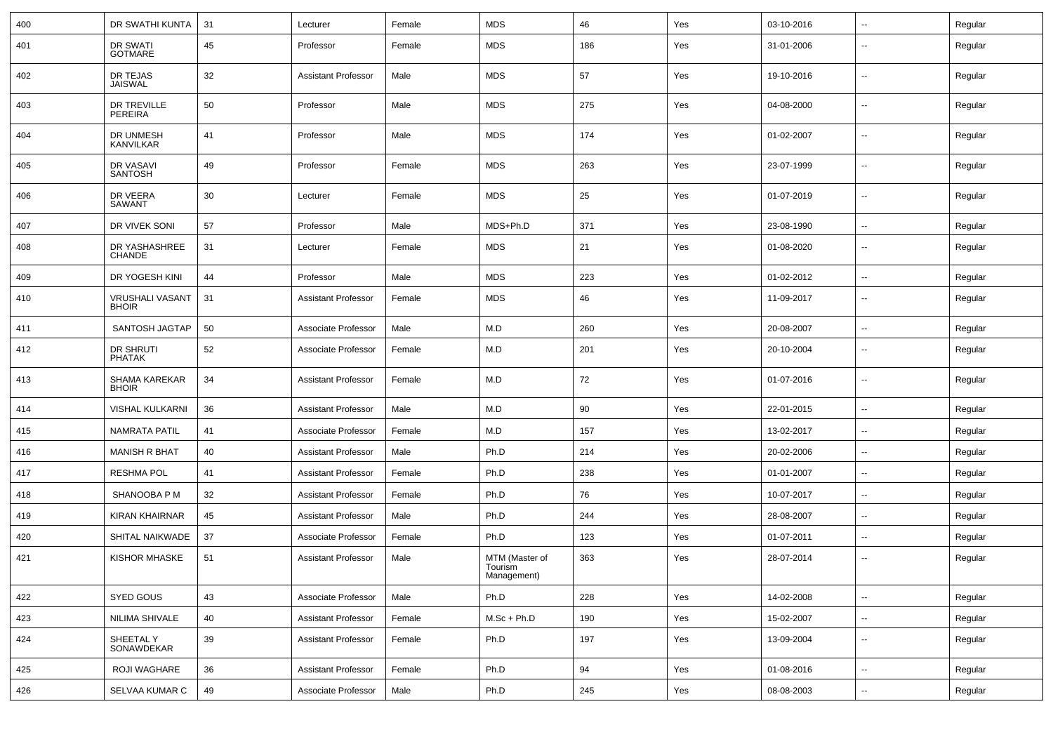| 400 | DR SWATHI KUNTA                        | 31 | Lecturer                   | Female | <b>MDS</b>                               | 46  | Yes | 03-10-2016 | -−                       | Regular |
|-----|----------------------------------------|----|----------------------------|--------|------------------------------------------|-----|-----|------------|--------------------------|---------|
| 401 | DR SWATI<br><b>GOTMARE</b>             | 45 | Professor                  | Female | <b>MDS</b>                               | 186 | Yes | 31-01-2006 | $\overline{\phantom{a}}$ | Regular |
| 402 | DR TEJAS<br><b>JAISWAL</b>             | 32 | <b>Assistant Professor</b> | Male   | <b>MDS</b>                               | 57  | Yes | 19-10-2016 | $\overline{\phantom{a}}$ | Regular |
| 403 | <b>DR TREVILLE</b><br><b>PEREIRA</b>   | 50 | Professor                  | Male   | <b>MDS</b>                               | 275 | Yes | 04-08-2000 | ⊷.                       | Regular |
| 404 | DR UNMESH<br><b>KANVILKAR</b>          | 41 | Professor                  | Male   | <b>MDS</b>                               | 174 | Yes | 01-02-2007 | $\overline{\phantom{a}}$ | Regular |
| 405 | DR VASAVI<br><b>SANTOSH</b>            | 49 | Professor                  | Female | <b>MDS</b>                               | 263 | Yes | 23-07-1999 | -−                       | Regular |
| 406 | DR VEERA<br>SAWANT                     | 30 | Lecturer                   | Female | <b>MDS</b>                               | 25  | Yes | 01-07-2019 | ⊷.                       | Regular |
| 407 | DR VIVEK SONI                          | 57 | Professor                  | Male   | MDS+Ph.D                                 | 371 | Yes | 23-08-1990 | н.                       | Regular |
| 408 | DR YASHASHREE<br><b>CHANDE</b>         | 31 | Lecturer                   | Female | <b>MDS</b>                               | 21  | Yes | 01-08-2020 | $\overline{\phantom{a}}$ | Regular |
| 409 | DR YOGESH KINI                         | 44 | Professor                  | Male   | <b>MDS</b>                               | 223 | Yes | 01-02-2012 | ⊷                        | Regular |
| 410 | <b>VRUSHALI VASANT</b><br><b>BHOIR</b> | 31 | <b>Assistant Professor</b> | Female | <b>MDS</b>                               | 46  | Yes | 11-09-2017 | --                       | Regular |
| 411 | SANTOSH JAGTAP                         | 50 | Associate Professor        | Male   | M.D                                      | 260 | Yes | 20-08-2007 |                          | Regular |
| 412 | <b>DR SHRUTI</b><br><b>PHATAK</b>      | 52 | Associate Professor        | Female | M.D                                      | 201 | Yes | 20-10-2004 | $\overline{\phantom{a}}$ | Regular |
| 413 | SHAMA KAREKAR<br><b>BHOIR</b>          | 34 | <b>Assistant Professor</b> | Female | M.D                                      | 72  | Yes | 01-07-2016 | $\overline{\phantom{a}}$ | Regular |
| 414 | <b>VISHAL KULKARNI</b>                 | 36 | <b>Assistant Professor</b> | Male   | M.D                                      | 90  | Yes | 22-01-2015 | ⊷.                       | Regular |
| 415 | <b>NAMRATA PATIL</b>                   | 41 | Associate Professor        | Female | M.D                                      | 157 | Yes | 13-02-2017 | ⊷.                       | Regular |
| 416 | <b>MANISH R BHAT</b>                   | 40 | <b>Assistant Professor</b> | Male   | Ph.D                                     | 214 | Yes | 20-02-2006 | Ξ.                       | Regular |
| 417 | <b>RESHMA POL</b>                      | 41 | <b>Assistant Professor</b> | Female | Ph.D                                     | 238 | Yes | 01-01-2007 | ⊷.                       | Regular |
| 418 | SHANOOBA P M                           | 32 | <b>Assistant Professor</b> | Female | Ph.D                                     | 76  | Yes | 10-07-2017 | --                       | Regular |
| 419 | <b>KIRAN KHAIRNAR</b>                  | 45 | <b>Assistant Professor</b> | Male   | Ph.D                                     | 244 | Yes | 28-08-2007 |                          | Regular |
| 420 | SHITAL NAIKWADE                        | 37 | Associate Professor        | Female | Ph.D                                     | 123 | Yes | 01-07-2011 | ⊷.                       | Regular |
| 421 | <b>KISHOR MHASKE</b>                   | 51 | <b>Assistant Professor</b> | Male   | MTM (Master of<br>Tourism<br>Management) | 363 | Yes | 28-07-2014 | −−                       | Regular |
| 422 | SYED GOUS                              | 43 | Associate Professor        | Male   | Ph.D                                     | 228 | Yes | 14-02-2008 | Щ,                       | Regular |
| 423 | NILIMA SHIVALE                         | 40 | <b>Assistant Professor</b> | Female | $M.Sc + Ph.D$                            | 190 | Yes | 15-02-2007 | Щ,                       | Regular |
| 424 | SHEETAL Y<br>SONAWDEKAR                | 39 | <b>Assistant Professor</b> | Female | Ph.D                                     | 197 | Yes | 13-09-2004 | $\overline{\phantom{a}}$ | Regular |
| 425 | ROJI WAGHARE                           | 36 | <b>Assistant Professor</b> | Female | Ph.D                                     | 94  | Yes | 01-08-2016 | Щ,                       | Regular |
| 426 | SELVAA KUMAR C                         | 49 | Associate Professor        | Male   | Ph.D                                     | 245 | Yes | 08-08-2003 | Щ,                       | Regular |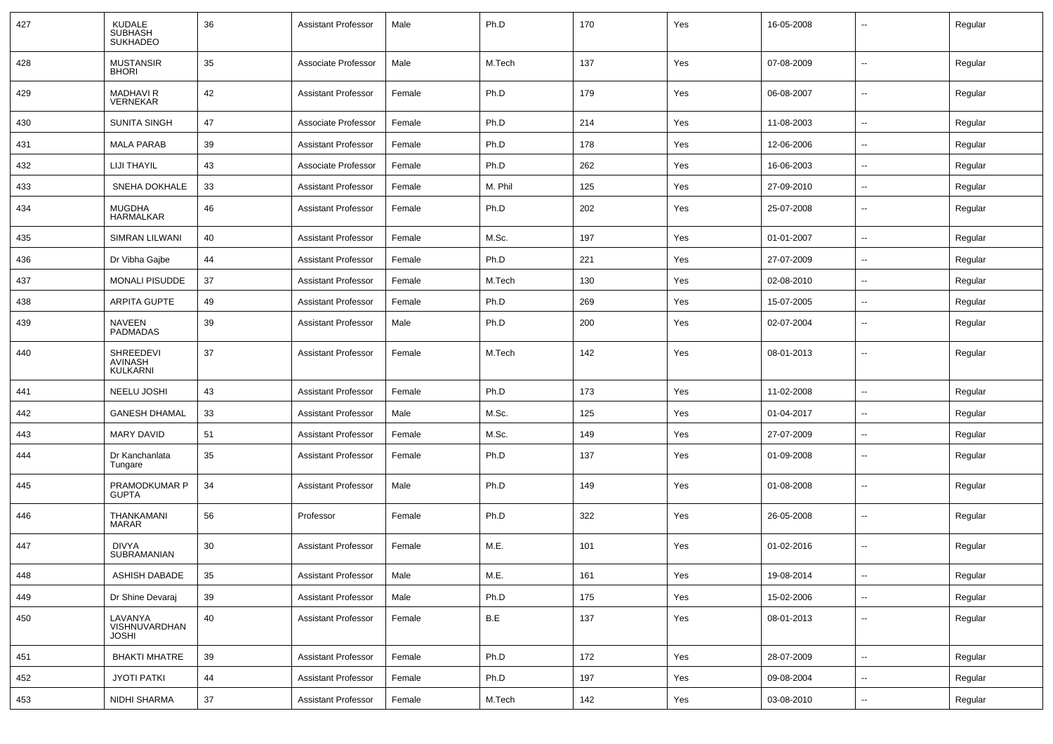| 427 | <b>KUDALE</b><br><b>SUBHASH</b><br><b>SUKHADEO</b> | 36 | <b>Assistant Professor</b> | Male   | Ph.D    | 170 | Yes | 16-05-2008 |                          | Regular |
|-----|----------------------------------------------------|----|----------------------------|--------|---------|-----|-----|------------|--------------------------|---------|
| 428 | <b>MUSTANSIR</b><br><b>BHORI</b>                   | 35 | Associate Professor        | Male   | M.Tech  | 137 | Yes | 07-08-2009 | $\overline{\phantom{a}}$ | Regular |
| 429 | <b>MADHAVI R</b><br><b>VERNEKAR</b>                | 42 | <b>Assistant Professor</b> | Female | Ph.D    | 179 | Yes | 06-08-2007 | $\sim$                   | Regular |
| 430 | <b>SUNITA SINGH</b>                                | 47 | Associate Professor        | Female | Ph.D    | 214 | Yes | 11-08-2003 | $\sim$                   | Regular |
| 431 | <b>MALA PARAB</b>                                  | 39 | <b>Assistant Professor</b> | Female | Ph.D    | 178 | Yes | 12-06-2006 | $\overline{\phantom{a}}$ | Regular |
| 432 | LIJI THAYIL                                        | 43 | Associate Professor        | Female | Ph.D    | 262 | Yes | 16-06-2003 | $\overline{\phantom{a}}$ | Regular |
| 433 | SNEHA DOKHALE                                      | 33 | <b>Assistant Professor</b> | Female | M. Phil | 125 | Yes | 27-09-2010 | $\sim$                   | Regular |
| 434 | <b>MUGDHA</b><br><b>HARMALKAR</b>                  | 46 | <b>Assistant Professor</b> | Female | Ph.D    | 202 | Yes | 25-07-2008 | --                       | Regular |
| 435 | SIMRAN LILWANI                                     | 40 | <b>Assistant Professor</b> | Female | M.Sc.   | 197 | Yes | 01-01-2007 | $\overline{\phantom{a}}$ | Regular |
| 436 | Dr Vibha Gajbe                                     | 44 | <b>Assistant Professor</b> | Female | Ph.D    | 221 | Yes | 27-07-2009 | $\sim$                   | Regular |
| 437 | <b>MONALI PISUDDE</b>                              | 37 | <b>Assistant Professor</b> | Female | M.Tech  | 130 | Yes | 02-08-2010 | $\sim$                   | Regular |
| 438 | <b>ARPITA GUPTE</b>                                | 49 | <b>Assistant Professor</b> | Female | Ph.D    | 269 | Yes | 15-07-2005 | $\overline{\phantom{a}}$ | Regular |
| 439 | <b>NAVEEN</b><br><b>PADMADAS</b>                   | 39 | <b>Assistant Professor</b> | Male   | Ph.D    | 200 | Yes | 02-07-2004 | $\overline{\phantom{a}}$ | Regular |
| 440 | SHREEDEVI<br><b>AVINASH</b><br><b>KULKARNI</b>     | 37 | <b>Assistant Professor</b> | Female | M.Tech  | 142 | Yes | 08-01-2013 | $\sim$                   | Regular |
| 441 | NEELU JOSHI                                        | 43 | <b>Assistant Professor</b> | Female | Ph.D    | 173 | Yes | 11-02-2008 | -−                       | Regular |
| 442 | <b>GANESH DHAMAL</b>                               | 33 | <b>Assistant Professor</b> | Male   | M.Sc.   | 125 | Yes | 01-04-2017 | $\sim$                   | Regular |
| 443 | <b>MARY DAVID</b>                                  | 51 | <b>Assistant Professor</b> | Female | M.Sc.   | 149 | Yes | 27-07-2009 | $\overline{\phantom{a}}$ | Regular |
| 444 | Dr Kanchanlata<br>Tungare                          | 35 | <b>Assistant Professor</b> | Female | Ph.D    | 137 | Yes | 01-09-2008 | $\overline{\phantom{a}}$ | Regular |
| 445 | PRAMODKUMAR P<br><b>GUPTA</b>                      | 34 | <b>Assistant Professor</b> | Male   | Ph.D    | 149 | Yes | 01-08-2008 | --                       | Regular |
| 446 | THANKAMANI<br>MARAR                                | 56 | Professor                  | Female | Ph.D    | 322 | Yes | 26-05-2008 | -−                       | Regular |
| 447 | <b>DIVYA</b><br>SUBRAMANIAN                        | 30 | <b>Assistant Professor</b> | Female | M.E.    | 101 | Yes | 01-02-2016 | $\overline{\phantom{a}}$ | Regular |
| 448 | ASHISH DABADE                                      | 35 | Assistant Professor        | Male   | M.E.    | 161 | Yes | 19-08-2014 |                          | Regular |
| 449 | Dr Shine Devaraj                                   | 39 | Assistant Professor        | Male   | Ph.D    | 175 | Yes | 15-02-2006 | $\sim$                   | Regular |
| 450 | LAVANYA<br>VISHNUVARDHAN<br><b>JOSHI</b>           | 40 | <b>Assistant Professor</b> | Female | B.E     | 137 | Yes | 08-01-2013 | $\sim$                   | Regular |
| 451 | <b>BHAKTI MHATRE</b>                               | 39 | Assistant Professor        | Female | Ph.D    | 172 | Yes | 28-07-2009 | $\sim$                   | Regular |
| 452 | <b>JYOTI PATKI</b>                                 | 44 | <b>Assistant Professor</b> | Female | Ph.D    | 197 | Yes | 09-08-2004 | $\overline{\phantom{a}}$ | Regular |
| 453 | NIDHI SHARMA                                       | 37 | <b>Assistant Professor</b> | Female | M.Tech  | 142 | Yes | 03-08-2010 | $\sim$                   | Regular |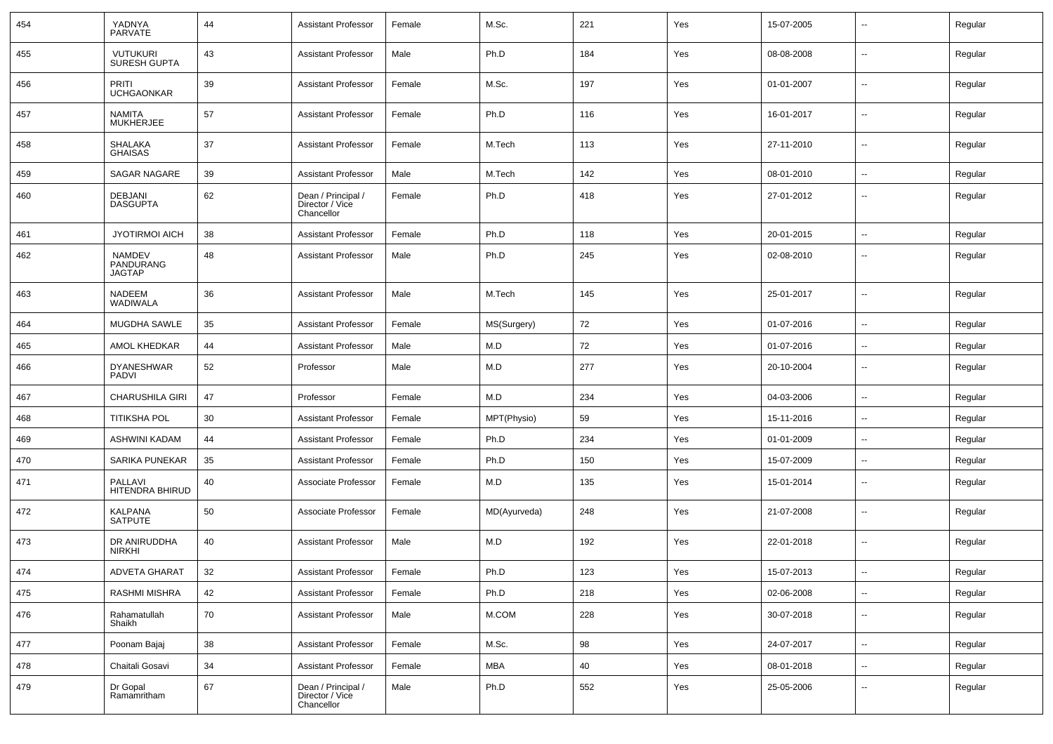| 454 | YADNYA<br><b>PARVATE</b>                    | 44 | <b>Assistant Professor</b>                          | Female | M.Sc.        | 221 | Yes | 15-07-2005 | --                       | Regular |
|-----|---------------------------------------------|----|-----------------------------------------------------|--------|--------------|-----|-----|------------|--------------------------|---------|
| 455 | VUTUKURI<br>SURESH GUPTA                    | 43 | <b>Assistant Professor</b>                          | Male   | Ph.D         | 184 | Yes | 08-08-2008 | $\overline{\phantom{a}}$ | Regular |
| 456 | PRITI<br><b>UCHGAONKAR</b>                  | 39 | <b>Assistant Professor</b>                          | Female | M.Sc.        | 197 | Yes | 01-01-2007 | $\overline{\phantom{a}}$ | Regular |
| 457 | NAMITA<br>MUKHERJEE                         | 57 | <b>Assistant Professor</b>                          | Female | Ph.D         | 116 | Yes | 16-01-2017 | $\sim$                   | Regular |
| 458 | SHALAKA<br>GHAISAS                          | 37 | <b>Assistant Professor</b>                          | Female | M.Tech       | 113 | Yes | 27-11-2010 | $\overline{\phantom{a}}$ | Regular |
| 459 | <b>SAGAR NAGARE</b>                         | 39 | <b>Assistant Professor</b>                          | Male   | M.Tech       | 142 | Yes | 08-01-2010 | $\sim$                   | Regular |
| 460 | <b>DEBJANI</b><br><b>DASGUPTA</b>           | 62 | Dean / Principal /<br>Director / Vice<br>Chancellor | Female | Ph.D         | 418 | Yes | 27-01-2012 | --                       | Regular |
| 461 | <b>JYOTIRMOI AICH</b>                       | 38 | <b>Assistant Professor</b>                          | Female | Ph.D         | 118 | Yes | 20-01-2015 | $\overline{\phantom{a}}$ | Regular |
| 462 | <b>NAMDEV</b><br>PANDURANG<br><b>JAGTAP</b> | 48 | <b>Assistant Professor</b>                          | Male   | Ph.D         | 245 | Yes | 02-08-2010 | --                       | Regular |
| 463 | <b>NADEEM</b><br><b>WADIWALA</b>            | 36 | <b>Assistant Professor</b>                          | Male   | M.Tech       | 145 | Yes | 25-01-2017 | $\overline{\phantom{a}}$ | Regular |
| 464 | MUGDHA SAWLE                                | 35 | <b>Assistant Professor</b>                          | Female | MS(Surgery)  | 72  | Yes | 01-07-2016 | $\overline{\phantom{a}}$ | Regular |
| 465 | AMOL KHEDKAR                                | 44 | <b>Assistant Professor</b>                          | Male   | M.D          | 72  | Yes | 01-07-2016 | --                       | Regular |
| 466 | <b>DYANESHWAR</b><br><b>PADVI</b>           | 52 | Professor                                           | Male   | M.D          | 277 | Yes | 20-10-2004 | $\overline{\phantom{a}}$ | Regular |
| 467 | <b>CHARUSHILA GIRI</b>                      | 47 | Professor                                           | Female | M.D          | 234 | Yes | 04-03-2006 | $\overline{\phantom{a}}$ | Regular |
| 468 | <b>TITIKSHA POL</b>                         | 30 | <b>Assistant Professor</b>                          | Female | MPT(Physio)  | 59  | Yes | 15-11-2016 | $\overline{\phantom{a}}$ | Regular |
| 469 | <b>ASHWINI KADAM</b>                        | 44 | <b>Assistant Professor</b>                          | Female | Ph.D         | 234 | Yes | 01-01-2009 | $\overline{a}$           | Regular |
| 470 | <b>SARIKA PUNEKAR</b>                       | 35 | <b>Assistant Professor</b>                          | Female | Ph.D         | 150 | Yes | 15-07-2009 | $\sim$                   | Regular |
| 471 | PALLAVI<br>HITENDRA BHIRUD                  | 40 | Associate Professor                                 | Female | M.D          | 135 | Yes | 15-01-2014 | $\overline{\phantom{a}}$ | Regular |
| 472 | <b>KALPANA</b><br><b>SATPUTE</b>            | 50 | Associate Professor                                 | Female | MD(Ayurveda) | 248 | Yes | 21-07-2008 | $\overline{\phantom{a}}$ | Regular |
| 473 | DR ANIRUDDHA<br><b>NIRKHI</b>               | 40 | <b>Assistant Professor</b>                          | Male   | M.D          | 192 | Yes | 22-01-2018 | --                       | Regular |
| 474 | <b>ADVETA GHARAT</b>                        | 32 | <b>Assistant Professor</b>                          | Female | Ph.D         | 123 | Yes | 15-07-2013 | $\sim$                   | Regular |
| 475 | RASHMI MISHRA                               | 42 | <b>Assistant Professor</b>                          | Female | Ph.D         | 218 | Yes | 02-06-2008 | ш,                       | Regular |
| 476 | Rahamatullah<br>Shaikh                      | 70 | <b>Assistant Professor</b>                          | Male   | M.COM        | 228 | Yes | 30-07-2018 | $\overline{\phantom{a}}$ | Regular |
| 477 | Poonam Bajaj                                | 38 | <b>Assistant Professor</b>                          | Female | M.Sc.        | 98  | Yes | 24-07-2017 | $\sim$                   | Regular |
| 478 | Chaitali Gosavi                             | 34 | <b>Assistant Professor</b>                          | Female | <b>MBA</b>   | 40  | Yes | 08-01-2018 | $\sim$                   | Regular |
| 479 | Dr Gopal<br>Ramamritham                     | 67 | Dean / Principal /<br>Director / Vice<br>Chancellor | Male   | Ph.D         | 552 | Yes | 25-05-2006 | $\overline{\phantom{a}}$ | Regular |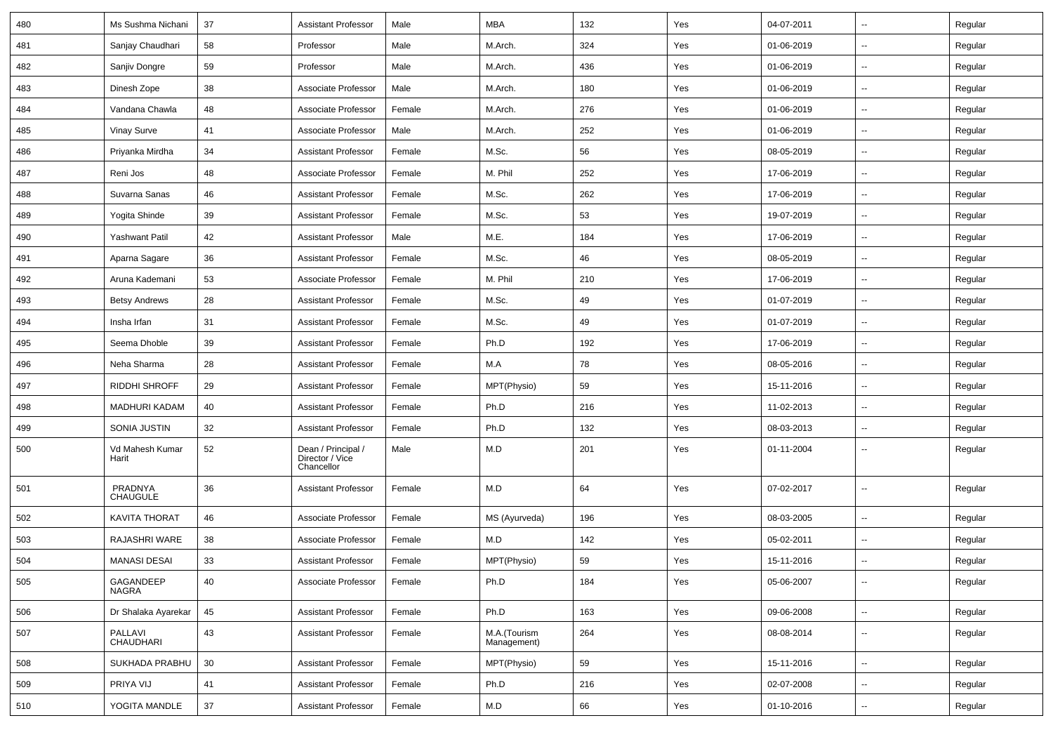| 480 | Ms Sushma Nichani           | 37 | <b>Assistant Professor</b>                          | Male   | MBA                         | 132 | Yes | 04-07-2011 | $\overline{\phantom{a}}$ | Regular |
|-----|-----------------------------|----|-----------------------------------------------------|--------|-----------------------------|-----|-----|------------|--------------------------|---------|
| 481 | Sanjay Chaudhari            | 58 | Professor                                           | Male   | M.Arch.                     | 324 | Yes | 01-06-2019 | --                       | Regular |
| 482 | Sanjiv Dongre               | 59 | Professor                                           | Male   | M.Arch.                     | 436 | Yes | 01-06-2019 | $\overline{\phantom{a}}$ | Regular |
| 483 | Dinesh Zope                 | 38 | Associate Professor                                 | Male   | M.Arch.                     | 180 | Yes | 01-06-2019 | $\overline{\phantom{a}}$ | Regular |
| 484 | Vandana Chawla              | 48 | Associate Professor                                 | Female | M.Arch.                     | 276 | Yes | 01-06-2019 | $\overline{\phantom{a}}$ | Regular |
| 485 | Vinay Surve                 | 41 | Associate Professor                                 | Male   | M.Arch.                     | 252 | Yes | 01-06-2019 | $\overline{\phantom{a}}$ | Regular |
| 486 | Priyanka Mirdha             | 34 | <b>Assistant Professor</b>                          | Female | M.Sc.                       | 56  | Yes | 08-05-2019 | $\sim$                   | Regular |
| 487 | Reni Jos                    | 48 | Associate Professor                                 | Female | M. Phil                     | 252 | Yes | 17-06-2019 | --                       | Regular |
| 488 | Suvarna Sanas               | 46 | <b>Assistant Professor</b>                          | Female | M.Sc.                       | 262 | Yes | 17-06-2019 | $\overline{\phantom{a}}$ | Regular |
| 489 | Yogita Shinde               | 39 | <b>Assistant Professor</b>                          | Female | M.Sc.                       | 53  | Yes | 19-07-2019 | $\overline{\phantom{a}}$ | Regular |
| 490 | <b>Yashwant Patil</b>       | 42 | <b>Assistant Professor</b>                          | Male   | M.E.                        | 184 | Yes | 17-06-2019 | $\overline{\phantom{a}}$ | Regular |
| 491 | Aparna Sagare               | 36 | <b>Assistant Professor</b>                          | Female | M.Sc.                       | 46  | Yes | 08-05-2019 | $\overline{\phantom{a}}$ | Regular |
| 492 | Aruna Kademani              | 53 | Associate Professor                                 | Female | M. Phil                     | 210 | Yes | 17-06-2019 | $\overline{\phantom{a}}$ | Regular |
| 493 | <b>Betsy Andrews</b>        | 28 | <b>Assistant Professor</b>                          | Female | M.Sc.                       | 49  | Yes | 01-07-2019 | -−                       | Regular |
| 494 | Insha Irfan                 | 31 | <b>Assistant Professor</b>                          | Female | M.Sc.                       | 49  | Yes | 01-07-2019 | $\overline{\phantom{a}}$ | Regular |
| 495 | Seema Dhoble                | 39 | <b>Assistant Professor</b>                          | Female | Ph.D                        | 192 | Yes | 17-06-2019 | $\overline{\phantom{a}}$ | Regular |
| 496 | Neha Sharma                 | 28 | <b>Assistant Professor</b>                          | Female | M.A                         | 78  | Yes | 08-05-2016 | $\overline{\phantom{a}}$ | Regular |
| 497 | <b>RIDDHI SHROFF</b>        | 29 | <b>Assistant Professor</b>                          | Female | MPT(Physio)                 | 59  | Yes | 15-11-2016 | $\overline{\phantom{a}}$ | Regular |
| 498 | <b>MADHURI KADAM</b>        | 40 | <b>Assistant Professor</b>                          | Female | Ph.D                        | 216 | Yes | 11-02-2013 | $\sim$                   | Regular |
| 499 | SONIA JUSTIN                | 32 | <b>Assistant Professor</b>                          | Female | Ph.D                        | 132 | Yes | 08-03-2013 | --                       | Regular |
| 500 | Vd Mahesh Kumar<br>Harit    | 52 | Dean / Principal /<br>Director / Vice<br>Chancellor | Male   | M.D                         | 201 | Yes | 01-11-2004 | --                       | Regular |
| 501 | PRADNYA<br><b>CHAUGULE</b>  | 36 | <b>Assistant Professor</b>                          | Female | M.D                         | 64  | Yes | 07-02-2017 | --                       | Regular |
| 502 | <b>KAVITA THORAT</b>        | 46 | Associate Professor                                 | Female | MS (Ayurveda)               | 196 | Yes | 08-03-2005 |                          | Regular |
| 503 | RAJASHRI WARE               | 38 | Associate Professor                                 | Female | M.D                         | 142 | Yes | 05-02-2011 | -−                       | Regular |
| 504 | <b>MANASI DESAI</b>         | 33 | <b>Assistant Professor</b>                          | Female | MPT(Physio)                 | 59  | Yes | 15-11-2016 |                          | Regular |
| 505 | GAGANDEEP<br><b>NAGRA</b>   | 40 | Associate Professor                                 | Female | Ph.D                        | 184 | Yes | 05-06-2007 | $\overline{\phantom{a}}$ | Regular |
| 506 | Dr Shalaka Ayarekar         | 45 | <b>Assistant Professor</b>                          | Female | Ph.D                        | 163 | Yes | 09-06-2008 | ц.                       | Regular |
| 507 | PALLAVI<br><b>CHAUDHARI</b> | 43 | <b>Assistant Professor</b>                          | Female | M.A.(Tourism<br>Management) | 264 | Yes | 08-08-2014 | $\sim$                   | Regular |
| 508 | SUKHADA PRABHU              | 30 | <b>Assistant Professor</b>                          | Female | MPT(Physio)                 | 59  | Yes | 15-11-2016 | $\sim$                   | Regular |
| 509 | PRIYA VIJ                   | 41 | <b>Assistant Professor</b>                          | Female | Ph.D                        | 216 | Yes | 02-07-2008 | $\sim$                   | Regular |
| 510 | YOGITA MANDLE               | 37 | Assistant Professor                                 | Female | M.D                         | 66  | Yes | 01-10-2016 | н.                       | Regular |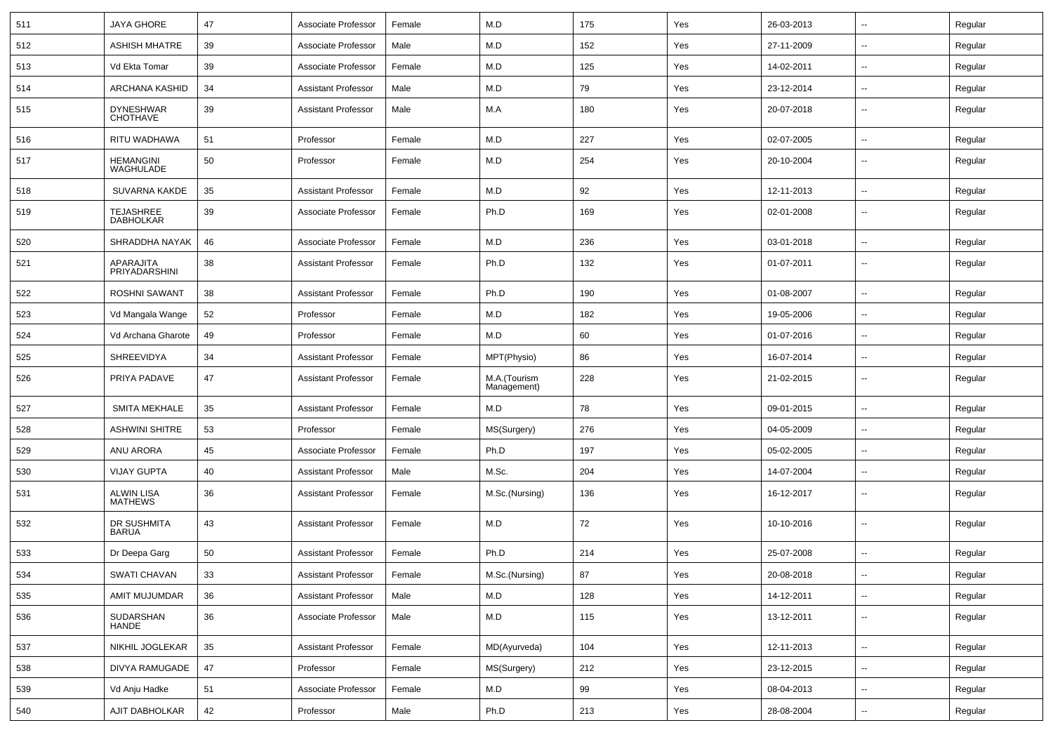| 511 | <b>JAYA GHORE</b>                    | 47 | Associate Professor        | Female | M.D                         | 175 | Yes | 26-03-2013 | $\overline{\phantom{a}}$ | Regular |
|-----|--------------------------------------|----|----------------------------|--------|-----------------------------|-----|-----|------------|--------------------------|---------|
| 512 | <b>ASHISH MHATRE</b>                 | 39 | Associate Professor        | Male   | M.D                         | 152 | Yes | 27-11-2009 | $\sim$                   | Regular |
| 513 | Vd Ekta Tomar                        | 39 | Associate Professor        | Female | M.D                         | 125 | Yes | 14-02-2011 | $\overline{\phantom{a}}$ | Regular |
| 514 | ARCHANA KASHID                       | 34 | <b>Assistant Professor</b> | Male   | M.D                         | 79  | Yes | 23-12-2014 | $\overline{\phantom{a}}$ | Regular |
| 515 | <b>DYNESHWAR</b><br><b>CHOTHAVE</b>  | 39 | Assistant Professor        | Male   | M.A                         | 180 | Yes | 20-07-2018 | --                       | Regular |
| 516 | RITU WADHAWA                         | 51 | Professor                  | Female | M.D                         | 227 | Yes | 02-07-2005 | $\overline{\phantom{a}}$ | Regular |
| 517 | <b>HEMANGINI</b><br>WAGHULADE        | 50 | Professor                  | Female | M.D                         | 254 | Yes | 20-10-2004 | $\overline{\phantom{a}}$ | Regular |
| 518 | <b>SUVARNA KAKDE</b>                 | 35 | <b>Assistant Professor</b> | Female | M.D                         | 92  | Yes | 12-11-2013 | $\overline{\phantom{a}}$ | Regular |
| 519 | <b>TEJASHREE</b><br><b>DABHOLKAR</b> | 39 | Associate Professor        | Female | Ph.D                        | 169 | Yes | 02-01-2008 | $\overline{\phantom{a}}$ | Regular |
| 520 | SHRADDHA NAYAK                       | 46 | Associate Professor        | Female | M.D                         | 236 | Yes | 03-01-2018 | $\overline{\phantom{a}}$ | Regular |
| 521 | APARAJITA<br>PRIYADARSHINI           | 38 | <b>Assistant Professor</b> | Female | Ph.D                        | 132 | Yes | 01-07-2011 | $\sim$                   | Regular |
| 522 | <b>ROSHNI SAWANT</b>                 | 38 | <b>Assistant Professor</b> | Female | Ph.D                        | 190 | Yes | 01-08-2007 | ⊷.                       | Regular |
| 523 | Vd Mangala Wange                     | 52 | Professor                  | Female | M.D                         | 182 | Yes | 19-05-2006 | $\overline{\phantom{a}}$ | Regular |
| 524 | Vd Archana Gharote                   | 49 | Professor                  | Female | M.D                         | 60  | Yes | 01-07-2016 |                          | Regular |
| 525 | SHREEVIDYA                           | 34 | <b>Assistant Professor</b> | Female | MPT(Physio)                 | 86  | Yes | 16-07-2014 | ⊷.                       | Regular |
| 526 | PRIYA PADAVE                         | 47 | <b>Assistant Professor</b> | Female | M.A.(Tourism<br>Management) | 228 | Yes | 21-02-2015 | $\overline{\phantom{a}}$ | Regular |
| 527 | <b>SMITA MEKHALE</b>                 | 35 | <b>Assistant Professor</b> | Female | M.D                         | 78  | Yes | 09-01-2015 |                          | Regular |
| 528 | <b>ASHWINI SHITRE</b>                | 53 | Professor                  | Female | MS(Surgery)                 | 276 | Yes | 04-05-2009 | $\sim$                   | Regular |
| 529 | ANU ARORA                            | 45 | Associate Professor        | Female | Ph.D                        | 197 | Yes | 05-02-2005 | $\sim$                   | Regular |
| 530 | <b>VIJAY GUPTA</b>                   | 40 | <b>Assistant Professor</b> | Male   | M.Sc.                       | 204 | Yes | 14-07-2004 | $\overline{\phantom{a}}$ | Regular |
| 531 | <b>ALWIN LISA</b><br><b>MATHEWS</b>  | 36 | <b>Assistant Professor</b> | Female | M.Sc.(Nursing)              | 136 | Yes | 16-12-2017 | --                       | Regular |
| 532 | DR SUSHMITA<br><b>BARUA</b>          | 43 | <b>Assistant Professor</b> | Female | M.D                         | 72  | Yes | 10-10-2016 | $\overline{\phantom{a}}$ | Regular |
| 533 | Dr Deepa Garg                        | 50 | Assistant Professor        | Female | Ph.D                        | 214 | Yes | 25-07-2008 | --                       | Regular |
| 534 | SWATI CHAVAN                         | 33 | Assistant Professor        | Female | M.Sc.(Nursing)              | 87  | Yes | 20-08-2018 |                          | Regular |
| 535 | AMIT MUJUMDAR                        | 36 | Assistant Professor        | Male   | M.D                         | 128 | Yes | 14-12-2011 | $\sim$                   | Regular |
| 536 | SUDARSHAN<br><b>HANDE</b>            | 36 | Associate Professor        | Male   | M.D                         | 115 | Yes | 13-12-2011 | $\sim$                   | Regular |
| 537 | NIKHIL JOGLEKAR                      | 35 | <b>Assistant Professor</b> | Female | MD(Ayurveda)                | 104 | Yes | 12-11-2013 | $\sim$                   | Regular |
| 538 | DIVYA RAMUGADE                       | 47 | Professor                  | Female | MS(Surgery)                 | 212 | Yes | 23-12-2015 | $\sim$                   | Regular |
| 539 | Vd Anju Hadke                        | 51 | Associate Professor        | Female | M.D                         | 99  | Yes | 08-04-2013 | $\sim$                   | Regular |
| 540 | AJIT DABHOLKAR                       | 42 | Professor                  | Male   | Ph.D                        | 213 | Yes | 28-08-2004 | $\sim$                   | Regular |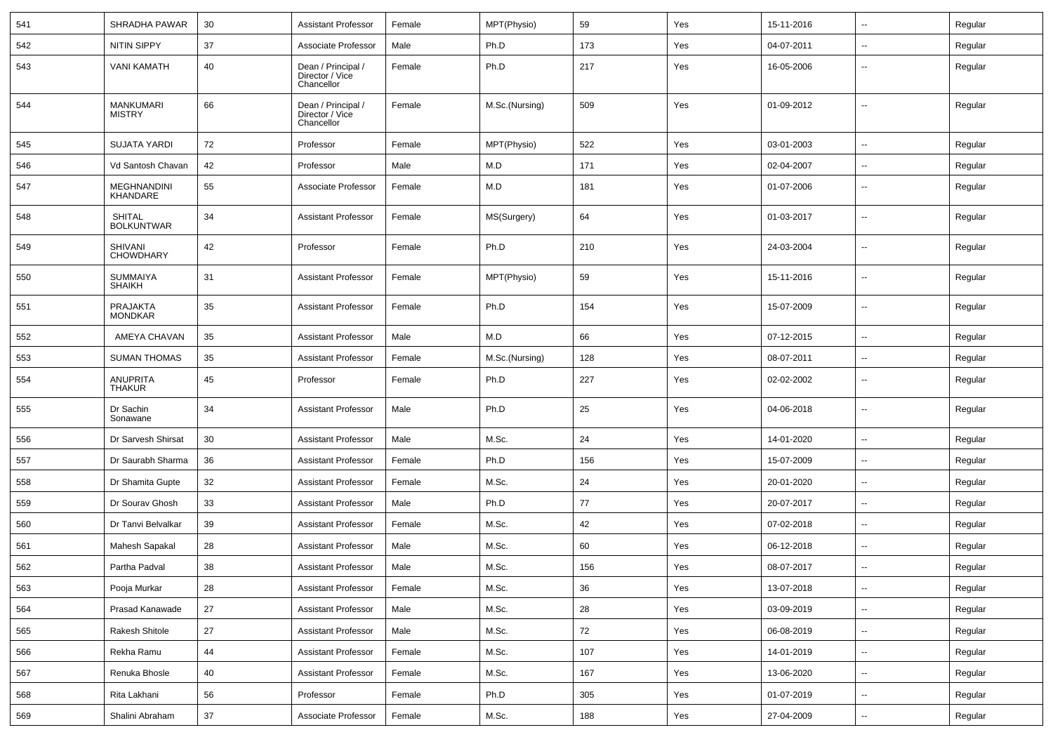| 541 | SHRADHA PAWAR                      | 30 | <b>Assistant Professor</b>                          | Female | MPT(Physio)    | 59  | Yes | 15-11-2016 | $\overline{\phantom{a}}$ | Regular |
|-----|------------------------------------|----|-----------------------------------------------------|--------|----------------|-----|-----|------------|--------------------------|---------|
| 542 | <b>NITIN SIPPY</b>                 | 37 | Associate Professor                                 | Male   | Ph.D           | 173 | Yes | 04-07-2011 | --                       | Regular |
| 543 | <b>VANI KAMATH</b>                 | 40 | Dean / Principal /<br>Director / Vice<br>Chancellor | Female | Ph.D           | 217 | Yes | 16-05-2006 | --                       | Regular |
| 544 | <b>MANKUMARI</b><br><b>MISTRY</b>  | 66 | Dean / Principal /<br>Director / Vice<br>Chancellor | Female | M.Sc.(Nursing) | 509 | Yes | 01-09-2012 | $\overline{\phantom{a}}$ | Regular |
| 545 | <b>SUJATA YARDI</b>                | 72 | Professor                                           | Female | MPT(Physio)    | 522 | Yes | 03-01-2003 | ⊷.                       | Regular |
| 546 | Vd Santosh Chavan                  | 42 | Professor                                           | Male   | M.D            | 171 | Yes | 02-04-2007 | --                       | Regular |
| 547 | MEGHNANDINI<br><b>KHANDARE</b>     | 55 | Associate Professor                                 | Female | M.D            | 181 | Yes | 01-07-2006 | --                       | Regular |
| 548 | <b>SHITAL</b><br><b>BOLKUNTWAR</b> | 34 | <b>Assistant Professor</b>                          | Female | MS(Surgery)    | 64  | Yes | 01-03-2017 | $\overline{\phantom{a}}$ | Regular |
| 549 | <b>SHIVANI</b><br><b>CHOWDHARY</b> | 42 | Professor                                           | Female | Ph.D           | 210 | Yes | 24-03-2004 | --                       | Regular |
| 550 | <b>SUMMAIYA</b><br><b>SHAIKH</b>   | 31 | <b>Assistant Professor</b>                          | Female | MPT(Physio)    | 59  | Yes | 15-11-2016 | $\overline{\phantom{a}}$ | Regular |
| 551 | PRAJAKTA<br><b>MONDKAR</b>         | 35 | <b>Assistant Professor</b>                          | Female | Ph.D           | 154 | Yes | 15-07-2009 | $\overline{\phantom{a}}$ | Regular |
| 552 | AMEYA CHAVAN                       | 35 | <b>Assistant Professor</b>                          | Male   | M.D            | 66  | Yes | 07-12-2015 | --                       | Regular |
| 553 | <b>SUMAN THOMAS</b>                | 35 | <b>Assistant Professor</b>                          | Female | M.Sc.(Nursing) | 128 | Yes | 08-07-2011 | --                       | Regular |
| 554 | <b>ANUPRITA</b><br><b>THAKUR</b>   | 45 | Professor                                           | Female | Ph.D           | 227 | Yes | 02-02-2002 | --                       | Regular |
| 555 | Dr Sachin<br>Sonawane              | 34 | <b>Assistant Professor</b>                          | Male   | Ph.D           | 25  | Yes | 04-06-2018 | ۵.                       | Regular |
| 556 | Dr Sarvesh Shirsat                 | 30 | <b>Assistant Professor</b>                          | Male   | M.Sc.          | 24  | Yes | 14-01-2020 | $\overline{\phantom{a}}$ | Regular |
| 557 | Dr Saurabh Sharma                  | 36 | <b>Assistant Professor</b>                          | Female | Ph.D           | 156 | Yes | 15-07-2009 | $\overline{\phantom{a}}$ | Regular |
| 558 | Dr Shamita Gupte                   | 32 | <b>Assistant Professor</b>                          | Female | M.Sc.          | 24  | Yes | 20-01-2020 | ⊷.                       | Regular |
| 559 | Dr Sourav Ghosh                    | 33 | <b>Assistant Professor</b>                          | Male   | Ph.D           | 77  | Yes | 20-07-2017 | --                       | Regular |
| 560 | Dr Tanvi Belvalkar                 | 39 | <b>Assistant Professor</b>                          | Female | M.Sc.          | 42  | Yes | 07-02-2018 | -−                       | Regular |
| 561 | Mahesh Sapakal                     | 28 | <b>Assistant Professor</b>                          | Male   | M.Sc.          | 60  | Yes | 06-12-2018 | $\overline{\phantom{a}}$ | Regular |
| 562 | Partha Padval                      | 38 | <b>Assistant Professor</b>                          | Male   | M.Sc.          | 156 | Yes | 08-07-2017 | --                       | Regular |
| 563 | Pooja Murkar                       | 28 | <b>Assistant Professor</b>                          | Female | M.Sc.          | 36  | Yes | 13-07-2018 | $\sim$                   | Regular |
| 564 | Prasad Kanawade                    | 27 | <b>Assistant Professor</b>                          | Male   | M.Sc.          | 28  | Yes | 03-09-2019 | $\overline{\phantom{a}}$ | Regular |
| 565 | Rakesh Shitole                     | 27 | <b>Assistant Professor</b>                          | Male   | M.Sc.          | 72  | Yes | 06-08-2019 | ⊷.                       | Regular |
| 566 | Rekha Ramu                         | 44 | <b>Assistant Professor</b>                          | Female | M.Sc.          | 107 | Yes | 14-01-2019 | $\overline{\phantom{a}}$ | Regular |
| 567 | Renuka Bhosle                      | 40 | <b>Assistant Professor</b>                          | Female | M.Sc.          | 167 | Yes | 13-06-2020 | $\sim$                   | Regular |
| 568 | Rita Lakhani                       | 56 | Professor                                           | Female | Ph.D           | 305 | Yes | 01-07-2019 | Щ,                       | Regular |
| 569 | Shalini Abraham                    | 37 | Associate Professor                                 | Female | M.Sc.          | 188 | Yes | 27-04-2009 | $\overline{\phantom{a}}$ | Regular |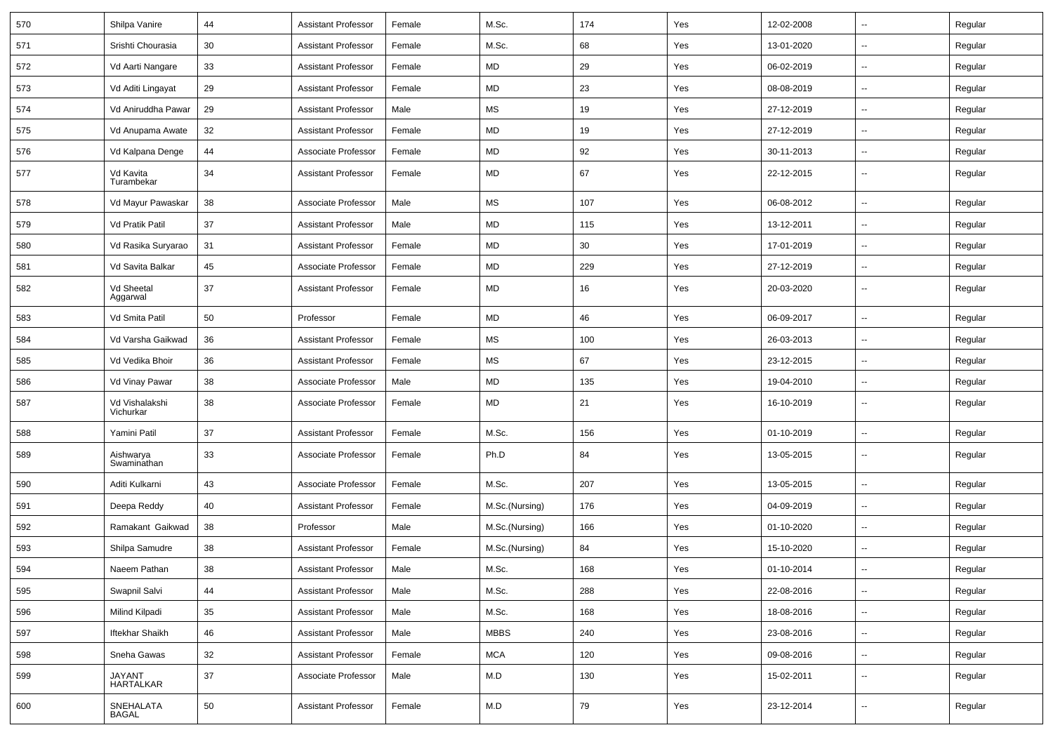| 570 | Shilpa Vanire               | 44 | <b>Assistant Professor</b> | Female | M.Sc.                | 174 | Yes | 12-02-2008 | $\overline{\phantom{a}}$ | Regular |
|-----|-----------------------------|----|----------------------------|--------|----------------------|-----|-----|------------|--------------------------|---------|
| 571 | Srishti Chourasia           | 30 | <b>Assistant Professor</b> | Female | M.Sc.                | 68  | Yes | 13-01-2020 | $\sim$                   | Regular |
| 572 | Vd Aarti Nangare            | 33 | <b>Assistant Professor</b> | Female | MD                   | 29  | Yes | 06-02-2019 |                          | Regular |
| 573 | Vd Aditi Lingayat           | 29 | <b>Assistant Professor</b> | Female | MD                   | 23  | Yes | 08-08-2019 | --                       | Regular |
| 574 | Vd Aniruddha Pawar          | 29 | <b>Assistant Professor</b> | Male   | MS                   | 19  | Yes | 27-12-2019 | $\sim$                   | Regular |
| 575 | Vd Anupama Awate            | 32 | <b>Assistant Professor</b> | Female | MD                   | 19  | Yes | 27-12-2019 | $\overline{\phantom{a}}$ | Regular |
| 576 | Vd Kalpana Denge            | 44 | Associate Professor        | Female | <b>MD</b>            | 92  | Yes | 30-11-2013 | $\overline{\phantom{a}}$ | Regular |
| 577 | Vd Kavita<br>Turambekar     | 34 | <b>Assistant Professor</b> | Female | MD                   | 67  | Yes | 22-12-2015 | $\sim$                   | Regular |
| 578 | Vd Mayur Pawaskar           | 38 | Associate Professor        | Male   | MS                   | 107 | Yes | 06-08-2012 | $\sim$                   | Regular |
| 579 | Vd Pratik Patil             | 37 | Assistant Professor        | Male   | MD                   | 115 | Yes | 13-12-2011 | --                       | Regular |
| 580 | Vd Rasika Suryarao          | 31 | <b>Assistant Professor</b> | Female | MD                   | 30  | Yes | 17-01-2019 |                          | Regular |
| 581 | Vd Savita Balkar            | 45 | Associate Professor        | Female | MD                   | 229 | Yes | 27-12-2019 | $\overline{\phantom{a}}$ | Regular |
| 582 | Vd Sheetal<br>Aggarwal      | 37 | <b>Assistant Professor</b> | Female | MD                   | 16  | Yes | 20-03-2020 | $\overline{\phantom{a}}$ | Regular |
| 583 | Vd Smita Patil              | 50 | Professor                  | Female | MD                   | 46  | Yes | 06-09-2017 | $\overline{\phantom{a}}$ | Regular |
| 584 | Vd Varsha Gaikwad           | 36 | Assistant Professor        | Female | $\mathsf{MS}\xspace$ | 100 | Yes | 26-03-2013 | $\overline{\phantom{a}}$ | Regular |
| 585 | Vd Vedika Bhoir             | 36 | <b>Assistant Professor</b> | Female | MS                   | 67  | Yes | 23-12-2015 | $\sim$                   | Regular |
| 586 | Vd Vinay Pawar              | 38 | Associate Professor        | Male   | $\sf MD$             | 135 | Yes | 19-04-2010 | --                       | Regular |
| 587 | Vd Vishalakshi<br>Vichurkar | 38 | Associate Professor        | Female | MD                   | 21  | Yes | 16-10-2019 | $\overline{\phantom{a}}$ | Regular |
| 588 | Yamini Patil                | 37 | Assistant Professor        | Female | M.Sc.                | 156 | Yes | 01-10-2019 | --                       | Regular |
| 589 | Aishwarya<br>Swaminathan    | 33 | Associate Professor        | Female | Ph.D                 | 84  | Yes | 13-05-2015 | ⊷.                       | Regular |
| 590 | Aditi Kulkarni              | 43 | Associate Professor        | Female | M.Sc.                | 207 | Yes | 13-05-2015 | $\overline{\phantom{a}}$ | Regular |
| 591 | Deepa Reddy                 | 40 | <b>Assistant Professor</b> | Female | M.Sc.(Nursing)       | 176 | Yes | 04-09-2019 | $\overline{\phantom{a}}$ | Regular |
| 592 | Ramakant Gaikwad            | 38 | Professor                  | Male   | M.Sc.(Nursing)       | 166 | Yes | 01-10-2020 | $\overline{\phantom{a}}$ | Regular |
| 593 | Shilpa Samudre              | 38 | <b>Assistant Professor</b> | Female | M.Sc.(Nursing)       | 84  | Yes | 15-10-2020 | Ξ.                       | Regular |
| 594 | Naeem Pathan                | 38 | Assistant Professor        | Male   | M.Sc.                | 168 | Yes | 01-10-2014 | $\overline{\phantom{a}}$ | Regular |
| 595 | Swapnil Salvi               | 44 | Assistant Professor        | Male   | M.Sc.                | 288 | Yes | 22-08-2016 | --                       | Regular |
| 596 | Milind Kilpadi              | 35 | <b>Assistant Professor</b> | Male   | M.Sc.                | 168 | Yes | 18-08-2016 | $\overline{\phantom{a}}$ | Regular |
| 597 | Iftekhar Shaikh             | 46 | <b>Assistant Professor</b> | Male   | <b>MBBS</b>          | 240 | Yes | 23-08-2016 | $\overline{\phantom{a}}$ | Regular |
| 598 | Sneha Gawas                 | 32 | Assistant Professor        | Female | <b>MCA</b>           | 120 | Yes | 09-08-2016 | $\sim$                   | Regular |
| 599 | JAYANT<br><b>HARTALKAR</b>  | 37 | Associate Professor        | Male   | M.D                  | 130 | Yes | 15-02-2011 | $\sim$                   | Regular |
| 600 | SNEHALATA<br><b>BAGAL</b>   | 50 | <b>Assistant Professor</b> | Female | M.D                  | 79  | Yes | 23-12-2014 | $\sim$                   | Regular |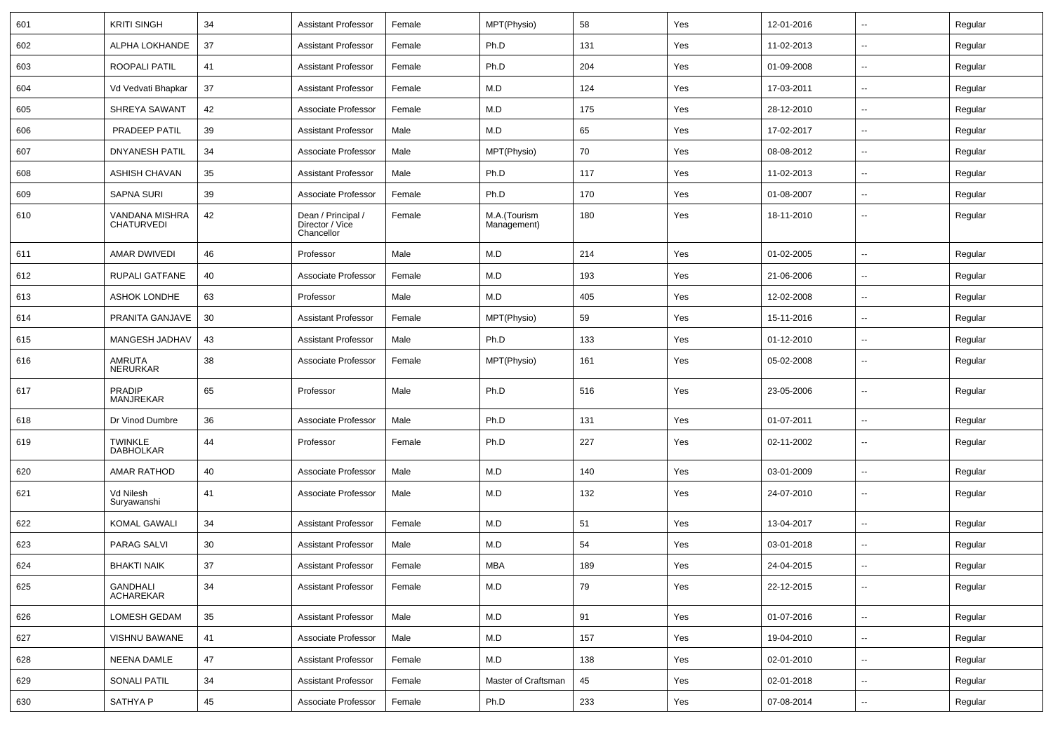| 601 | <b>KRITI SINGH</b>                  | 34     | <b>Assistant Professor</b>                          | Female | MPT(Physio)                 | 58  | Yes | 12-01-2016 | $\sim$                   | Regular |
|-----|-------------------------------------|--------|-----------------------------------------------------|--------|-----------------------------|-----|-----|------------|--------------------------|---------|
| 602 | ALPHA LOKHANDE                      | 37     | <b>Assistant Professor</b>                          | Female | Ph.D                        | 131 | Yes | 11-02-2013 | --                       | Regular |
| 603 | ROOPALI PATIL                       | 41     | <b>Assistant Professor</b>                          | Female | Ph.D                        | 204 | Yes | 01-09-2008 | $\overline{\phantom{a}}$ | Regular |
| 604 | Vd Vedvati Bhapkar                  | 37     | <b>Assistant Professor</b>                          | Female | M.D                         | 124 | Yes | 17-03-2011 | $\overline{\phantom{a}}$ | Regular |
| 605 | SHREYA SAWANT                       | 42     | Associate Professor                                 | Female | M.D                         | 175 | Yes | 28-12-2010 | $\overline{\phantom{a}}$ | Regular |
| 606 | PRADEEP PATIL                       | 39     | <b>Assistant Professor</b>                          | Male   | M.D                         | 65  | Yes | 17-02-2017 | $\sim$                   | Regular |
| 607 | <b>DNYANESH PATIL</b>               | 34     | Associate Professor                                 | Male   | MPT(Physio)                 | 70  | Yes | 08-08-2012 | $\sim$                   | Regular |
| 608 | ASHISH CHAVAN                       | 35     | <b>Assistant Professor</b>                          | Male   | Ph.D                        | 117 | Yes | 11-02-2013 | $\mathbf{u}$             | Regular |
| 609 | <b>SAPNA SURI</b>                   | 39     | Associate Professor                                 | Female | Ph.D                        | 170 | Yes | 01-08-2007 | $\overline{a}$           | Regular |
| 610 | VANDANA MISHRA<br><b>CHATURVEDI</b> | 42     | Dean / Principal /<br>Director / Vice<br>Chancellor | Female | M.A.(Tourism<br>Management) | 180 | Yes | 18-11-2010 | --                       | Regular |
| 611 | AMAR DWIVEDI                        | 46     | Professor                                           | Male   | M.D                         | 214 | Yes | 01-02-2005 | $\overline{a}$           | Regular |
| 612 | RUPALI GATFANE                      | 40     | Associate Professor                                 | Female | M.D                         | 193 | Yes | 21-06-2006 | $\overline{\phantom{a}}$ | Regular |
| 613 | <b>ASHOK LONDHE</b>                 | 63     | Professor                                           | Male   | M.D                         | 405 | Yes | 12-02-2008 | --                       | Regular |
| 614 | PRANITA GANJAVE                     | 30     | <b>Assistant Professor</b>                          | Female | MPT(Physio)                 | 59  | Yes | 15-11-2016 | $\sim$                   | Regular |
| 615 | MANGESH JADHAV                      | 43     | <b>Assistant Professor</b>                          | Male   | Ph.D                        | 133 | Yes | 01-12-2010 | $\overline{\phantom{a}}$ | Regular |
| 616 | AMRUTA<br><b>NERURKAR</b>           | 38     | Associate Professor                                 | Female | MPT(Physio)                 | 161 | Yes | 05-02-2008 | $\overline{\phantom{a}}$ | Regular |
| 617 | <b>PRADIP</b><br><b>MANJREKAR</b>   | 65     | Professor                                           | Male   | Ph.D                        | 516 | Yes | 23-05-2006 | --                       | Regular |
| 618 | Dr Vinod Dumbre                     | 36     | Associate Professor                                 | Male   | Ph.D                        | 131 | Yes | 01-07-2011 | $\mathbf{u}$             | Regular |
| 619 | <b>TWINKLE</b><br><b>DABHOLKAR</b>  | 44     | Professor                                           | Female | Ph.D                        | 227 | Yes | 02-11-2002 | $\overline{\phantom{a}}$ | Regular |
| 620 | AMAR RATHOD                         | 40     | Associate Professor                                 | Male   | M.D                         | 140 | Yes | 03-01-2009 |                          | Regular |
| 621 | Vd Nilesh<br>Suryawanshi            | 41     | Associate Professor                                 | Male   | M.D                         | 132 | Yes | 24-07-2010 | $\overline{\phantom{a}}$ | Regular |
| 622 | <b>KOMAL GAWALI</b>                 | 34     | <b>Assistant Professor</b>                          | Female | M.D                         | 51  | Yes | 13-04-2017 | $\overline{\phantom{a}}$ | Regular |
| 623 | PARAG SALVI                         | 30     | <b>Assistant Professor</b>                          | Male   | M.D                         | 54  | Yes | 03-01-2018 | --                       | Regular |
| 624 | <b>BHAKTI NAIK</b>                  | 37     | <b>Assistant Professor</b>                          | Female | <b>MBA</b>                  | 189 | Yes | 24-04-2015 |                          | Regular |
| 625 | <b>GANDHALI</b><br><b>ACHAREKAR</b> | 34     | <b>Assistant Professor</b>                          | Female | M.D                         | 79  | Yes | 22-12-2015 | $\sim$                   | Regular |
| 626 | LOMESH GEDAM                        | $35\,$ | <b>Assistant Professor</b>                          | Male   | M.D                         | 91  | Yes | 01-07-2016 | $\sim$                   | Regular |
| 627 | <b>VISHNU BAWANE</b>                | 41     | Associate Professor                                 | Male   | M.D                         | 157 | Yes | 19-04-2010 | $\sim$                   | Regular |
| 628 | NEENA DAMLE                         | 47     | <b>Assistant Professor</b>                          | Female | M.D                         | 138 | Yes | 02-01-2010 | $\overline{\phantom{a}}$ | Regular |
| 629 | <b>SONALI PATIL</b>                 | 34     | <b>Assistant Professor</b>                          | Female | Master of Craftsman         | 45  | Yes | 02-01-2018 | $\overline{\phantom{a}}$ | Regular |
| 630 | SATHYA P                            | 45     | Associate Professor                                 | Female | Ph.D                        | 233 | Yes | 07-08-2014 | $\sim$                   | Regular |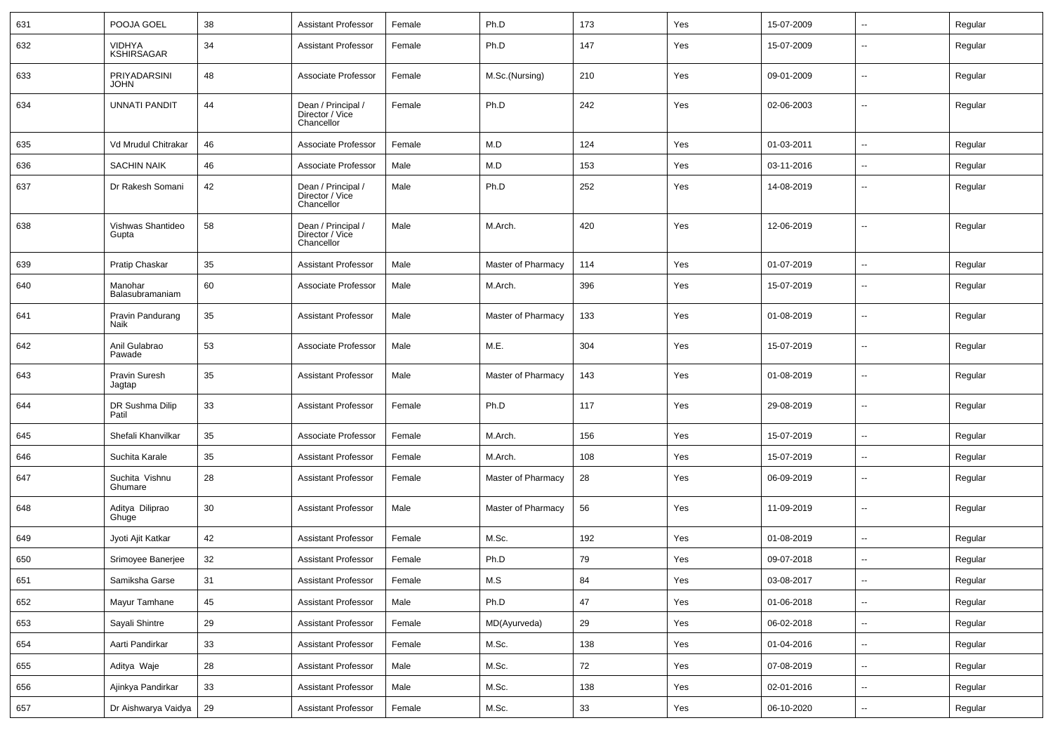| 631 | POOJA GOEL                         | 38 | Assistant Professor                                 | Female | Ph.D               | 173 | Yes | 15-07-2009 | $\sim$                   | Regular |
|-----|------------------------------------|----|-----------------------------------------------------|--------|--------------------|-----|-----|------------|--------------------------|---------|
| 632 | <b>VIDHYA</b><br><b>KSHIRSAGAR</b> | 34 | <b>Assistant Professor</b>                          | Female | Ph.D               | 147 | Yes | 15-07-2009 | --                       | Regular |
| 633 | PRIYADARSINI<br><b>JOHN</b>        | 48 | Associate Professor                                 | Female | M.Sc.(Nursing)     | 210 | Yes | 09-01-2009 | --                       | Regular |
| 634 | <b>UNNATI PANDIT</b>               | 44 | Dean / Principal /<br>Director / Vice<br>Chancellor | Female | Ph.D               | 242 | Yes | 02-06-2003 | --                       | Regular |
| 635 | Vd Mrudul Chitrakar                | 46 | Associate Professor                                 | Female | M.D                | 124 | Yes | 01-03-2011 | $\sim$                   | Regular |
| 636 | <b>SACHIN NAIK</b>                 | 46 | Associate Professor                                 | Male   | M.D                | 153 | Yes | 03-11-2016 | --                       | Regular |
| 637 | Dr Rakesh Somani                   | 42 | Dean / Principal /<br>Director / Vice<br>Chancellor | Male   | Ph.D               | 252 | Yes | 14-08-2019 | $\overline{\phantom{a}}$ | Regular |
| 638 | Vishwas Shantideo<br>Gupta         | 58 | Dean / Principal /<br>Director / Vice<br>Chancellor | Male   | M.Arch.            | 420 | Yes | 12-06-2019 | --                       | Regular |
| 639 | Pratip Chaskar                     | 35 | Assistant Professor                                 | Male   | Master of Pharmacy | 114 | Yes | 01-07-2019 | $\sim$                   | Regular |
| 640 | Manohar<br>Balasubramaniam         | 60 | Associate Professor                                 | Male   | M.Arch.            | 396 | Yes | 15-07-2019 | --                       | Regular |
| 641 | Pravin Pandurang<br>Naik           | 35 | <b>Assistant Professor</b>                          | Male   | Master of Pharmacy | 133 | Yes | 01-08-2019 | --                       | Regular |
| 642 | Anil Gulabrao<br>Pawade            | 53 | Associate Professor                                 | Male   | M.E.               | 304 | Yes | 15-07-2019 | --                       | Regular |
| 643 | Pravin Suresh<br>Jagtap            | 35 | <b>Assistant Professor</b>                          | Male   | Master of Pharmacy | 143 | Yes | 01-08-2019 | --                       | Regular |
| 644 | DR Sushma Dilip<br>Patil           | 33 | Assistant Professor                                 | Female | Ph.D               | 117 | Yes | 29-08-2019 | --                       | Regular |
| 645 | Shefali Khanvilkar                 | 35 | Associate Professor                                 | Female | M.Arch.            | 156 | Yes | 15-07-2019 | $\mathbf{u}$             | Regular |
| 646 | Suchita Karale                     | 35 | <b>Assistant Professor</b>                          | Female | M.Arch.            | 108 | Yes | 15-07-2019 | $\overline{\phantom{a}}$ | Regular |
| 647 | Suchita Vishnu<br>Ghumare          | 28 | <b>Assistant Professor</b>                          | Female | Master of Pharmacy | 28  | Yes | 06-09-2019 | $\overline{\phantom{a}}$ | Regular |
| 648 | Aditya Diliprao<br>Ghuge           | 30 | <b>Assistant Professor</b>                          | Male   | Master of Pharmacy | 56  | Yes | 11-09-2019 | $\overline{\phantom{a}}$ | Regular |
| 649 | Jyoti Ajit Katkar                  | 42 | <b>Assistant Professor</b>                          | Female | M.Sc.              | 192 | Yes | 01-08-2019 | $\overline{\phantom{a}}$ | Regular |
| 650 | Srimoyee Banerjee                  | 32 | <b>Assistant Professor</b>                          | Female | Ph.D               | 79  | Yes | 09-07-2018 |                          | Regular |
| 651 | Samiksha Garse                     | 31 | <b>Assistant Professor</b>                          | Female | M.S                | 84  | Yes | 03-08-2017 | $\sim$                   | Regular |
| 652 | Mayur Tamhane                      | 45 | <b>Assistant Professor</b>                          | Male   | Ph.D               | 47  | Yes | 01-06-2018 | $\sim$                   | Regular |
| 653 | Sayali Shintre                     | 29 | <b>Assistant Professor</b>                          | Female | MD(Ayurveda)       | 29  | Yes | 06-02-2018 | $\sim$                   | Regular |
| 654 | Aarti Pandirkar                    | 33 | <b>Assistant Professor</b>                          | Female | M.Sc.              | 138 | Yes | 01-04-2016 | $\sim$                   | Regular |
| 655 | Aditya Waje                        | 28 | <b>Assistant Professor</b>                          | Male   | M.Sc.              | 72  | Yes | 07-08-2019 | $\sim$                   | Regular |
| 656 | Ajinkya Pandirkar                  | 33 | <b>Assistant Professor</b>                          | Male   | M.Sc.              | 138 | Yes | 02-01-2016 | $\sim$                   | Regular |
| 657 | Dr Aishwarya Vaidya                | 29 | <b>Assistant Professor</b>                          | Female | M.Sc.              | 33  | Yes | 06-10-2020 | $\sim$                   | Regular |